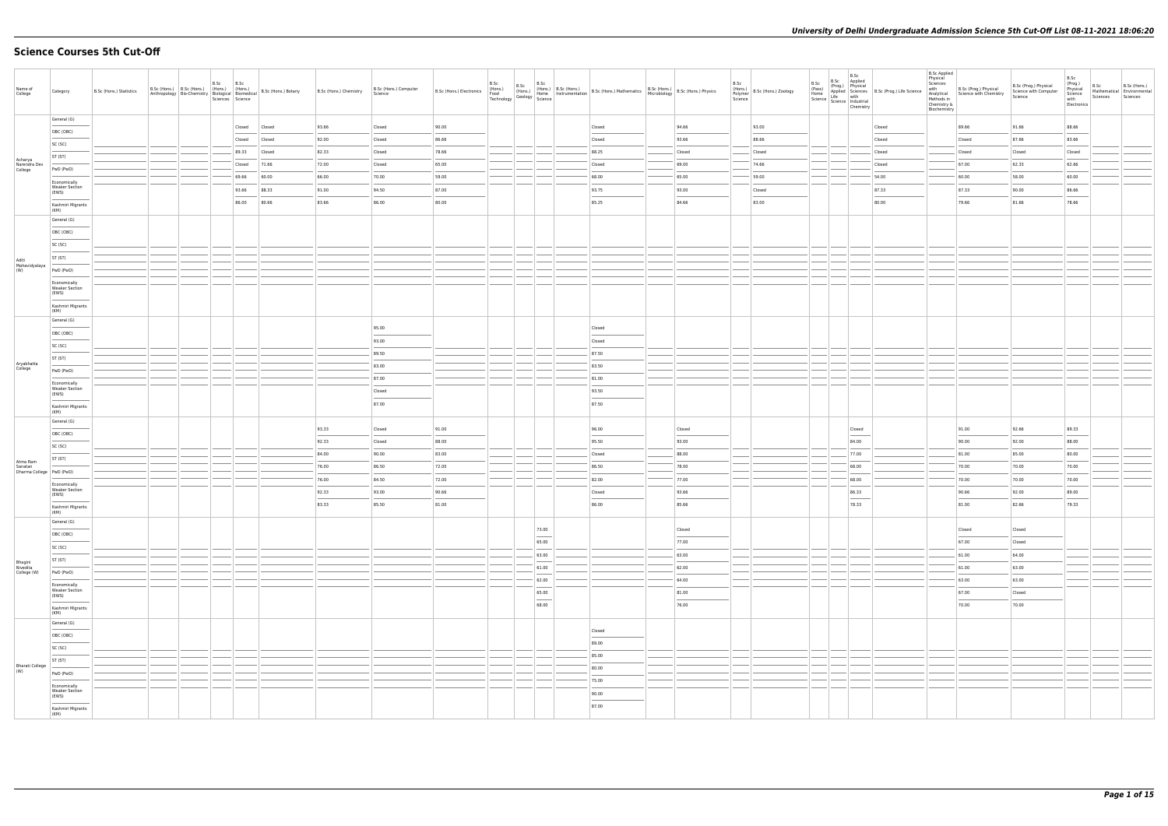# **Science Courses 5th Cut-Off**

| Name of<br>College                    | Category                                       | B.Sc (Hons.) Statistics | B.Sc (Hons.) B.Sc (Hons.) (Hons.) (Hons.)<br>Anthropology Bio-Chemistry Biological Biomedical | B.Sc | B.Sc<br>Sciences Science | B.Sc (Hons.) Botany | B.Sc (Hons.) Chemistry | B.Sc (Hons.) Computer<br>Science |       | B.Sc | B.Sc | B.Sc                                                                                                                                                                                                                                                                                                                                                                                                                                                                                | B.Sc (Hons.) Electronics (Hons.) B.Sc (Hons.) B.Sc (Hons.) B.Sc (Hons.) Mathematics B.Sc (Hons.) B.Sc (Hons.) Physics<br>Technology Geology Home Instrumentation B.Sc (Hons.) Mathematics Microbiology B.Sc (Hons.) Physics |        | B.Sc | (Hons.)<br>Polymer<br>Science | B.Sc<br>(Pass)<br>Home<br>Science   Lite<br>  Science   Industrial |             | B.Sc<br>Chemistry | B.Sc Applied<br>(Prog.) Physical<br>Applied Sciences B.Sc (Prog.) Life Science<br>Life with<br>Life Life and Life and Life Science | <b>B.Sc Applied</b><br>Physical<br>Sciences<br>with<br>Analytical<br>Methods in<br>Chemistry &<br>Biochemistry | B.Sc (Prog.) Physical<br>Science with Chemistry | B.Sc (Prog.) Physical<br>Science with Computer<br>Science | B.Sc<br>(Prog.)<br>Physical<br>Science<br>with<br>Electronics | B.Sc<br>Sciences | B.Sc (Hons.)<br>Mathematical Environmental<br>Sciences |
|---------------------------------------|------------------------------------------------|-------------------------|-----------------------------------------------------------------------------------------------|------|--------------------------|---------------------|------------------------|----------------------------------|-------|------|------|-------------------------------------------------------------------------------------------------------------------------------------------------------------------------------------------------------------------------------------------------------------------------------------------------------------------------------------------------------------------------------------------------------------------------------------------------------------------------------------|-----------------------------------------------------------------------------------------------------------------------------------------------------------------------------------------------------------------------------|--------|------|-------------------------------|--------------------------------------------------------------------|-------------|-------------------|------------------------------------------------------------------------------------------------------------------------------------|----------------------------------------------------------------------------------------------------------------|-------------------------------------------------|-----------------------------------------------------------|---------------------------------------------------------------|------------------|--------------------------------------------------------|
|                                       | General (G)                                    |                         |                                                                                               |      | Closed                   | Closed              | 93.66                  | Closed                           | 90.00 |      |      |                                                                                                                                                                                                                                                                                                                                                                                                                                                                                     | Closed                                                                                                                                                                                                                      | 94.66  |      | 93.00                         |                                                                    |             |                   | Closed                                                                                                                             |                                                                                                                | 89.66                                           | 91.66                                                     | 88.66                                                         |                  |                                                        |
|                                       | OBC (OBC)                                      |                         |                                                                                               |      | Closed                   | Closed              | 92.00                  | Closed                           | 86.66 |      |      |                                                                                                                                                                                                                                                                                                                                                                                                                                                                                     | Closed                                                                                                                                                                                                                      | 93.66  |      | 88.66                         |                                                                    |             |                   | Closed                                                                                                                             |                                                                                                                | Closed                                          | 87.66                                                     | 83.66                                                         |                  |                                                        |
|                                       | SC (SC)                                        |                         |                                                                                               |      | 89.33                    | Closed              | 82.33                  | Closed                           | 78.66 |      |      |                                                                                                                                                                                                                                                                                                                                                                                                                                                                                     | 88.25                                                                                                                                                                                                                       | Closed |      | Closed                        |                                                                    |             |                   | Closed                                                                                                                             |                                                                                                                | Closed                                          | Closed                                                    | Closed                                                        |                  |                                                        |
| Acharya<br>Narendra Dev               | ST (ST)                                        |                         |                                                                                               |      | Closed                   | 71.66               | 72.00                  | Closed                           | 65.00 |      |      |                                                                                                                                                                                                                                                                                                                                                                                                                                                                                     | Closed                                                                                                                                                                                                                      | 69.00  |      | 74.66                         |                                                                    |             |                   | Closed                                                                                                                             |                                                                                                                | 67.00                                           | 62.33                                                     | 62.66                                                         |                  |                                                        |
| College                               | PwD (PwD)                                      |                         |                                                                                               |      | 69.66                    | 60.00               | 66.00                  | 70.00                            | 59.00 |      |      |                                                                                                                                                                                                                                                                                                                                                                                                                                                                                     | 68.00                                                                                                                                                                                                                       | 65.00  |      | 59.00                         |                                                                    |             |                   | 54.00                                                                                                                              |                                                                                                                | 60.00                                           | 58.00                                                     | 60.00                                                         |                  |                                                        |
|                                       | Economically<br><b>Weaker Section</b><br>(EWS) |                         |                                                                                               |      | 93.66                    | 88.33               | 91.00                  | 94.50                            | 87.00 |      |      |                                                                                                                                                                                                                                                                                                                                                                                                                                                                                     | 93.75                                                                                                                                                                                                                       | 93.00  |      | Closed                        |                                                                    |             |                   | 87.33                                                                                                                              |                                                                                                                | 87.33                                           | 90.00                                                     | 86.66                                                         |                  |                                                        |
|                                       | Kashmiri Migrants                              |                         |                                                                                               |      | --<br>86.00              | 80.66               | 83.66                  | 86.00                            | 80.00 |      |      |                                                                                                                                                                                                                                                                                                                                                                                                                                                                                     | 85.25                                                                                                                                                                                                                       | 84.66  |      | 83.00                         |                                                                    |             |                   | 80.00                                                                                                                              |                                                                                                                | 79.66                                           | 81.66                                                     | 78.66                                                         |                  |                                                        |
|                                       | (KM)<br>General (G)                            |                         |                                                                                               |      |                          |                     |                        |                                  |       |      |      |                                                                                                                                                                                                                                                                                                                                                                                                                                                                                     |                                                                                                                                                                                                                             |        |      |                               |                                                                    |             |                   |                                                                                                                                    |                                                                                                                |                                                 |                                                           |                                                               |                  |                                                        |
|                                       | OBC (OBC)                                      |                         |                                                                                               |      |                          |                     |                        |                                  |       |      |      |                                                                                                                                                                                                                                                                                                                                                                                                                                                                                     |                                                                                                                                                                                                                             |        |      |                               |                                                                    |             |                   |                                                                                                                                    |                                                                                                                |                                                 |                                                           |                                                               |                  |                                                        |
|                                       | SC (SC)                                        |                         |                                                                                               |      |                          |                     |                        |                                  |       |      |      |                                                                                                                                                                                                                                                                                                                                                                                                                                                                                     |                                                                                                                                                                                                                             |        |      |                               |                                                                    |             |                   |                                                                                                                                    |                                                                                                                |                                                 |                                                           |                                                               |                  |                                                        |
| Aditi                                 | ST (ST)                                        |                         |                                                                                               |      |                          |                     |                        |                                  |       |      |      |                                                                                                                                                                                                                                                                                                                                                                                                                                                                                     |                                                                                                                                                                                                                             |        |      |                               |                                                                    |             |                   |                                                                                                                                    |                                                                                                                |                                                 |                                                           |                                                               |                  |                                                        |
| Mahavidyalaya<br>(W)                  | PwD (PwD)                                      |                         |                                                                                               |      |                          |                     |                        |                                  |       |      |      |                                                                                                                                                                                                                                                                                                                                                                                                                                                                                     |                                                                                                                                                                                                                             |        |      |                               |                                                                    |             |                   |                                                                                                                                    |                                                                                                                |                                                 |                                                           |                                                               |                  |                                                        |
|                                       | Economically<br><b>Weaker Section</b>          |                         |                                                                                               |      |                          |                     |                        |                                  |       |      |      |                                                                                                                                                                                                                                                                                                                                                                                                                                                                                     |                                                                                                                                                                                                                             |        |      |                               |                                                                    |             |                   |                                                                                                                                    |                                                                                                                |                                                 |                                                           |                                                               |                  |                                                        |
|                                       | (EWS)                                          |                         |                                                                                               |      |                          |                     |                        |                                  |       |      |      |                                                                                                                                                                                                                                                                                                                                                                                                                                                                                     |                                                                                                                                                                                                                             |        |      |                               |                                                                    |             |                   |                                                                                                                                    |                                                                                                                |                                                 |                                                           |                                                               |                  |                                                        |
|                                       | Kashmiri Migrants<br>(KM)                      |                         |                                                                                               |      |                          |                     |                        |                                  |       |      |      |                                                                                                                                                                                                                                                                                                                                                                                                                                                                                     |                                                                                                                                                                                                                             |        |      |                               |                                                                    |             |                   |                                                                                                                                    |                                                                                                                |                                                 |                                                           |                                                               |                  |                                                        |
|                                       | General (G)                                    |                         |                                                                                               |      |                          |                     |                        | 95.00                            |       |      |      |                                                                                                                                                                                                                                                                                                                                                                                                                                                                                     | Closed                                                                                                                                                                                                                      |        |      |                               |                                                                    |             |                   |                                                                                                                                    |                                                                                                                |                                                 |                                                           |                                                               |                  |                                                        |
|                                       | OBC (OBC)                                      |                         |                                                                                               |      |                          |                     |                        | 93.00                            |       |      |      |                                                                                                                                                                                                                                                                                                                                                                                                                                                                                     | Closed                                                                                                                                                                                                                      |        |      |                               |                                                                    |             |                   |                                                                                                                                    |                                                                                                                |                                                 |                                                           |                                                               |                  |                                                        |
|                                       | SC (SC)                                        |                         |                                                                                               |      |                          |                     |                        | 89.50                            |       |      |      |                                                                                                                                                                                                                                                                                                                                                                                                                                                                                     | 87.50                                                                                                                                                                                                                       |        |      |                               |                                                                    |             |                   |                                                                                                                                    |                                                                                                                |                                                 |                                                           |                                                               |                  |                                                        |
| Aryabhatta<br>College                 | ST (ST)                                        |                         |                                                                                               |      |                          |                     |                        | 83.00                            |       |      |      |                                                                                                                                                                                                                                                                                                                                                                                                                                                                                     | 83.50                                                                                                                                                                                                                       |        |      |                               |                                                                    |             |                   |                                                                                                                                    |                                                                                                                |                                                 |                                                           |                                                               |                  |                                                        |
|                                       | PwD (PwD)                                      |                         |                                                                                               |      |                          |                     |                        | 87.00                            |       |      |      |                                                                                                                                                                                                                                                                                                                                                                                                                                                                                     | 81.00                                                                                                                                                                                                                       |        |      |                               |                                                                    |             |                   |                                                                                                                                    |                                                                                                                |                                                 |                                                           |                                                               |                  |                                                        |
|                                       | Economically<br><b>Weaker Section</b><br>(EWS) |                         |                                                                                               |      |                          |                     |                        | Closed                           |       |      |      |                                                                                                                                                                                                                                                                                                                                                                                                                                                                                     | 93.50                                                                                                                                                                                                                       |        |      |                               |                                                                    |             |                   |                                                                                                                                    |                                                                                                                |                                                 |                                                           |                                                               |                  |                                                        |
|                                       | Kashmiri Migrants                              |                         |                                                                                               |      |                          |                     |                        | 87.00                            |       |      |      |                                                                                                                                                                                                                                                                                                                                                                                                                                                                                     | 87.50                                                                                                                                                                                                                       |        |      |                               |                                                                    |             |                   |                                                                                                                                    |                                                                                                                |                                                 |                                                           |                                                               |                  |                                                        |
|                                       | (KM)<br>General (G)                            |                         |                                                                                               |      |                          |                     |                        |                                  |       |      |      |                                                                                                                                                                                                                                                                                                                                                                                                                                                                                     |                                                                                                                                                                                                                             |        |      |                               |                                                                    |             |                   |                                                                                                                                    |                                                                                                                |                                                 |                                                           |                                                               |                  |                                                        |
|                                       | OBC (OBC)                                      |                         |                                                                                               |      |                          |                     | 93.33                  | Closed                           | 91.00 |      |      |                                                                                                                                                                                                                                                                                                                                                                                                                                                                                     | 96.00                                                                                                                                                                                                                       | Closed |      |                               |                                                                    |             | Closed            |                                                                                                                                    |                                                                                                                | 91.00                                           | 92.66                                                     | 89.33                                                         |                  |                                                        |
|                                       | SC (SC)                                        |                         |                                                                                               |      |                          |                     | 92.33                  | Closed                           | 88.00 |      |      |                                                                                                                                                                                                                                                                                                                                                                                                                                                                                     | 95.50                                                                                                                                                                                                                       | 93.00  |      |                               |                                                                    |             | 84.00             |                                                                                                                                    |                                                                                                                | 90.00                                           | 92.00                                                     | 88.00                                                         |                  |                                                        |
| Atma Ram                              | ST (ST)                                        |                         |                                                                                               |      |                          |                     | 84.00                  | 90.00                            | 83.00 |      |      |                                                                                                                                                                                                                                                                                                                                                                                                                                                                                     | Closed                                                                                                                                                                                                                      | 88.00  |      |                               |                                                                    |             | 77.00             |                                                                                                                                    |                                                                                                                | 81.00                                           | 85.00                                                     | 80.00                                                         |                  |                                                        |
| Sanatan<br>Dharma College   PwD (PwD) |                                                |                         |                                                                                               |      |                          |                     | 76.00                  | 86.50                            | 72.00 |      |      |                                                                                                                                                                                                                                                                                                                                                                                                                                                                                     | 86.50                                                                                                                                                                                                                       | 78.00  |      |                               |                                                                    |             | 68.00             |                                                                                                                                    |                                                                                                                | 70.00                                           | 70.00                                                     | 70.00                                                         |                  |                                                        |
|                                       | Economically<br><b>Weaker Section</b>          |                         |                                                                                               |      |                          |                     | 76.00                  | 84.50                            | 72.00 |      |      |                                                                                                                                                                                                                                                                                                                                                                                                                                                                                     | 82.00                                                                                                                                                                                                                       | 77.00  |      |                               |                                                                    |             | 68.00             |                                                                                                                                    |                                                                                                                | 70.00                                           | 70.00                                                     | 70.00                                                         |                  |                                                        |
|                                       | (EWS)                                          |                         |                                                                                               |      |                          |                     | 92.33                  | 93.00                            | 90.66 |      |      |                                                                                                                                                                                                                                                                                                                                                                                                                                                                                     | Closed                                                                                                                                                                                                                      | 93.66  |      |                               |                                                                    |             | 86.33<br>$\sim$   |                                                                                                                                    |                                                                                                                | 90.66                                           | 92.00                                                     | 89.00                                                         |                  |                                                        |
|                                       | Kashmiri Migrants<br>(KM)                      |                         |                                                                                               |      |                          |                     | 83.33                  | 85.50                            | 81.00 |      |      |                                                                                                                                                                                                                                                                                                                                                                                                                                                                                     | 86.00                                                                                                                                                                                                                       | 85.66  |      |                               |                                                                    |             | 78.33             |                                                                                                                                    |                                                                                                                | 81.00                                           | 82.66                                                     | 79.33                                                         |                  |                                                        |
|                                       | General (G)                                    |                         |                                                                                               |      |                          |                     |                        |                                  |       |      |      | 73.00                                                                                                                                                                                                                                                                                                                                                                                                                                                                               |                                                                                                                                                                                                                             | Closed |      |                               |                                                                    |             |                   |                                                                                                                                    |                                                                                                                | Closed                                          | Closed                                                    |                                                               |                  |                                                        |
|                                       | OBC (OBC)                                      |                         |                                                                                               |      |                          |                     |                        |                                  |       |      |      | 65.00                                                                                                                                                                                                                                                                                                                                                                                                                                                                               |                                                                                                                                                                                                                             | 77.00  |      |                               |                                                                    |             |                   |                                                                                                                                    |                                                                                                                | 67.00                                           | Closed                                                    |                                                               |                  |                                                        |
|                                       | SC (SC)                                        |                         |                                                                                               |      |                          |                     |                        |                                  |       |      |      | 63.00                                                                                                                                                                                                                                                                                                                                                                                                                                                                               |                                                                                                                                                                                                                             | 63.00  |      |                               |                                                                    | —   — —   — |                   |                                                                                                                                    |                                                                                                                | 61.00                                           | 64.00                                                     |                                                               |                  |                                                        |
| Bhagini<br>Nivedita                   | ST (ST)                                        |                         |                                                                                               |      |                          |                     |                        |                                  |       |      |      | 61.00                                                                                                                                                                                                                                                                                                                                                                                                                                                                               |                                                                                                                                                                                                                             | 62.00  |      |                               |                                                                    |             |                   |                                                                                                                                    |                                                                                                                | 61.00                                           | 63.00                                                     |                                                               |                  |                                                        |
| College (W)                           | PwD (PwD)                                      |                         |                                                                                               |      |                          |                     |                        |                                  |       |      |      | 62.00                                                                                                                                                                                                                                                                                                                                                                                                                                                                               |                                                                                                                                                                                                                             | 64.00  |      |                               |                                                                    |             |                   |                                                                                                                                    |                                                                                                                | 63.00                                           | 63.00                                                     |                                                               |                  |                                                        |
|                                       | Economically<br><b>Weaker Section</b><br>(EWS) |                         |                                                                                               |      |                          |                     |                        |                                  |       |      |      | 65.00                                                                                                                                                                                                                                                                                                                                                                                                                                                                               |                                                                                                                                                                                                                             | 81.00  |      |                               |                                                                    |             |                   |                                                                                                                                    |                                                                                                                | 67.00                                           | Closed                                                    |                                                               |                  |                                                        |
|                                       | Kashmiri Migrants                              |                         |                                                                                               |      |                          |                     |                        |                                  |       |      |      | $\frac{1}{2} \left( \frac{1}{2} \right) \left( \frac{1}{2} \right) \left( \frac{1}{2} \right) \left( \frac{1}{2} \right) \left( \frac{1}{2} \right) \left( \frac{1}{2} \right) \left( \frac{1}{2} \right) \left( \frac{1}{2} \right) \left( \frac{1}{2} \right) \left( \frac{1}{2} \right) \left( \frac{1}{2} \right) \left( \frac{1}{2} \right) \left( \frac{1}{2} \right) \left( \frac{1}{2} \right) \left( \frac{1}{2} \right) \left( \frac{1}{2} \right) \left( \frac$<br>68.00 |                                                                                                                                                                                                                             | 76.00  |      |                               |                                                                    |             |                   |                                                                                                                                    |                                                                                                                | 70.00                                           | 70.00                                                     |                                                               |                  |                                                        |
|                                       | (KM)<br>General (G)                            |                         |                                                                                               |      |                          |                     |                        |                                  |       |      |      |                                                                                                                                                                                                                                                                                                                                                                                                                                                                                     |                                                                                                                                                                                                                             |        |      |                               |                                                                    |             |                   |                                                                                                                                    |                                                                                                                |                                                 |                                                           |                                                               |                  |                                                        |
|                                       | OBC (OBC)                                      |                         |                                                                                               |      |                          |                     |                        |                                  |       |      |      |                                                                                                                                                                                                                                                                                                                                                                                                                                                                                     | Closed                                                                                                                                                                                                                      |        |      |                               |                                                                    |             |                   |                                                                                                                                    |                                                                                                                |                                                 |                                                           |                                                               |                  |                                                        |
|                                       | SC (SC)                                        |                         |                                                                                               |      |                          |                     |                        |                                  |       |      |      |                                                                                                                                                                                                                                                                                                                                                                                                                                                                                     | 89.00                                                                                                                                                                                                                       |        |      |                               |                                                                    |             |                   |                                                                                                                                    |                                                                                                                |                                                 |                                                           |                                                               |                  |                                                        |
|                                       | ST (ST)                                        |                         |                                                                                               |      |                          |                     |                        |                                  |       |      |      |                                                                                                                                                                                                                                                                                                                                                                                                                                                                                     | 85.00                                                                                                                                                                                                                       |        |      |                               |                                                                    |             |                   |                                                                                                                                    |                                                                                                                |                                                 |                                                           |                                                               |                  |                                                        |
| <b>Bharati College</b><br>(W)         | PwD (PwD)                                      |                         |                                                                                               |      |                          |                     |                        |                                  |       |      |      |                                                                                                                                                                                                                                                                                                                                                                                                                                                                                     | 80.00                                                                                                                                                                                                                       |        |      |                               |                                                                    |             |                   |                                                                                                                                    |                                                                                                                |                                                 |                                                           |                                                               |                  |                                                        |
|                                       | Economically                                   |                         |                                                                                               |      |                          |                     |                        |                                  |       |      |      |                                                                                                                                                                                                                                                                                                                                                                                                                                                                                     | 75.00                                                                                                                                                                                                                       |        |      |                               |                                                                    |             |                   |                                                                                                                                    |                                                                                                                |                                                 |                                                           |                                                               |                  |                                                        |
|                                       | <b>Weaker Section</b><br>(EWS)                 |                         |                                                                                               |      |                          |                     |                        |                                  |       |      |      |                                                                                                                                                                                                                                                                                                                                                                                                                                                                                     | 90.00                                                                                                                                                                                                                       |        |      |                               |                                                                    |             |                   |                                                                                                                                    |                                                                                                                |                                                 |                                                           |                                                               |                  |                                                        |
|                                       | Kashmiri Migrants<br>(KM)                      |                         |                                                                                               |      |                          |                     |                        |                                  |       |      |      |                                                                                                                                                                                                                                                                                                                                                                                                                                                                                     | 87.00                                                                                                                                                                                                                       |        |      |                               |                                                                    |             |                   |                                                                                                                                    |                                                                                                                |                                                 |                                                           |                                                               |                  |                                                        |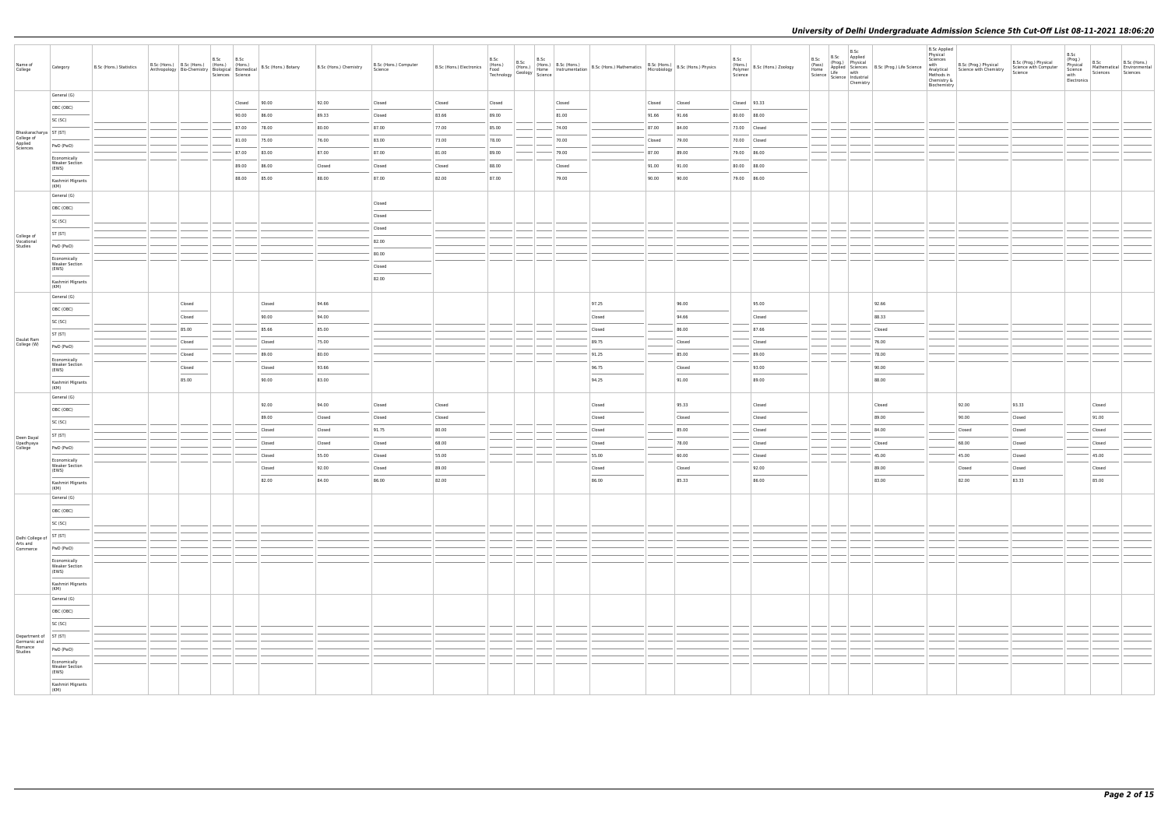| Name of<br>College                                | Category                                                                | B.Sc (Hons.) Statistics | B.Sc<br>B.Sc (Hons.) B.Sc (Hons.) (Hons.) (Hons.)<br>Anthropology Bio-Chemistry   Biological   Biomedical B.Sc (Hons.) Botany | B.Sc<br>Sciences Science |                  | B.Sc (Hons.) Chemistry | B.Sc (Hons.) Computer<br>Science | B.Sc (Hons.) Electronics |                 |  |        |                 |        |                 | B.Sc<br>(Hons.)<br>Polymer<br>Science | B.Sc (Hons.) Zoology | B.Sc<br>(Pass)<br>Home<br>Science   Lite<br>  Science   Industrial | B.Sc<br>Chemistry | B.Sc Applied<br>(Prog.) Physical<br>Applied Sciences B.Sc (Prog.) Life Science<br>Life with Science B.Sc (Prog.) Life Science | <b>B.Sc Applied</b><br>Physical<br>Sciences<br>with<br>Chemistry &<br>Biochemistry | B.Sc (Prog.) Physical<br>Analytical Science with Chemistry<br>Methods in | B.Sc (Prog.) Physical<br>Science with Computer<br>Science | B.Sc<br>(Prog.)<br>Physical<br>Science<br>with<br>Electronics | B.Sc<br>Sciences | B.Sc (Hons.)<br>Mathematical Environmental<br>Sciences Sciences |
|---------------------------------------------------|-------------------------------------------------------------------------|-------------------------|-------------------------------------------------------------------------------------------------------------------------------|--------------------------|------------------|------------------------|----------------------------------|--------------------------|-----------------|--|--------|-----------------|--------|-----------------|---------------------------------------|----------------------|--------------------------------------------------------------------|-------------------|-------------------------------------------------------------------------------------------------------------------------------|------------------------------------------------------------------------------------|--------------------------------------------------------------------------|-----------------------------------------------------------|---------------------------------------------------------------|------------------|-----------------------------------------------------------------|
|                                                   | General (G)                                                             |                         |                                                                                                                               | Closed                   | 90.00            | 92.00                  | Closed                           | Closed                   |                 |  | Closed |                 | Closed |                 |                                       | $Closed$ 93.33       |                                                                    |                   |                                                                                                                               |                                                                                    |                                                                          |                                                           |                                                               |                  |                                                                 |
|                                                   | OBC (OBC)                                                               |                         |                                                                                                                               | 90.00                    | 86.00            | 89.33                  | Closed                           | 83.66                    | Closed<br>89.00 |  | 81.00  |                 | 91.66  | Closed<br>91.66 |                                       | 80.00 88.00          |                                                                    |                   |                                                                                                                               |                                                                                    |                                                                          |                                                           |                                                               |                  |                                                                 |
|                                                   | SC (SC)                                                                 |                         |                                                                                                                               | 87.00                    | 78.00            | 80.00                  | 87.00                            | 77.00                    | 85.00           |  | 74.00  |                 | 87.00  | 84.00           |                                       | 73.00 Closed         |                                                                    |                   |                                                                                                                               |                                                                                    |                                                                          |                                                           |                                                               |                  |                                                                 |
| Bhaskaracharya   ST (ST)<br>College of<br>Applied |                                                                         |                         |                                                                                                                               | 81.00                    | 75.00            | 76.00                  | 83.00                            | 73.00                    | 78.00           |  | 70.00  |                 | Closed | 79.00           |                                       | 70.00 Closed         |                                                                    |                   |                                                                                                                               |                                                                                    |                                                                          |                                                           |                                                               |                  |                                                                 |
| Sciences                                          | PwD (PwD)                                                               |                         |                                                                                                                               | 87.00                    | 83.00            | 87.00                  | 87.00                            | 81.00                    | 89.00           |  | 79.00  |                 | 87.00  | 89.00           |                                       | 79.00 86.00          |                                                                    |                   |                                                                                                                               |                                                                                    |                                                                          |                                                           |                                                               |                  |                                                                 |
|                                                   | Economically<br><b>Weaker Section</b>                                   |                         |                                                                                                                               | 89.00                    | 86.00            | Closed                 | Closed                           | Closed                   | 88.00           |  | Closed |                 | 91.00  | 91.00           |                                       | 80.00 88.00          |                                                                    |                   |                                                                                                                               |                                                                                    |                                                                          |                                                           |                                                               |                  |                                                                 |
|                                                   | (EWS)                                                                   |                         |                                                                                                                               | 88.00                    | 85.00            | 88.00                  | 87.00                            | 82.00                    | 87.00           |  | 79.00  |                 | 90.00  | 90.00           |                                       | 79.00 86.00          |                                                                    |                   |                                                                                                                               |                                                                                    |                                                                          |                                                           |                                                               |                  |                                                                 |
|                                                   | Kashmiri Migrants<br>(KM)                                               |                         |                                                                                                                               |                          |                  |                        |                                  |                          |                 |  |        |                 |        |                 |                                       |                      |                                                                    |                   |                                                                                                                               |                                                                                    |                                                                          |                                                           |                                                               |                  |                                                                 |
|                                                   | General (G)                                                             |                         |                                                                                                                               |                          |                  |                        | Closed                           |                          |                 |  |        |                 |        |                 |                                       |                      |                                                                    |                   |                                                                                                                               |                                                                                    |                                                                          |                                                           |                                                               |                  |                                                                 |
|                                                   | OBC (OBC)                                                               |                         |                                                                                                                               |                          |                  |                        | Closed                           |                          |                 |  |        |                 |        |                 |                                       |                      |                                                                    |                   |                                                                                                                               |                                                                                    |                                                                          |                                                           |                                                               |                  |                                                                 |
|                                                   | SC (SC)                                                                 |                         |                                                                                                                               |                          |                  |                        | Closed                           |                          |                 |  |        |                 |        |                 |                                       |                      |                                                                    |                   |                                                                                                                               |                                                                                    |                                                                          |                                                           |                                                               |                  |                                                                 |
| College of<br>Vocational                          | ST (ST)<br>PwD (PwD)                                                    |                         |                                                                                                                               |                          |                  |                        | 82.00                            |                          |                 |  |        |                 |        |                 |                                       |                      |                                                                    |                   |                                                                                                                               |                                                                                    |                                                                          |                                                           |                                                               |                  |                                                                 |
| Studies                                           | Economically                                                            |                         |                                                                                                                               |                          |                  |                        | 80.00                            |                          |                 |  |        |                 |        |                 |                                       |                      |                                                                    |                   |                                                                                                                               |                                                                                    |                                                                          |                                                           |                                                               |                  |                                                                 |
|                                                   | <b>Weaker Section</b><br>(EWS)                                          |                         |                                                                                                                               |                          |                  |                        | Closed                           |                          |                 |  |        |                 |        |                 |                                       |                      |                                                                    |                   |                                                                                                                               |                                                                                    |                                                                          |                                                           |                                                               |                  |                                                                 |
|                                                   | Kashmiri Migrants<br>(KM)                                               |                         |                                                                                                                               |                          |                  |                        | 82.00                            |                          |                 |  |        |                 |        |                 |                                       |                      |                                                                    |                   |                                                                                                                               |                                                                                    |                                                                          |                                                           |                                                               |                  |                                                                 |
|                                                   | General (G)                                                             |                         | Closed                                                                                                                        |                          | Closed           | 94.66                  |                                  |                          |                 |  |        | 97.25           |        | 96.00           |                                       | 95.00                |                                                                    |                   | 92.66                                                                                                                         |                                                                                    |                                                                          |                                                           |                                                               |                  |                                                                 |
|                                                   | OBC (OBC)                                                               |                         | Closed                                                                                                                        |                          | 90.00            | 94.00                  |                                  |                          |                 |  |        | Closed          |        | 94.66           |                                       | Closed               |                                                                    |                   | 88.33                                                                                                                         |                                                                                    |                                                                          |                                                           |                                                               |                  |                                                                 |
|                                                   | SC (SC)                                                                 |                         | 85.00                                                                                                                         |                          | 85.66            | 85.00                  |                                  |                          |                 |  |        | Closed          |        | 86.00           |                                       | 87.66                |                                                                    |                   | Closed                                                                                                                        |                                                                                    |                                                                          |                                                           |                                                               |                  |                                                                 |
| Daulat Ram<br>College (W)                         | ST (ST)                                                                 |                         | Closed                                                                                                                        |                          | Closed           | 75.00                  |                                  |                          |                 |  |        | 89.75           |        | Closed          |                                       | Closed               |                                                                    |                   | 76.00                                                                                                                         |                                                                                    |                                                                          |                                                           |                                                               |                  |                                                                 |
|                                                   | PwD (PwD)                                                               |                         | Closed                                                                                                                        |                          | 89.00            | 80.00                  |                                  |                          |                 |  |        | 91.25           |        | 85.00           |                                       | 89.00                |                                                                    |                   | 78.00                                                                                                                         |                                                                                    |                                                                          |                                                           |                                                               |                  |                                                                 |
|                                                   | Economically<br><b>Weaker Section</b><br>(EWS)                          |                         | Closed                                                                                                                        |                          | Closed           | 93.66                  |                                  |                          |                 |  |        | 96.75           |        | Closed          |                                       | 93.00                |                                                                    |                   | 90.00                                                                                                                         |                                                                                    |                                                                          |                                                           |                                                               |                  |                                                                 |
|                                                   | Kashmiri Migrants<br>(KM)                                               |                         | 85.00                                                                                                                         |                          | 90.00            | 83.00                  |                                  |                          |                 |  |        | 94.25           |        | 91.00           |                                       | 89.00                |                                                                    |                   | 88.00                                                                                                                         |                                                                                    |                                                                          |                                                           |                                                               |                  |                                                                 |
|                                                   | General (G)                                                             |                         |                                                                                                                               |                          |                  |                        |                                  |                          |                 |  |        |                 |        |                 |                                       |                      |                                                                    |                   |                                                                                                                               |                                                                                    |                                                                          |                                                           |                                                               |                  |                                                                 |
|                                                   | OBC (OBC)                                                               |                         |                                                                                                                               |                          | 92.00            | 94.00                  | Closed                           | Closed                   |                 |  |        | Closed          |        | 95.33           |                                       | Closed               |                                                                    |                   | Closed                                                                                                                        |                                                                                    | 92.00                                                                    | 93.33                                                     |                                                               | Closed           |                                                                 |
|                                                   | SC (SC)                                                                 |                         |                                                                                                                               |                          | 89.00            | Closed                 | Closed                           | Closed                   |                 |  |        | Closed          |        | Closed          |                                       | Closed               |                                                                    |                   | 89.00                                                                                                                         |                                                                                    | 90.00                                                                    | Closed                                                    |                                                               | 91.00            |                                                                 |
|                                                   | ST (ST)                                                                 |                         |                                                                                                                               |                          | Closed           | Closed                 | 91.75                            | 80.00<br>68.00           |                 |  |        | Closed          |        | 85.00           |                                       | Closed               |                                                                    |                   | 84.00                                                                                                                         |                                                                                    | Closed<br>68.00                                                          | Closed                                                    |                                                               | Closed           |                                                                 |
| Deen Dayal<br>Upadhyaya<br>College                | PwD (PwD)                                                               |                         |                                                                                                                               |                          | Closed<br>Closed | Closed<br>55.00        | Closed<br>Closed                 | 55.00                    |                 |  |        | Closed<br>55.00 |        | 78.00<br>60.00  |                                       | Closed<br>Closed     |                                                                    |                   | Closed<br>45.00                                                                                                               |                                                                                    | 45.00                                                                    | Closed<br>Closed                                          |                                                               | Closed<br>45.00  |                                                                 |
|                                                   | Economically<br><b>Weaker Section</b>                                   |                         |                                                                                                                               |                          | Closed           | 92.00                  | Closed                           | 89.00                    |                 |  |        | Closed          |        | Closed          |                                       | 92.00                |                                                                    |                   | 89.00                                                                                                                         |                                                                                    | Closed                                                                   | Closed                                                    |                                                               | Closed           |                                                                 |
|                                                   | (EWS)<br>$\sim$                                                         |                         |                                                                                                                               |                          | 82.00            | 84.00                  | 86.00                            | 82.00                    |                 |  |        | 86.00           |        | 85.33           |                                       | 86.00                |                                                                    |                   | 83.00                                                                                                                         |                                                                                    | 82.00                                                                    | 83.33                                                     |                                                               | 85.00            |                                                                 |
|                                                   | Kashmiri Migrants<br>(KM)<br>General (G)                                |                         |                                                                                                                               |                          |                  |                        |                                  |                          |                 |  |        |                 |        |                 |                                       |                      |                                                                    |                   |                                                                                                                               |                                                                                    |                                                                          |                                                           |                                                               |                  |                                                                 |
|                                                   | OBC (OBC)                                                               |                         |                                                                                                                               |                          |                  |                        |                                  |                          |                 |  |        |                 |        |                 |                                       |                      |                                                                    |                   |                                                                                                                               |                                                                                    |                                                                          |                                                           |                                                               |                  |                                                                 |
|                                                   | SC (SC)                                                                 |                         |                                                                                                                               |                          |                  |                        |                                  |                          |                 |  |        |                 |        |                 |                                       |                      |                                                                    |                   |                                                                                                                               |                                                                                    |                                                                          |                                                           |                                                               |                  |                                                                 |
| Delhi College of                                  | ST (ST)                                                                 |                         |                                                                                                                               |                          |                  |                        |                                  |                          |                 |  |        |                 |        |                 |                                       |                      |                                                                    |                   |                                                                                                                               |                                                                                    |                                                                          |                                                           |                                                               |                  |                                                                 |
| Arts and<br>Commerce                              | PwD (PwD)                                                               |                         |                                                                                                                               |                          |                  |                        |                                  |                          |                 |  |        |                 |        |                 |                                       |                      |                                                                    |                   |                                                                                                                               |                                                                                    |                                                                          |                                                           |                                                               |                  |                                                                 |
|                                                   | Economically                                                            |                         |                                                                                                                               |                          |                  |                        |                                  |                          |                 |  |        |                 |        |                 |                                       |                      |                                                                    |                   |                                                                                                                               |                                                                                    |                                                                          |                                                           |                                                               |                  |                                                                 |
|                                                   | <b>Weaker Section</b><br>(EWS)<br>Kashmiri Migrants                     |                         |                                                                                                                               |                          |                  |                        |                                  |                          |                 |  |        |                 |        |                 |                                       |                      |                                                                    |                   |                                                                                                                               |                                                                                    |                                                                          |                                                           |                                                               |                  |                                                                 |
|                                                   | (KM)                                                                    |                         |                                                                                                                               |                          |                  |                        |                                  |                          |                 |  |        |                 |        |                 |                                       |                      |                                                                    |                   |                                                                                                                               |                                                                                    |                                                                          |                                                           |                                                               |                  |                                                                 |
|                                                   | General (G)<br>OBC (OBC)                                                |                         |                                                                                                                               |                          |                  |                        |                                  |                          |                 |  |        |                 |        |                 |                                       |                      |                                                                    |                   |                                                                                                                               |                                                                                    |                                                                          |                                                           |                                                               |                  |                                                                 |
|                                                   | SC (SC)                                                                 |                         |                                                                                                                               |                          |                  |                        |                                  |                          |                 |  |        |                 |        |                 |                                       |                      |                                                                    |                   |                                                                                                                               |                                                                                    |                                                                          |                                                           |                                                               |                  |                                                                 |
| Department of ST (ST)                             |                                                                         |                         |                                                                                                                               |                          |                  |                        |                                  |                          |                 |  |        |                 |        |                 |                                       |                      |                                                                    |                   |                                                                                                                               |                                                                                    |                                                                          |                                                           |                                                               |                  |                                                                 |
| Germanic and<br>Romance                           | PwD (PwD)                                                               |                         |                                                                                                                               |                          |                  |                        |                                  |                          |                 |  |        |                 |        |                 |                                       |                      |                                                                    |                   |                                                                                                                               |                                                                                    |                                                                          |                                                           |                                                               |                  |                                                                 |
| Studies                                           | Economically                                                            |                         |                                                                                                                               |                          |                  |                        |                                  |                          |                 |  |        |                 |        |                 |                                       |                      |                                                                    |                   |                                                                                                                               |                                                                                    |                                                                          |                                                           |                                                               |                  |                                                                 |
|                                                   | <b>Weaker Section</b><br>(EWS)                                          |                         |                                                                                                                               |                          |                  |                        |                                  |                          |                 |  |        |                 |        |                 |                                       |                      |                                                                    |                   |                                                                                                                               |                                                                                    |                                                                          |                                                           |                                                               |                  |                                                                 |
|                                                   | <b>Contract Contract Contract Contract</b><br>Kashmiri Migrants<br>(KM) |                         |                                                                                                                               |                          |                  |                        |                                  |                          |                 |  |        |                 |        |                 |                                       |                      |                                                                    |                   |                                                                                                                               |                                                                                    |                                                                          |                                                           |                                                               |                  |                                                                 |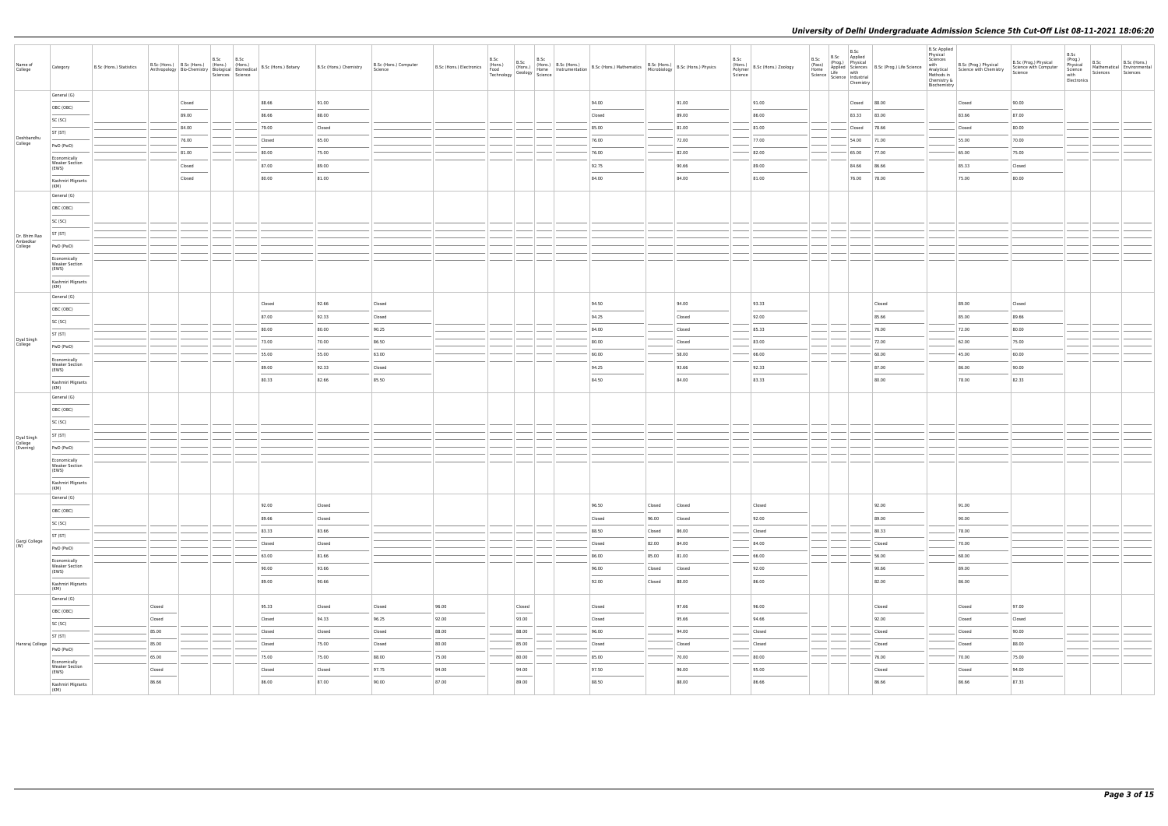| Name of<br>College                 | Category                                                                                                                                                                                                                                                                                                                                                                                                                                                                                | B.Sc (Hons.) Statistics |                  | B.Sc (Hons.) B.Sc (Hons.) (Hons.) (Hons.) | B.Sc B.Sc<br>Sciences Science | Anthropology   Bio-Chemistry   Biological   Biomedical   B.Sc (Hons.) Botany | B.Sc (Hons.) Chemistry | B.Sc (Hons.) Computer<br>Science | B.Sc (Hons.) Electronics | B.Sc | B.Sc<br>B.Sc<br>(Hons.)<br>Food (Hons.)<br>Technology Geology Science |  | B.Sc (Hons.) B.Sc (Hons.)<br>(Home Instrumentation B.Sc (Hons.) Mathematics B.Sc (Hons.) B.Sc (Hons.) Physics<br>Geology Home Instrumentation B.Sc (Hons.) Microbiology B.Sc (Hons.) Physics |        |                | B.Sc<br>Polymer<br>Science | (Hons.)<br>B.Sc (Hons.) Zoology | B.Sc<br>(Pass)<br>Home | B.Sc<br>Home<br>Science Life with<br>Science Industrial<br>Chemistry | B.Sc Applied<br>(Prog.) Physical<br>Applied Sciences B.Sc (Prog.) Life Science | <b>B.Sc Applied</b><br>Physical<br>Sciences<br>Methods in<br>Chemistry &<br>Biochemistry | with B.Sc (Prog.) Physical<br>Analytical Science with Chemistry | B.Sc (Prog.) Physical<br>Science with Computer<br>Science | B.Sc<br>(Prog.)<br>Physical<br>Science<br>with<br>Electronics | B.Sc<br>Sciences | B.Sc (Hons.)<br>Mathematical Environmental<br>Sciences |
|------------------------------------|-----------------------------------------------------------------------------------------------------------------------------------------------------------------------------------------------------------------------------------------------------------------------------------------------------------------------------------------------------------------------------------------------------------------------------------------------------------------------------------------|-------------------------|------------------|-------------------------------------------|-------------------------------|------------------------------------------------------------------------------|------------------------|----------------------------------|--------------------------|------|-----------------------------------------------------------------------|--|----------------------------------------------------------------------------------------------------------------------------------------------------------------------------------------------|--------|----------------|----------------------------|---------------------------------|------------------------|----------------------------------------------------------------------|--------------------------------------------------------------------------------|------------------------------------------------------------------------------------------|-----------------------------------------------------------------|-----------------------------------------------------------|---------------------------------------------------------------|------------------|--------------------------------------------------------|
|                                    | General (G)                                                                                                                                                                                                                                                                                                                                                                                                                                                                             |                         |                  | Closed                                    |                               | 88.66                                                                        | 91.00                  |                                  |                          |      |                                                                       |  | 94.00                                                                                                                                                                                        |        | 91.00          |                            | 91.00                           |                        | Closed                                                               | 88.00                                                                          |                                                                                          | Closed                                                          | 90.00                                                     |                                                               |                  |                                                        |
|                                    | OBC (OBC)<br>$\frac{1}{2} \left( \frac{1}{2} \right) \left( \frac{1}{2} \right) \left( \frac{1}{2} \right) \left( \frac{1}{2} \right) \left( \frac{1}{2} \right) \left( \frac{1}{2} \right) \left( \frac{1}{2} \right) \left( \frac{1}{2} \right) \left( \frac{1}{2} \right) \left( \frac{1}{2} \right) \left( \frac{1}{2} \right) \left( \frac{1}{2} \right) \left( \frac{1}{2} \right) \left( \frac{1}{2} \right) \left( \frac{1}{2} \right) \left( \frac{1}{2} \right) \left( \frac$ |                         |                  | 89.00                                     |                               | 86.66                                                                        | 88.00                  |                                  |                          |      |                                                                       |  | Closed                                                                                                                                                                                       |        | 89.00          |                            | 86.00                           |                        | 83.33                                                                | 83.00                                                                          |                                                                                          | 83.66                                                           | 87.00                                                     |                                                               |                  |                                                        |
|                                    | SC (SC)                                                                                                                                                                                                                                                                                                                                                                                                                                                                                 |                         |                  | 84.00                                     |                               | 79.00                                                                        | Closed                 |                                  |                          |      |                                                                       |  | 85.00                                                                                                                                                                                        |        | 81.00          |                            | 81.00                           |                        | Closed                                                               | 78.66                                                                          |                                                                                          | Closed                                                          | 80.00                                                     |                                                               |                  |                                                        |
| Deshbandhu                         | ST (ST)                                                                                                                                                                                                                                                                                                                                                                                                                                                                                 |                         |                  | 76.00                                     |                               | Closed                                                                       | 65.00                  |                                  |                          |      |                                                                       |  | 76.00                                                                                                                                                                                        |        | 72.00          |                            | 77.00                           |                        | 54.00                                                                | 71.00                                                                          |                                                                                          | 55.00                                                           | 70.00                                                     |                                                               |                  |                                                        |
| College                            | PwD (PwD)                                                                                                                                                                                                                                                                                                                                                                                                                                                                               |                         |                  | 81.00                                     |                               | 80.00                                                                        | 75.00                  |                                  |                          |      |                                                                       |  | 76.00                                                                                                                                                                                        |        | 82.00          |                            | 82.00                           |                        | 65.00                                                                | 77.00                                                                          |                                                                                          | 65.00                                                           | 75.00                                                     |                                                               |                  |                                                        |
|                                    | Economically<br><b>Weaker Section</b>                                                                                                                                                                                                                                                                                                                                                                                                                                                   |                         |                  | Closed                                    |                               | 87.00                                                                        | 89.00                  |                                  |                          |      |                                                                       |  | 92.75                                                                                                                                                                                        |        | 90.66          |                            | 89.00                           |                        | 84.66                                                                | 86.66                                                                          |                                                                                          | 85.33                                                           | Closed                                                    |                                                               |                  |                                                        |
|                                    | (EWS)                                                                                                                                                                                                                                                                                                                                                                                                                                                                                   |                         |                  | Closed                                    |                               | 80.00                                                                        | 81.00                  |                                  |                          |      |                                                                       |  | 84.00                                                                                                                                                                                        |        | 84.00          |                            | 81.00                           |                        | 76.00                                                                | 78.00                                                                          |                                                                                          | 75.00                                                           | 80.00                                                     |                                                               |                  |                                                        |
|                                    | Kashmiri Migrants<br>(KM)                                                                                                                                                                                                                                                                                                                                                                                                                                                               |                         |                  |                                           |                               |                                                                              |                        |                                  |                          |      |                                                                       |  |                                                                                                                                                                                              |        |                |                            |                                 |                        |                                                                      |                                                                                |                                                                                          |                                                                 |                                                           |                                                               |                  |                                                        |
|                                    | General (G)                                                                                                                                                                                                                                                                                                                                                                                                                                                                             |                         |                  |                                           |                               |                                                                              |                        |                                  |                          |      |                                                                       |  |                                                                                                                                                                                              |        |                |                            |                                 |                        |                                                                      |                                                                                |                                                                                          |                                                                 |                                                           |                                                               |                  |                                                        |
|                                    | OBC (OBC)                                                                                                                                                                                                                                                                                                                                                                                                                                                                               |                         |                  |                                           |                               |                                                                              |                        |                                  |                          |      |                                                                       |  |                                                                                                                                                                                              |        |                |                            |                                 |                        |                                                                      |                                                                                |                                                                                          |                                                                 |                                                           |                                                               |                  |                                                        |
|                                    | SC (SC)                                                                                                                                                                                                                                                                                                                                                                                                                                                                                 |                         |                  |                                           |                               |                                                                              |                        |                                  |                          |      |                                                                       |  |                                                                                                                                                                                              |        |                |                            |                                 |                        |                                                                      |                                                                                |                                                                                          |                                                                 |                                                           |                                                               |                  |                                                        |
| Dr. Bhim Rao<br>Ambedkar           | ST (ST)                                                                                                                                                                                                                                                                                                                                                                                                                                                                                 |                         |                  |                                           |                               |                                                                              |                        |                                  |                          |      |                                                                       |  |                                                                                                                                                                                              |        |                |                            |                                 |                        |                                                                      |                                                                                |                                                                                          |                                                                 |                                                           |                                                               |                  |                                                        |
| College                            | PwD (PwD)<br>Economically                                                                                                                                                                                                                                                                                                                                                                                                                                                               |                         |                  |                                           |                               |                                                                              |                        |                                  |                          |      |                                                                       |  |                                                                                                                                                                                              |        |                |                            |                                 |                        |                                                                      |                                                                                |                                                                                          |                                                                 |                                                           |                                                               |                  |                                                        |
|                                    | <b>Weaker Section</b><br>(EWS)                                                                                                                                                                                                                                                                                                                                                                                                                                                          |                         |                  |                                           |                               |                                                                              |                        |                                  |                          |      |                                                                       |  |                                                                                                                                                                                              |        |                |                            |                                 |                        |                                                                      |                                                                                |                                                                                          |                                                                 |                                                           |                                                               |                  |                                                        |
|                                    | Kashmiri Migrants<br>(KM)                                                                                                                                                                                                                                                                                                                                                                                                                                                               |                         |                  |                                           |                               |                                                                              |                        |                                  |                          |      |                                                                       |  |                                                                                                                                                                                              |        |                |                            |                                 |                        |                                                                      |                                                                                |                                                                                          |                                                                 |                                                           |                                                               |                  |                                                        |
|                                    | General (G)                                                                                                                                                                                                                                                                                                                                                                                                                                                                             |                         |                  |                                           |                               |                                                                              |                        |                                  |                          |      |                                                                       |  |                                                                                                                                                                                              |        | 94.00          |                            | 93.33                           |                        |                                                                      |                                                                                |                                                                                          |                                                                 |                                                           |                                                               |                  |                                                        |
|                                    | OBC (OBC)                                                                                                                                                                                                                                                                                                                                                                                                                                                                               |                         |                  |                                           |                               | Closed<br>87.00                                                              | 92.66<br>92.33         | Closed<br>Closed                 |                          |      |                                                                       |  | 94.50<br>94.25                                                                                                                                                                               |        | Closed         |                            | 92.00                           |                        |                                                                      | Closed<br>85.66                                                                |                                                                                          | 89.00<br>85.00                                                  | Closed<br>89.66                                           |                                                               |                  |                                                        |
|                                    | SC (SC)                                                                                                                                                                                                                                                                                                                                                                                                                                                                                 |                         |                  |                                           |                               | 80.00                                                                        | 80.00                  | 90.25                            |                          |      |                                                                       |  | 84.00                                                                                                                                                                                        |        | Closed         |                            | 85.33                           |                        |                                                                      | 76.00                                                                          |                                                                                          | 72.00                                                           | 80.00                                                     |                                                               |                  |                                                        |
| Dyal Singh                         | ST (ST)                                                                                                                                                                                                                                                                                                                                                                                                                                                                                 |                         |                  |                                           |                               | 73.00                                                                        | 70.00                  | 86.50                            |                          |      |                                                                       |  | 80.00                                                                                                                                                                                        |        | Closed         |                            | 83.00                           |                        |                                                                      | 72.00                                                                          |                                                                                          | 62.00                                                           | 75.00                                                     |                                                               |                  |                                                        |
| College                            | PwD (PwD)                                                                                                                                                                                                                                                                                                                                                                                                                                                                               |                         |                  |                                           |                               | 55.00                                                                        | 55.00                  | 63.00                            |                          |      |                                                                       |  | 60.00                                                                                                                                                                                        |        | 58.00          |                            | 66.00                           |                        |                                                                      | 60.00                                                                          |                                                                                          | 45.00                                                           | 60.00                                                     |                                                               |                  |                                                        |
|                                    | Economically<br><b>Weaker Section</b>                                                                                                                                                                                                                                                                                                                                                                                                                                                   |                         |                  |                                           |                               | 89.00                                                                        | 92.33                  | Closed                           |                          |      |                                                                       |  | 94.25                                                                                                                                                                                        |        | 93.66          |                            | 92.33                           |                        |                                                                      | 87.00                                                                          |                                                                                          | 86.00                                                           | 90.00                                                     |                                                               |                  |                                                        |
|                                    | (EWS)<br>Kashmiri Migrants                                                                                                                                                                                                                                                                                                                                                                                                                                                              |                         |                  |                                           |                               | 80.33                                                                        | 82.66                  | 85.50                            |                          |      |                                                                       |  | 84.50                                                                                                                                                                                        |        | 84.00          |                            | 83.33                           |                        |                                                                      | 80.00                                                                          |                                                                                          | 78.00                                                           | 82.33                                                     |                                                               |                  |                                                        |
|                                    | (KM)                                                                                                                                                                                                                                                                                                                                                                                                                                                                                    |                         |                  |                                           |                               |                                                                              |                        |                                  |                          |      |                                                                       |  |                                                                                                                                                                                              |        |                |                            |                                 |                        |                                                                      |                                                                                |                                                                                          |                                                                 |                                                           |                                                               |                  |                                                        |
|                                    | General (G)                                                                                                                                                                                                                                                                                                                                                                                                                                                                             |                         |                  |                                           |                               |                                                                              |                        |                                  |                          |      |                                                                       |  |                                                                                                                                                                                              |        |                |                            |                                 |                        |                                                                      |                                                                                |                                                                                          |                                                                 |                                                           |                                                               |                  |                                                        |
|                                    | OBC (OBC)                                                                                                                                                                                                                                                                                                                                                                                                                                                                               |                         |                  |                                           |                               |                                                                              |                        |                                  |                          |      |                                                                       |  |                                                                                                                                                                                              |        |                |                            |                                 |                        |                                                                      |                                                                                |                                                                                          |                                                                 |                                                           |                                                               |                  |                                                        |
|                                    | SC (SC)<br>ST (ST)                                                                                                                                                                                                                                                                                                                                                                                                                                                                      |                         |                  |                                           |                               |                                                                              |                        |                                  |                          |      |                                                                       |  |                                                                                                                                                                                              |        |                |                            |                                 |                        |                                                                      |                                                                                |                                                                                          |                                                                 |                                                           |                                                               |                  |                                                        |
| Dyal Singh<br>College<br>(Evening) | PwD (PwD)                                                                                                                                                                                                                                                                                                                                                                                                                                                                               |                         |                  |                                           |                               |                                                                              |                        |                                  |                          |      |                                                                       |  |                                                                                                                                                                                              |        |                |                            |                                 |                        |                                                                      |                                                                                |                                                                                          |                                                                 |                                                           |                                                               |                  |                                                        |
|                                    | Economically                                                                                                                                                                                                                                                                                                                                                                                                                                                                            |                         |                  |                                           |                               |                                                                              |                        |                                  |                          |      |                                                                       |  |                                                                                                                                                                                              |        |                |                            |                                 |                        |                                                                      |                                                                                |                                                                                          |                                                                 |                                                           |                                                               |                  |                                                        |
|                                    | <b>Weaker Section</b><br>(EWS)                                                                                                                                                                                                                                                                                                                                                                                                                                                          |                         |                  |                                           |                               |                                                                              |                        |                                  |                          |      |                                                                       |  |                                                                                                                                                                                              |        |                |                            |                                 |                        |                                                                      |                                                                                |                                                                                          |                                                                 |                                                           |                                                               |                  |                                                        |
|                                    | Kashmiri Migrants<br>(KM)                                                                                                                                                                                                                                                                                                                                                                                                                                                               |                         |                  |                                           |                               |                                                                              |                        |                                  |                          |      |                                                                       |  |                                                                                                                                                                                              |        |                |                            |                                 |                        |                                                                      |                                                                                |                                                                                          |                                                                 |                                                           |                                                               |                  |                                                        |
|                                    | General (G)                                                                                                                                                                                                                                                                                                                                                                                                                                                                             |                         |                  |                                           |                               | 92.00                                                                        | Closed                 |                                  |                          |      |                                                                       |  | 96.50                                                                                                                                                                                        | Closed | Closed         |                            | Closed                          |                        |                                                                      | 92.00                                                                          |                                                                                          | 91.00                                                           |                                                           |                                                               |                  |                                                        |
|                                    | OBC (OBC)                                                                                                                                                                                                                                                                                                                                                                                                                                                                               |                         |                  |                                           |                               | 89.66                                                                        | Closed                 |                                  |                          |      |                                                                       |  | Closed                                                                                                                                                                                       | 96.00  | Closed         |                            | 92.00                           |                        |                                                                      | 89.00                                                                          |                                                                                          | 90.00                                                           |                                                           |                                                               |                  |                                                        |
|                                    | SC (SC)<br>ST (ST)                                                                                                                                                                                                                                                                                                                                                                                                                                                                      |                         |                  |                                           |                               | 83.33                                                                        | 83.66                  |                                  |                          |      |                                                                       |  | 88.50                                                                                                                                                                                        | Closed | 86.00          |                            | Closed                          |                        |                                                                      | 80.33                                                                          |                                                                                          | 78.00                                                           |                                                           |                                                               |                  |                                                        |
| Gargi College<br>(W)               | PwD (PwD)                                                                                                                                                                                                                                                                                                                                                                                                                                                                               |                         |                  |                                           |                               | Closed                                                                       | Closed                 |                                  |                          |      |                                                                       |  | Closed                                                                                                                                                                                       | 82.00  | 84.00          |                            | 84.00                           |                        |                                                                      | Closed                                                                         |                                                                                          | 70.00                                                           |                                                           |                                                               |                  |                                                        |
|                                    | Economically                                                                                                                                                                                                                                                                                                                                                                                                                                                                            |                         |                  |                                           |                               | 63.00                                                                        | 81.66                  |                                  |                          |      |                                                                       |  | 86.00                                                                                                                                                                                        | 85.00  | 81.00          |                            | 66.00                           |                        |                                                                      | 56.00                                                                          |                                                                                          | 68.00                                                           |                                                           |                                                               |                  |                                                        |
|                                    | <b>Weaker Section</b><br>(EWS)                                                                                                                                                                                                                                                                                                                                                                                                                                                          |                         |                  |                                           |                               | 90.00                                                                        | 93.66                  |                                  |                          |      |                                                                       |  | 96.00                                                                                                                                                                                        | Closed | Closed         |                            | 92.00                           |                        |                                                                      | 90.66                                                                          |                                                                                          | 89.00                                                           |                                                           |                                                               |                  |                                                        |
|                                    | Kashmiri Migrants<br>(KM)                                                                                                                                                                                                                                                                                                                                                                                                                                                               |                         |                  |                                           |                               | 89.00                                                                        | 90.66                  |                                  |                          |      |                                                                       |  | 92.00                                                                                                                                                                                        | Closed | 88.00          |                            | 86.00                           |                        |                                                                      | 82.00                                                                          |                                                                                          | 86.00                                                           |                                                           |                                                               |                  |                                                        |
|                                    | General (G)                                                                                                                                                                                                                                                                                                                                                                                                                                                                             |                         |                  |                                           |                               |                                                                              |                        |                                  |                          |      |                                                                       |  |                                                                                                                                                                                              |        |                |                            |                                 |                        |                                                                      |                                                                                |                                                                                          |                                                                 |                                                           |                                                               |                  |                                                        |
|                                    | OBC (OBC)                                                                                                                                                                                                                                                                                                                                                                                                                                                                               |                         | Closed<br>Closed |                                           |                               | 95.33<br>Closed                                                              | Closed<br>94.33        | Closed<br>96.25                  | 96.00<br>92.00           |      | Closed<br>93.00                                                       |  | Closed<br>Closed                                                                                                                                                                             |        | 97.66<br>95.66 |                            | 96.00<br>94.66                  |                        |                                                                      | Closed<br>92.00                                                                |                                                                                          | Closed<br>Closed                                                | 97.00<br>Closed                                           |                                                               |                  |                                                        |
|                                    | SC (SC)                                                                                                                                                                                                                                                                                                                                                                                                                                                                                 |                         | 85.00            |                                           |                               | Closed                                                                       | Closed                 | Closed                           | 88.00                    |      | 88.00                                                                 |  | 96.00                                                                                                                                                                                        |        | 94.00          |                            | Closed                          |                        |                                                                      | Closed                                                                         |                                                                                          | Closed                                                          | 90.00                                                     |                                                               |                  |                                                        |
| Hansraj College                    | ST (ST)                                                                                                                                                                                                                                                                                                                                                                                                                                                                                 |                         | 85.00            |                                           |                               | Closed                                                                       | 75.00                  | Closed                           | 80.00                    |      | 85.00                                                                 |  | Closed                                                                                                                                                                                       |        | Closed         |                            | Closed                          |                        |                                                                      | Closed                                                                         |                                                                                          | Closed                                                          | 88.00                                                     |                                                               |                  |                                                        |
|                                    | PwD (PwD)                                                                                                                                                                                                                                                                                                                                                                                                                                                                               |                         | 65.00            |                                           |                               | 75.00                                                                        | 75.00                  | 88.00                            | 75.00                    |      | 80.00                                                                 |  | 85.00                                                                                                                                                                                        |        | 70.00          |                            | 80.00                           |                        |                                                                      | 76.00                                                                          |                                                                                          | 70.00                                                           | 75.00                                                     |                                                               |                  |                                                        |
|                                    | Economically<br><b>Weaker Section</b>                                                                                                                                                                                                                                                                                                                                                                                                                                                   |                         | Closed           |                                           |                               | Closed                                                                       | Closed                 | 97.75                            | 94.00                    |      | 94.00                                                                 |  | 97.50                                                                                                                                                                                        |        | 96.00          |                            | 95.00                           |                        |                                                                      | Closed                                                                         |                                                                                          | Closed                                                          | 94.00                                                     |                                                               |                  |                                                        |
|                                    | (EWS)<br>Kashmiri Migrants                                                                                                                                                                                                                                                                                                                                                                                                                                                              |                         | 86.66            |                                           |                               | 86.00                                                                        | 87.00                  | 90.00                            | 87.00                    |      | 89.00                                                                 |  | 88.50                                                                                                                                                                                        |        | 88.00          |                            | 86.66                           |                        |                                                                      | 86.66                                                                          |                                                                                          | 86.66                                                           | 87.33                                                     |                                                               |                  |                                                        |
|                                    | (KM)                                                                                                                                                                                                                                                                                                                                                                                                                                                                                    |                         |                  |                                           |                               |                                                                              |                        |                                  |                          |      |                                                                       |  |                                                                                                                                                                                              |        |                |                            |                                 |                        |                                                                      |                                                                                |                                                                                          |                                                                 |                                                           |                                                               |                  |                                                        |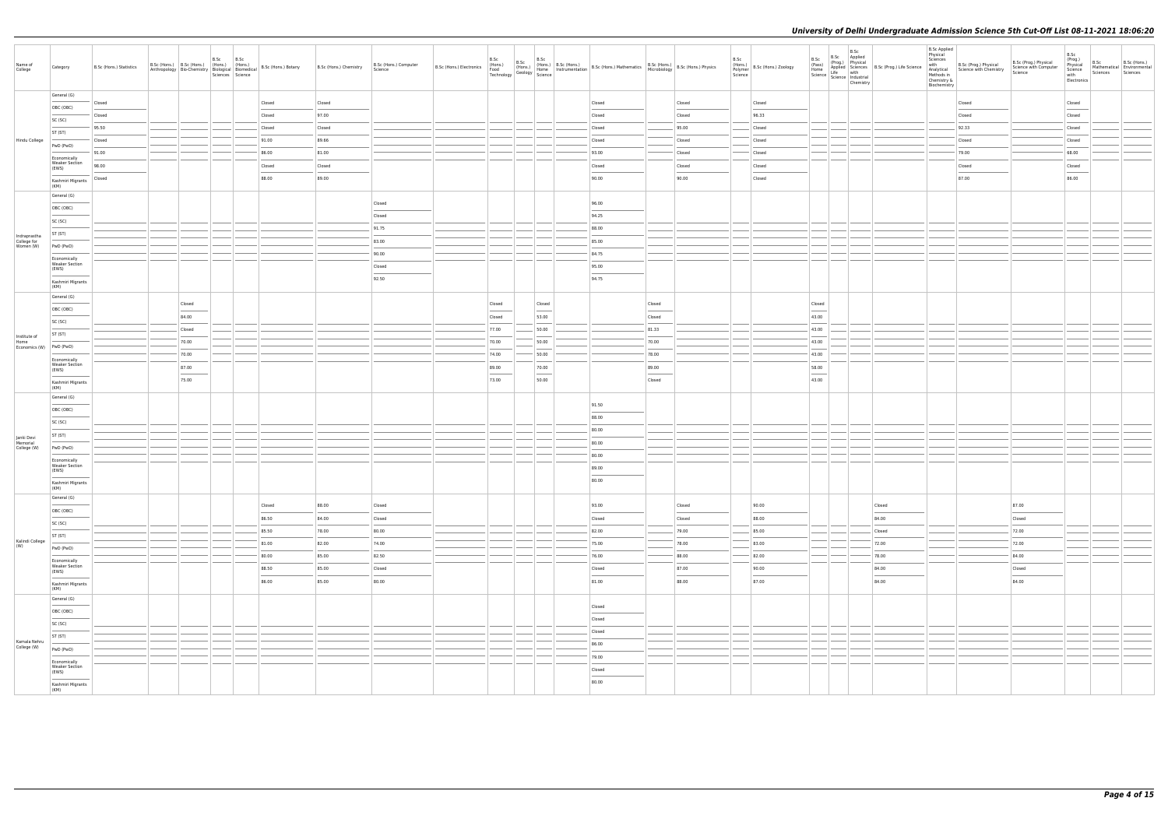| Name of<br>College                       | Category                                                                                                                                                                                                                                                                                                                                                                                                                                                                              | B.Sc (Hons.) Statistics | B.Sc (Hons.) B.Sc (Hons.) (Hons.) (Hons.) |                 | B.Sc | B.Sc<br>Sciences Science | Anthropology Bio-Chemistry Bological Biomedical B.Sc (Hons.) Botany | B.Sc (Hons.) Chemistry | B.Sc (Hons.) Computer<br>Science                                                                                                                                                                                                                                                                                                                                                                                                                                                    |                  |                 | B.Sc (Hons.) B.Sc (Hons.) B.Sc (Hons.) B.Sc (Hons.) B.Sc (Hons.) B.Sc (Hons.) B.Sc (Hons.) Nethermatics B.Sc (Hons.) Nethermatics B.Sc (Hons.) B.Sc (Hons.) Physics Technology Science Hondings (Fechnology Science B.Sc (Hons                                                                                                                                                                                                                                                      |                                  |                  | B.Sc | $\begin{array}{c}\n\left(\text{r} \text{ or } \text{ or } 5.\right) \\ \text{Polymer} \\ \text{Science}\n\end{array}$ B.Sc (Hons.) Zoology | B.Sc<br>(Pass)           | B.Sc Applied | B.Sc<br>Home<br>Science Life with<br>Science Industrial<br>Chemistry | (Prog.) Physical<br>Applied Sciences B.Sc (Prog.) Life Science | <b>B.Sc Applied</b><br>Physical<br>Sciences<br>with<br>Chemistry &<br>Biochemistry | B.Sc (Prog.) Physical<br>Analytical<br>Science with Chemistry<br>Methods in | B.Sc (Prog.) Physical<br>Science with Computer<br>Science | B.Sc<br>(Prog.)<br>Physical<br>Science<br>with<br>Electronics                                                                                                                                                                                  | B.Sc<br>Sciences | B.Sc (Hons.)<br>Mathematical Environmental<br>Sciences |
|------------------------------------------|---------------------------------------------------------------------------------------------------------------------------------------------------------------------------------------------------------------------------------------------------------------------------------------------------------------------------------------------------------------------------------------------------------------------------------------------------------------------------------------|-------------------------|-------------------------------------------|-----------------|------|--------------------------|---------------------------------------------------------------------|------------------------|-------------------------------------------------------------------------------------------------------------------------------------------------------------------------------------------------------------------------------------------------------------------------------------------------------------------------------------------------------------------------------------------------------------------------------------------------------------------------------------|------------------|-----------------|-------------------------------------------------------------------------------------------------------------------------------------------------------------------------------------------------------------------------------------------------------------------------------------------------------------------------------------------------------------------------------------------------------------------------------------------------------------------------------------|----------------------------------|------------------|------|--------------------------------------------------------------------------------------------------------------------------------------------|--------------------------|--------------|----------------------------------------------------------------------|----------------------------------------------------------------|------------------------------------------------------------------------------------|-----------------------------------------------------------------------------|-----------------------------------------------------------|------------------------------------------------------------------------------------------------------------------------------------------------------------------------------------------------------------------------------------------------|------------------|--------------------------------------------------------|
|                                          | General (G)                                                                                                                                                                                                                                                                                                                                                                                                                                                                           | Closed                  |                                           |                 |      |                          | Closed                                                              | Closed                 |                                                                                                                                                                                                                                                                                                                                                                                                                                                                                     |                  |                 | Closed                                                                                                                                                                                                                                                                                                                                                                                                                                                                              |                                  | Closed           |      | Closed                                                                                                                                     |                          |              |                                                                      |                                                                |                                                                                    | Closed                                                                      |                                                           | Closed                                                                                                                                                                                                                                         |                  |                                                        |
|                                          | OBC (OBC)                                                                                                                                                                                                                                                                                                                                                                                                                                                                             | Closed                  |                                           |                 |      |                          | Closed                                                              | 97.00                  |                                                                                                                                                                                                                                                                                                                                                                                                                                                                                     |                  |                 | Closed                                                                                                                                                                                                                                                                                                                                                                                                                                                                              |                                  | Closed           |      | 96.33                                                                                                                                      |                          |              |                                                                      |                                                                |                                                                                    | Closed                                                                      |                                                           | <b>Contract Contract Contract Contract Contract Contract Contract Contract Contract Contract Contract Contract Contract Contract Contract Contract Contract Contract Contract Contract Contract Contract Contract Contract Contr</b><br>Closed |                  |                                                        |
|                                          | SC (SC)                                                                                                                                                                                                                                                                                                                                                                                                                                                                               | 95.50                   |                                           |                 |      |                          | Closed                                                              | Closed                 |                                                                                                                                                                                                                                                                                                                                                                                                                                                                                     |                  |                 | Closed                                                                                                                                                                                                                                                                                                                                                                                                                                                                              |                                  | 95.00            |      | Closed                                                                                                                                     |                          |              |                                                                      |                                                                |                                                                                    | 92.33                                                                       |                                                           | Closed                                                                                                                                                                                                                                         |                  |                                                        |
| Hindu College                            | ST (ST)                                                                                                                                                                                                                                                                                                                                                                                                                                                                               | Closed                  |                                           |                 |      |                          | 91.00                                                               | 89.66                  |                                                                                                                                                                                                                                                                                                                                                                                                                                                                                     |                  |                 | Closed                                                                                                                                                                                                                                                                                                                                                                                                                                                                              |                                  | Closed           |      | Closed                                                                                                                                     |                          |              |                                                                      |                                                                |                                                                                    | Closed                                                                      |                                                           | Closed                                                                                                                                                                                                                                         |                  |                                                        |
|                                          | PwD (PwD)                                                                                                                                                                                                                                                                                                                                                                                                                                                                             | 91.00                   |                                           |                 |      |                          | 86.00                                                               | 81.00                  |                                                                                                                                                                                                                                                                                                                                                                                                                                                                                     |                  |                 | 93.00                                                                                                                                                                                                                                                                                                                                                                                                                                                                               |                                  | Closed           |      | Closed                                                                                                                                     |                          |              |                                                                      |                                                                |                                                                                    | 79.00                                                                       |                                                           | 68.00                                                                                                                                                                                                                                          |                  |                                                        |
|                                          | Economically<br><b>Weaker Section</b><br>(EWS)                                                                                                                                                                                                                                                                                                                                                                                                                                        | 98.00                   |                                           |                 |      |                          | Closed                                                              | Closed                 |                                                                                                                                                                                                                                                                                                                                                                                                                                                                                     |                  |                 | Closed                                                                                                                                                                                                                                                                                                                                                                                                                                                                              |                                  | Closed           |      | Closed                                                                                                                                     |                          |              |                                                                      |                                                                |                                                                                    | Closed                                                                      |                                                           | Closed                                                                                                                                                                                                                                         |                  |                                                        |
|                                          | Kashmiri Migrants                                                                                                                                                                                                                                                                                                                                                                                                                                                                     | Closed                  |                                           |                 |      |                          | 88.00                                                               | 89.00                  |                                                                                                                                                                                                                                                                                                                                                                                                                                                                                     |                  |                 | 90.00                                                                                                                                                                                                                                                                                                                                                                                                                                                                               |                                  | 90.00            |      | Closed                                                                                                                                     |                          |              |                                                                      |                                                                |                                                                                    | 87.00                                                                       |                                                           | <b>Contract Contract</b><br>86.00                                                                                                                                                                                                              |                  |                                                        |
|                                          | (KM)<br>General (G)                                                                                                                                                                                                                                                                                                                                                                                                                                                                   |                         |                                           |                 |      |                          |                                                                     |                        |                                                                                                                                                                                                                                                                                                                                                                                                                                                                                     |                  |                 |                                                                                                                                                                                                                                                                                                                                                                                                                                                                                     |                                  |                  |      |                                                                                                                                            |                          |              |                                                                      |                                                                |                                                                                    |                                                                             |                                                           |                                                                                                                                                                                                                                                |                  |                                                        |
|                                          | OBC (OBC)                                                                                                                                                                                                                                                                                                                                                                                                                                                                             |                         |                                           |                 |      |                          |                                                                     |                        | Closed                                                                                                                                                                                                                                                                                                                                                                                                                                                                              |                  |                 | 96.00                                                                                                                                                                                                                                                                                                                                                                                                                                                                               |                                  |                  |      |                                                                                                                                            |                          |              |                                                                      |                                                                |                                                                                    |                                                                             |                                                           |                                                                                                                                                                                                                                                |                  |                                                        |
|                                          | $\frac{1}{2} \left( \frac{1}{2} \right) \left( \frac{1}{2} \right) \left( \frac{1}{2} \right) \left( \frac{1}{2} \right) \left( \frac{1}{2} \right) \left( \frac{1}{2} \right) \left( \frac{1}{2} \right) \left( \frac{1}{2} \right) \left( \frac{1}{2} \right) \left( \frac{1}{2} \right) \left( \frac{1}{2} \right) \left( \frac{1}{2} \right) \left( \frac{1}{2} \right) \left( \frac{1}{2} \right) \left( \frac{1}{2} \right) \left( \frac{1}{2} \right) \left( \frac$<br>SC (SC) |                         |                                           |                 |      |                          |                                                                     |                        | Closed                                                                                                                                                                                                                                                                                                                                                                                                                                                                              |                  |                 | $\frac{1}{2} \left( \frac{1}{2} \right) \left( \frac{1}{2} \right) \left( \frac{1}{2} \right) \left( \frac{1}{2} \right) \left( \frac{1}{2} \right) \left( \frac{1}{2} \right) \left( \frac{1}{2} \right) \left( \frac{1}{2} \right) \left( \frac{1}{2} \right) \left( \frac{1}{2} \right) \left( \frac{1}{2} \right) \left( \frac{1}{2} \right) \left( \frac{1}{2} \right) \left( \frac{1}{2} \right) \left( \frac{1}{2} \right) \left( \frac{1}{2} \right) \left( \frac$<br>94.25 |                                  |                  |      |                                                                                                                                            |                          |              |                                                                      |                                                                |                                                                                    |                                                                             |                                                           |                                                                                                                                                                                                                                                |                  |                                                        |
|                                          | ST (ST)                                                                                                                                                                                                                                                                                                                                                                                                                                                                               |                         |                                           |                 |      |                          |                                                                     |                        | 91.75                                                                                                                                                                                                                                                                                                                                                                                                                                                                               |                  |                 | 88.00                                                                                                                                                                                                                                                                                                                                                                                                                                                                               |                                  |                  |      |                                                                                                                                            |                          |              |                                                                      |                                                                |                                                                                    |                                                                             |                                                           |                                                                                                                                                                                                                                                |                  |                                                        |
| Indraprastha<br>College for<br>Women (W) | PwD (PwD)                                                                                                                                                                                                                                                                                                                                                                                                                                                                             |                         |                                           |                 |      |                          |                                                                     |                        | 83.00                                                                                                                                                                                                                                                                                                                                                                                                                                                                               |                  |                 | 85.00                                                                                                                                                                                                                                                                                                                                                                                                                                                                               |                                  |                  |      |                                                                                                                                            |                          |              |                                                                      |                                                                |                                                                                    |                                                                             |                                                           |                                                                                                                                                                                                                                                |                  |                                                        |
|                                          | Economically                                                                                                                                                                                                                                                                                                                                                                                                                                                                          |                         |                                           |                 |      |                          |                                                                     |                        | 90.00                                                                                                                                                                                                                                                                                                                                                                                                                                                                               |                  |                 | 84.75                                                                                                                                                                                                                                                                                                                                                                                                                                                                               |                                  |                  |      |                                                                                                                                            |                          |              |                                                                      |                                                                |                                                                                    |                                                                             |                                                           |                                                                                                                                                                                                                                                |                  |                                                        |
|                                          | <b>Weaker Section</b><br>(EWS)                                                                                                                                                                                                                                                                                                                                                                                                                                                        |                         |                                           |                 |      |                          |                                                                     |                        | Closed                                                                                                                                                                                                                                                                                                                                                                                                                                                                              |                  |                 | 95.00                                                                                                                                                                                                                                                                                                                                                                                                                                                                               |                                  |                  |      |                                                                                                                                            |                          |              |                                                                      |                                                                |                                                                                    |                                                                             |                                                           |                                                                                                                                                                                                                                                |                  |                                                        |
|                                          | Kashmiri Migrants<br>(KM)                                                                                                                                                                                                                                                                                                                                                                                                                                                             |                         |                                           |                 |      |                          |                                                                     |                        | $\frac{1}{2} \left( \frac{1}{2} \right) \left( \frac{1}{2} \right) \left( \frac{1}{2} \right) \left( \frac{1}{2} \right) \left( \frac{1}{2} \right) \left( \frac{1}{2} \right) \left( \frac{1}{2} \right) \left( \frac{1}{2} \right) \left( \frac{1}{2} \right) \left( \frac{1}{2} \right) \left( \frac{1}{2} \right) \left( \frac{1}{2} \right) \left( \frac{1}{2} \right) \left( \frac{1}{2} \right) \left( \frac{1}{2} \right) \left( \frac{1}{2} \right) \left( \frac$<br>92.50 |                  |                 | $\frac{1}{2} \left( \frac{1}{2} \right) \left( \frac{1}{2} \right) \left( \frac{1}{2} \right) \left( \frac{1}{2} \right) \left( \frac{1}{2} \right) \left( \frac{1}{2} \right) \left( \frac{1}{2} \right) \left( \frac{1}{2} \right) \left( \frac{1}{2} \right) \left( \frac{1}{2} \right) \left( \frac{1}{2} \right) \left( \frac{1}{2} \right) \left( \frac{1}{2} \right) \left( \frac{1}{2} \right) \left( \frac{1}{2} \right) \left( \frac{1}{2} \right) \left( \frac$<br>94.75 |                                  |                  |      |                                                                                                                                            |                          |              |                                                                      |                                                                |                                                                                    |                                                                             |                                                           |                                                                                                                                                                                                                                                |                  |                                                        |
|                                          | General (G)                                                                                                                                                                                                                                                                                                                                                                                                                                                                           |                         |                                           |                 |      |                          |                                                                     |                        |                                                                                                                                                                                                                                                                                                                                                                                                                                                                                     |                  |                 |                                                                                                                                                                                                                                                                                                                                                                                                                                                                                     |                                  |                  |      |                                                                                                                                            |                          |              |                                                                      |                                                                |                                                                                    |                                                                             |                                                           |                                                                                                                                                                                                                                                |                  |                                                        |
|                                          | OBC (OBC)                                                                                                                                                                                                                                                                                                                                                                                                                                                                             |                         |                                           | Closed<br>84.00 |      |                          |                                                                     |                        |                                                                                                                                                                                                                                                                                                                                                                                                                                                                                     | Closed<br>Closed | Closed<br>53.00 |                                                                                                                                                                                                                                                                                                                                                                                                                                                                                     | Closed<br>Closed                 |                  |      |                                                                                                                                            | Closed<br>43.00          |              |                                                                      |                                                                |                                                                                    |                                                                             |                                                           |                                                                                                                                                                                                                                                |                  |                                                        |
|                                          | SC (SC)                                                                                                                                                                                                                                                                                                                                                                                                                                                                               |                         |                                           |                 |      |                          |                                                                     |                        |                                                                                                                                                                                                                                                                                                                                                                                                                                                                                     |                  |                 |                                                                                                                                                                                                                                                                                                                                                                                                                                                                                     |                                  |                  |      |                                                                                                                                            |                          |              |                                                                      |                                                                |                                                                                    |                                                                             |                                                           |                                                                                                                                                                                                                                                |                  |                                                        |
| Institute of<br>Home                     | ST (ST)                                                                                                                                                                                                                                                                                                                                                                                                                                                                               |                         |                                           | Closed<br>70.00 |      |                          |                                                                     |                        |                                                                                                                                                                                                                                                                                                                                                                                                                                                                                     | 77.00<br>70.00   | 50.00<br>50.00  |                                                                                                                                                                                                                                                                                                                                                                                                                                                                                     | 81.33<br>70.00                   |                  |      |                                                                                                                                            | 43.00<br>43.00           |              |                                                                      |                                                                |                                                                                    |                                                                             |                                                           |                                                                                                                                                                                                                                                |                  |                                                        |
| Economics (W) PwD (PwD)                  |                                                                                                                                                                                                                                                                                                                                                                                                                                                                                       |                         |                                           | 70.00           |      |                          |                                                                     |                        |                                                                                                                                                                                                                                                                                                                                                                                                                                                                                     | 74.00            | 50.00           |                                                                                                                                                                                                                                                                                                                                                                                                                                                                                     | 78.00                            |                  |      |                                                                                                                                            | 43.00                    |              |                                                                      |                                                                |                                                                                    |                                                                             |                                                           |                                                                                                                                                                                                                                                |                  |                                                        |
|                                          | Economically<br><b>Weaker Section</b>                                                                                                                                                                                                                                                                                                                                                                                                                                                 |                         |                                           |                 |      |                          |                                                                     |                        |                                                                                                                                                                                                                                                                                                                                                                                                                                                                                     |                  |                 |                                                                                                                                                                                                                                                                                                                                                                                                                                                                                     |                                  |                  |      |                                                                                                                                            |                          |              |                                                                      |                                                                |                                                                                    |                                                                             |                                                           |                                                                                                                                                                                                                                                |                  |                                                        |
|                                          | (EWS)                                                                                                                                                                                                                                                                                                                                                                                                                                                                                 |                         |                                           | 87.00<br>75.00  |      |                          |                                                                     |                        |                                                                                                                                                                                                                                                                                                                                                                                                                                                                                     | 89.00<br>73.00   | 70.00<br>50.00  |                                                                                                                                                                                                                                                                                                                                                                                                                                                                                     | 89.00<br>$\frac{1}{2}$<br>Closed |                  |      |                                                                                                                                            | 58.00<br>$\sim$<br>43.00 |              |                                                                      |                                                                |                                                                                    |                                                                             |                                                           |                                                                                                                                                                                                                                                |                  |                                                        |
|                                          | Kashmiri Migrants<br>(KM)                                                                                                                                                                                                                                                                                                                                                                                                                                                             |                         |                                           |                 |      |                          |                                                                     |                        |                                                                                                                                                                                                                                                                                                                                                                                                                                                                                     |                  |                 |                                                                                                                                                                                                                                                                                                                                                                                                                                                                                     |                                  |                  |      |                                                                                                                                            |                          |              |                                                                      |                                                                |                                                                                    |                                                                             |                                                           |                                                                                                                                                                                                                                                |                  |                                                        |
|                                          | General (G)                                                                                                                                                                                                                                                                                                                                                                                                                                                                           |                         |                                           |                 |      |                          |                                                                     |                        |                                                                                                                                                                                                                                                                                                                                                                                                                                                                                     |                  |                 | 91.50                                                                                                                                                                                                                                                                                                                                                                                                                                                                               |                                  |                  |      |                                                                                                                                            |                          |              |                                                                      |                                                                |                                                                                    |                                                                             |                                                           |                                                                                                                                                                                                                                                |                  |                                                        |
|                                          | OBC (OBC)                                                                                                                                                                                                                                                                                                                                                                                                                                                                             |                         |                                           |                 |      |                          |                                                                     |                        |                                                                                                                                                                                                                                                                                                                                                                                                                                                                                     |                  |                 | 88.00                                                                                                                                                                                                                                                                                                                                                                                                                                                                               |                                  |                  |      |                                                                                                                                            |                          |              |                                                                      |                                                                |                                                                                    |                                                                             |                                                           |                                                                                                                                                                                                                                                |                  |                                                        |
|                                          | SC (SC)                                                                                                                                                                                                                                                                                                                                                                                                                                                                               |                         |                                           |                 |      |                          |                                                                     |                        |                                                                                                                                                                                                                                                                                                                                                                                                                                                                                     |                  |                 | 80.00                                                                                                                                                                                                                                                                                                                                                                                                                                                                               |                                  |                  |      |                                                                                                                                            |                          |              |                                                                      |                                                                |                                                                                    |                                                                             |                                                           |                                                                                                                                                                                                                                                |                  |                                                        |
| Janki Devi<br>Memorial                   | ST (ST)                                                                                                                                                                                                                                                                                                                                                                                                                                                                               |                         |                                           |                 |      |                          |                                                                     |                        |                                                                                                                                                                                                                                                                                                                                                                                                                                                                                     |                  |                 | 80.00                                                                                                                                                                                                                                                                                                                                                                                                                                                                               |                                  |                  |      |                                                                                                                                            |                          |              |                                                                      |                                                                |                                                                                    |                                                                             |                                                           |                                                                                                                                                                                                                                                |                  |                                                        |
| College (W)                              | PwD (PwD)                                                                                                                                                                                                                                                                                                                                                                                                                                                                             |                         |                                           |                 |      |                          |                                                                     |                        |                                                                                                                                                                                                                                                                                                                                                                                                                                                                                     |                  |                 | 80.00                                                                                                                                                                                                                                                                                                                                                                                                                                                                               |                                  |                  |      |                                                                                                                                            |                          |              |                                                                      |                                                                |                                                                                    |                                                                             |                                                           |                                                                                                                                                                                                                                                |                  |                                                        |
|                                          | Economically<br><b>Weaker Section</b><br>(EWS)                                                                                                                                                                                                                                                                                                                                                                                                                                        |                         |                                           |                 |      |                          |                                                                     |                        |                                                                                                                                                                                                                                                                                                                                                                                                                                                                                     |                  |                 | 89.00                                                                                                                                                                                                                                                                                                                                                                                                                                                                               |                                  |                  |      |                                                                                                                                            |                          |              |                                                                      |                                                                |                                                                                    |                                                                             |                                                           |                                                                                                                                                                                                                                                |                  |                                                        |
|                                          | $\sim$<br>  Kashmiri Migrants<br>(KM)                                                                                                                                                                                                                                                                                                                                                                                                                                                 |                         |                                           |                 |      |                          |                                                                     |                        |                                                                                                                                                                                                                                                                                                                                                                                                                                                                                     |                  |                 | 80.00                                                                                                                                                                                                                                                                                                                                                                                                                                                                               |                                  |                  |      |                                                                                                                                            |                          |              |                                                                      |                                                                |                                                                                    |                                                                             |                                                           |                                                                                                                                                                                                                                                |                  |                                                        |
|                                          | General (G)                                                                                                                                                                                                                                                                                                                                                                                                                                                                           |                         |                                           |                 |      |                          |                                                                     | 88.00                  |                                                                                                                                                                                                                                                                                                                                                                                                                                                                                     |                  |                 | 93.00                                                                                                                                                                                                                                                                                                                                                                                                                                                                               |                                  |                  |      | 90.00                                                                                                                                      |                          |              |                                                                      |                                                                |                                                                                    |                                                                             | 87.00                                                     |                                                                                                                                                                                                                                                |                  |                                                        |
|                                          | OBC (OBC)                                                                                                                                                                                                                                                                                                                                                                                                                                                                             |                         |                                           |                 |      |                          | Closed<br>86.50                                                     | 84.00                  | Closed<br>Closed                                                                                                                                                                                                                                                                                                                                                                                                                                                                    |                  |                 | Closed                                                                                                                                                                                                                                                                                                                                                                                                                                                                              |                                  | Closed<br>Closed |      | 88.00                                                                                                                                      |                          |              |                                                                      | Closed<br>84.00                                                |                                                                                    |                                                                             | Closed                                                    |                                                                                                                                                                                                                                                |                  |                                                        |
|                                          | SC (SC)                                                                                                                                                                                                                                                                                                                                                                                                                                                                               |                         |                                           |                 |      |                          | 85.50                                                               | 78.00                  | 80.00                                                                                                                                                                                                                                                                                                                                                                                                                                                                               |                  |                 | 82.00                                                                                                                                                                                                                                                                                                                                                                                                                                                                               |                                  | 79.00            |      | 85.00                                                                                                                                      |                          |              |                                                                      | Closed                                                         |                                                                                    |                                                                             | 72.00                                                     |                                                                                                                                                                                                                                                |                  |                                                        |
| Kalindi College                          | ST (ST)                                                                                                                                                                                                                                                                                                                                                                                                                                                                               |                         |                                           |                 |      |                          | 81.00                                                               | 82.00                  | 74.00                                                                                                                                                                                                                                                                                                                                                                                                                                                                               |                  |                 | 75.00                                                                                                                                                                                                                                                                                                                                                                                                                                                                               |                                  | 78.00            |      | 83.00                                                                                                                                      |                          | ___          |                                                                      | 72.00                                                          |                                                                                    |                                                                             | 72.00                                                     |                                                                                                                                                                                                                                                |                  |                                                        |
| (W)                                      | PwD (PwD)                                                                                                                                                                                                                                                                                                                                                                                                                                                                             |                         |                                           |                 |      |                          | 80.00                                                               | 85.00                  | 82.50                                                                                                                                                                                                                                                                                                                                                                                                                                                                               |                  |                 | 76.00                                                                                                                                                                                                                                                                                                                                                                                                                                                                               |                                  | 88.00            |      | 82.00                                                                                                                                      |                          |              |                                                                      | 78.00                                                          |                                                                                    |                                                                             | 84.00                                                     |                                                                                                                                                                                                                                                |                  |                                                        |
|                                          | Economically<br><b>Weaker Section</b>                                                                                                                                                                                                                                                                                                                                                                                                                                                 |                         |                                           |                 |      |                          |                                                                     |                        |                                                                                                                                                                                                                                                                                                                                                                                                                                                                                     |                  |                 |                                                                                                                                                                                                                                                                                                                                                                                                                                                                                     |                                  |                  |      |                                                                                                                                            |                          |              |                                                                      |                                                                |                                                                                    |                                                                             |                                                           |                                                                                                                                                                                                                                                |                  |                                                        |
|                                          | (EWS)                                                                                                                                                                                                                                                                                                                                                                                                                                                                                 |                         |                                           |                 |      |                          | 88.50<br>86.00                                                      | 85.00<br>85.00         | Closed<br>80.00                                                                                                                                                                                                                                                                                                                                                                                                                                                                     |                  |                 | Closed<br>81.00                                                                                                                                                                                                                                                                                                                                                                                                                                                                     |                                  | 87.00<br>88.00   |      | 90.00<br>87.00                                                                                                                             |                          |              |                                                                      | 84.00<br>84.00                                                 |                                                                                    |                                                                             | Closed<br>84.00                                           |                                                                                                                                                                                                                                                |                  |                                                        |
|                                          | Kashmiri Migrants<br>(KM)<br>General (G)                                                                                                                                                                                                                                                                                                                                                                                                                                              |                         |                                           |                 |      |                          |                                                                     |                        |                                                                                                                                                                                                                                                                                                                                                                                                                                                                                     |                  |                 |                                                                                                                                                                                                                                                                                                                                                                                                                                                                                     |                                  |                  |      |                                                                                                                                            |                          |              |                                                                      |                                                                |                                                                                    |                                                                             |                                                           |                                                                                                                                                                                                                                                |                  |                                                        |
|                                          | OBC (OBC)                                                                                                                                                                                                                                                                                                                                                                                                                                                                             |                         |                                           |                 |      |                          |                                                                     |                        |                                                                                                                                                                                                                                                                                                                                                                                                                                                                                     |                  |                 | Closed                                                                                                                                                                                                                                                                                                                                                                                                                                                                              |                                  |                  |      |                                                                                                                                            |                          |              |                                                                      |                                                                |                                                                                    |                                                                             |                                                           |                                                                                                                                                                                                                                                |                  |                                                        |
|                                          | SC (SC)                                                                                                                                                                                                                                                                                                                                                                                                                                                                               |                         |                                           |                 |      |                          |                                                                     |                        |                                                                                                                                                                                                                                                                                                                                                                                                                                                                                     |                  |                 | $\frac{1}{2}$<br>Closed                                                                                                                                                                                                                                                                                                                                                                                                                                                             |                                  |                  |      |                                                                                                                                            |                          |              |                                                                      |                                                                |                                                                                    |                                                                             |                                                           |                                                                                                                                                                                                                                                |                  |                                                        |
|                                          | ST (ST)                                                                                                                                                                                                                                                                                                                                                                                                                                                                               |                         |                                           |                 |      |                          |                                                                     |                        |                                                                                                                                                                                                                                                                                                                                                                                                                                                                                     |                  |                 | Closed                                                                                                                                                                                                                                                                                                                                                                                                                                                                              |                                  |                  |      |                                                                                                                                            |                          |              |                                                                      |                                                                |                                                                                    |                                                                             |                                                           |                                                                                                                                                                                                                                                |                  |                                                        |
| Kamala Nehru<br>College (W)              | PwD (PwD)                                                                                                                                                                                                                                                                                                                                                                                                                                                                             |                         |                                           |                 |      |                          |                                                                     |                        |                                                                                                                                                                                                                                                                                                                                                                                                                                                                                     |                  |                 | 86.00                                                                                                                                                                                                                                                                                                                                                                                                                                                                               |                                  |                  |      |                                                                                                                                            |                          | ____         |                                                                      |                                                                |                                                                                    |                                                                             |                                                           |                                                                                                                                                                                                                                                |                  |                                                        |
|                                          | Economically                                                                                                                                                                                                                                                                                                                                                                                                                                                                          |                         |                                           |                 |      |                          |                                                                     |                        |                                                                                                                                                                                                                                                                                                                                                                                                                                                                                     |                  |                 | 79.00                                                                                                                                                                                                                                                                                                                                                                                                                                                                               |                                  |                  |      |                                                                                                                                            |                          |              |                                                                      |                                                                |                                                                                    |                                                                             |                                                           |                                                                                                                                                                                                                                                |                  |                                                        |
|                                          | <b>Weaker Section</b><br>(EWS)                                                                                                                                                                                                                                                                                                                                                                                                                                                        |                         |                                           |                 |      |                          |                                                                     |                        |                                                                                                                                                                                                                                                                                                                                                                                                                                                                                     |                  |                 | Closed                                                                                                                                                                                                                                                                                                                                                                                                                                                                              |                                  |                  |      |                                                                                                                                            |                          |              |                                                                      |                                                                |                                                                                    |                                                                             |                                                           |                                                                                                                                                                                                                                                |                  |                                                        |
|                                          | Kashmiri Migrants<br>(KM)                                                                                                                                                                                                                                                                                                                                                                                                                                                             |                         |                                           |                 |      |                          |                                                                     |                        |                                                                                                                                                                                                                                                                                                                                                                                                                                                                                     |                  |                 | $\frac{1}{2} \left( \frac{1}{2} \right) \left( \frac{1}{2} \right) \left( \frac{1}{2} \right) \left( \frac{1}{2} \right) \left( \frac{1}{2} \right) \left( \frac{1}{2} \right) \left( \frac{1}{2} \right) \left( \frac{1}{2} \right) \left( \frac{1}{2} \right) \left( \frac{1}{2} \right) \left( \frac{1}{2} \right) \left( \frac{1}{2} \right) \left( \frac{1}{2} \right) \left( \frac{1}{2} \right) \left( \frac{1}{2} \right) \left( \frac{1}{2} \right) \left( \frac$<br>80.00 |                                  |                  |      |                                                                                                                                            |                          |              |                                                                      |                                                                |                                                                                    |                                                                             |                                                           |                                                                                                                                                                                                                                                |                  |                                                        |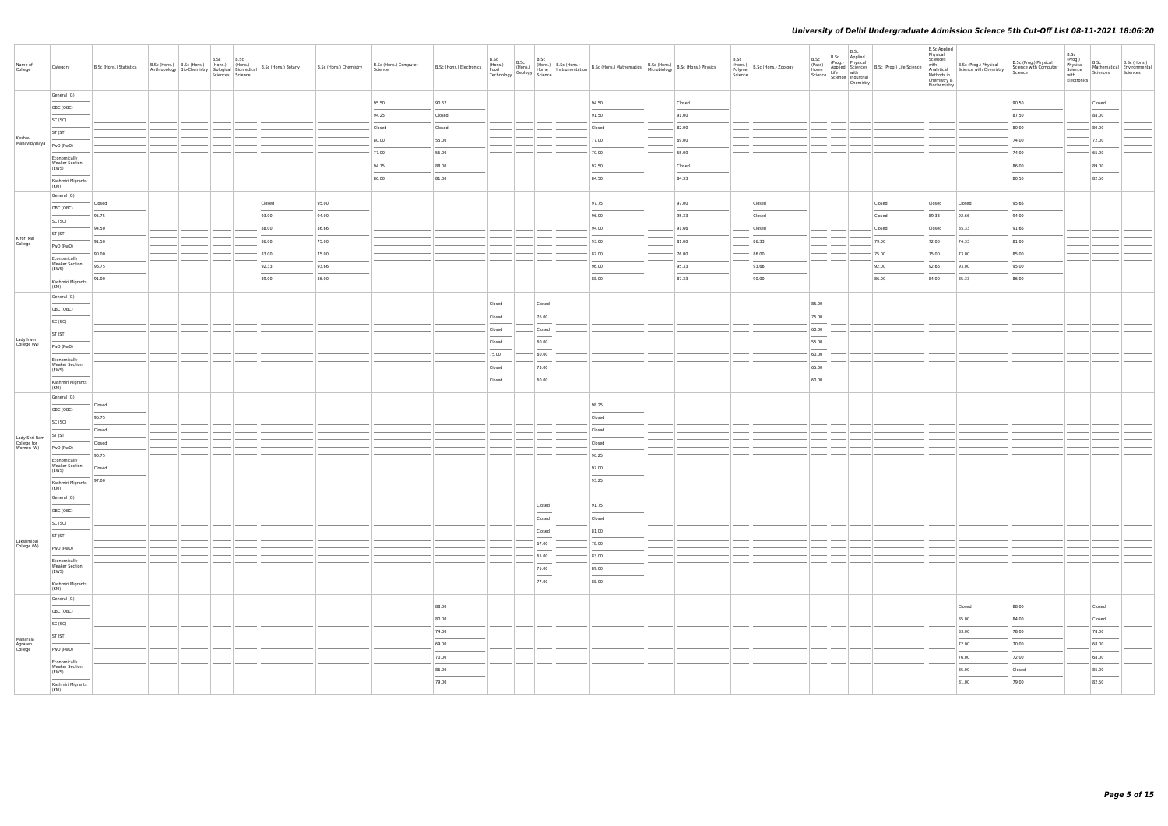| Name of<br>College                        | Category                                       | B.Sc (Hons.) Statistics | B.Sc (Hons.) B.Sc (Hons.) (Hons.) (Hons.) | B.Sc<br>Sciences Science | B.Sc | Anthropology Bio-Chemistry Bological Biomedical B.Sc (Hons.) Botany | B.Sc (Hons.) Chemistry | B.Sc (Hons.) Computer<br>Science |                                                                                                                                                                                                                                                                                                                                                                                                                                                                                     | B.Sc   | B.Sc | B.Sc                              | B.Sc (Hons.) Electronics (Hons.) B.Sc (Hons.) B.Sc (Hons.) B.Sc (Hons.) Mathematics B.Sc (Hons.) B.Sc (Hons.) Physics<br>Technology Geology Home Instrumentation B.Sc (Hons.) Mathematics Microbiology B.Sc (Hons.) Physics |        | B.Sc<br>(Hons.)<br>Polymer<br>Science | B.Sc (Hons.) Zoology |                 |       | B.Sc | B.Sc<br>(Prog.) Physical<br>Applied Sciences<br>Life with<br>Life with | <b>B.Sc Applied</b><br>Physical<br>Sciences<br>with<br>Chemistry &<br>Biochemistry | with B.Sc (Prog.) Physical B.Sc (Protein Science v.<br>Analytical Science with Chemistry Science v.<br>Methods in | B.Sc (Prog.) Physical<br>Science with Computer | B.Sc<br>(Prog.)<br>Physical<br>Science<br>with<br>Electronics | B.Sc<br>Sciences Sciences                                                                                                                                                                                                                                                                                                                                                                                                                                                            | B.Sc (Hons.)<br>Mathematical Environmental |
|-------------------------------------------|------------------------------------------------|-------------------------|-------------------------------------------|--------------------------|------|---------------------------------------------------------------------|------------------------|----------------------------------|-------------------------------------------------------------------------------------------------------------------------------------------------------------------------------------------------------------------------------------------------------------------------------------------------------------------------------------------------------------------------------------------------------------------------------------------------------------------------------------|--------|------|-----------------------------------|-----------------------------------------------------------------------------------------------------------------------------------------------------------------------------------------------------------------------------|--------|---------------------------------------|----------------------|-----------------|-------|------|------------------------------------------------------------------------|------------------------------------------------------------------------------------|-------------------------------------------------------------------------------------------------------------------|------------------------------------------------|---------------------------------------------------------------|--------------------------------------------------------------------------------------------------------------------------------------------------------------------------------------------------------------------------------------------------------------------------------------------------------------------------------------------------------------------------------------------------------------------------------------------------------------------------------------|--------------------------------------------|
|                                           | General (G)                                    |                         |                                           |                          |      |                                                                     |                        | 95.50                            | 90.67                                                                                                                                                                                                                                                                                                                                                                                                                                                                               |        |      |                                   | 94.50                                                                                                                                                                                                                       | Closed |                                       |                      |                 |       |      |                                                                        |                                                                                    |                                                                                                                   | 90.50                                          |                                                               | Closed                                                                                                                                                                                                                                                                                                                                                                                                                                                                               |                                            |
|                                           | OBC (OBC)                                      |                         |                                           |                          |      |                                                                     |                        | 94.25                            | Closed                                                                                                                                                                                                                                                                                                                                                                                                                                                                              |        |      |                                   | 91.50                                                                                                                                                                                                                       | 91.00  |                                       |                      |                 |       |      |                                                                        |                                                                                    |                                                                                                                   | 87.50                                          |                                                               | 88.00                                                                                                                                                                                                                                                                                                                                                                                                                                                                                |                                            |
|                                           | SC (SC)                                        |                         |                                           |                          |      |                                                                     |                        | Closed                           | Closed                                                                                                                                                                                                                                                                                                                                                                                                                                                                              |        |      |                                   | Closed                                                                                                                                                                                                                      | 82.00  |                                       |                      |                 |       |      |                                                                        |                                                                                    |                                                                                                                   | 80.00                                          |                                                               | 80.00                                                                                                                                                                                                                                                                                                                                                                                                                                                                                |                                            |
| Keshav                                    | ST (ST)                                        |                         |                                           |                          |      |                                                                     |                        | 80.00                            | 55.00                                                                                                                                                                                                                                                                                                                                                                                                                                                                               |        |      |                                   | 77.00                                                                                                                                                                                                                       | 69.00  |                                       |                      |                 |       |      |                                                                        |                                                                                    |                                                                                                                   | 74.00                                          |                                                               | 72.00                                                                                                                                                                                                                                                                                                                                                                                                                                                                                |                                            |
| Mahavidyalaya   PwD (PwD)                 |                                                |                         |                                           |                          |      |                                                                     |                        | 77.00                            | 55.00                                                                                                                                                                                                                                                                                                                                                                                                                                                                               |        |      |                                   | 70.00                                                                                                                                                                                                                       | 55.00  |                                       |                      |                 |       |      |                                                                        |                                                                                    |                                                                                                                   | 74.00                                          |                                                               | 65.00                                                                                                                                                                                                                                                                                                                                                                                                                                                                                |                                            |
|                                           | Economically<br><b>Weaker Section</b><br>(EWS) |                         |                                           |                          |      |                                                                     |                        | 94.75                            | 88.00                                                                                                                                                                                                                                                                                                                                                                                                                                                                               |        |      |                                   | 92.50                                                                                                                                                                                                                       | Closed |                                       |                      |                 |       |      |                                                                        |                                                                                    |                                                                                                                   | 86.00                                          |                                                               | 89.00                                                                                                                                                                                                                                                                                                                                                                                                                                                                                |                                            |
|                                           | Kashmiri Migrants                              |                         |                                           |                          |      |                                                                     |                        | 86.00                            | 81.00                                                                                                                                                                                                                                                                                                                                                                                                                                                                               |        |      |                                   | 84.50                                                                                                                                                                                                                       | 84.33  |                                       |                      |                 |       |      |                                                                        |                                                                                    |                                                                                                                   | 80.50                                          |                                                               | 82.50                                                                                                                                                                                                                                                                                                                                                                                                                                                                                |                                            |
|                                           | (KM)                                           |                         |                                           |                          |      |                                                                     |                        |                                  |                                                                                                                                                                                                                                                                                                                                                                                                                                                                                     |        |      |                                   |                                                                                                                                                                                                                             |        |                                       |                      |                 |       |      |                                                                        |                                                                                    |                                                                                                                   |                                                |                                                               |                                                                                                                                                                                                                                                                                                                                                                                                                                                                                      |                                            |
|                                           | General (G)                                    | Closed                  |                                           |                          |      | Closed                                                              | 95.00                  |                                  |                                                                                                                                                                                                                                                                                                                                                                                                                                                                                     |        |      |                                   | 97.75                                                                                                                                                                                                                       | 97.00  |                                       | Closed               |                 |       |      | Closed                                                                 | Closed                                                                             | Closed                                                                                                            | 95.66                                          |                                                               |                                                                                                                                                                                                                                                                                                                                                                                                                                                                                      |                                            |
|                                           | OBC (OBC)                                      | 95.75                   |                                           |                          |      | 93.00                                                               | 94.00                  |                                  |                                                                                                                                                                                                                                                                                                                                                                                                                                                                                     |        |      |                                   | 96.00                                                                                                                                                                                                                       | 95.33  |                                       | Closed               |                 |       |      | Closed                                                                 | 89.33                                                                              | 92.66                                                                                                             | 94.00                                          |                                                               |                                                                                                                                                                                                                                                                                                                                                                                                                                                                                      |                                            |
|                                           | SC (SC)                                        | 94.50                   |                                           |                          |      | 88.00                                                               | 86.66                  |                                  |                                                                                                                                                                                                                                                                                                                                                                                                                                                                                     |        |      |                                   | 94.00                                                                                                                                                                                                                       | 91.66  |                                       | Closed               |                 |       |      | Closed                                                                 | Closed                                                                             | 85.33                                                                                                             | 91.66                                          |                                                               |                                                                                                                                                                                                                                                                                                                                                                                                                                                                                      |                                            |
| Kirori Mal<br>College                     | ST (ST)                                        | 91.50                   |                                           |                          |      | 86.00                                                               | 75.00                  |                                  |                                                                                                                                                                                                                                                                                                                                                                                                                                                                                     |        |      |                                   | 93.00                                                                                                                                                                                                                       | 81.00  |                                       | 86.33                |                 |       |      | 79.00                                                                  | 72.00                                                                              | 74.33                                                                                                             | 81.00                                          |                                                               |                                                                                                                                                                                                                                                                                                                                                                                                                                                                                      |                                            |
|                                           | PwD (PwD)                                      | 90.00                   |                                           |                          |      | 83.00                                                               | 75.00                  |                                  |                                                                                                                                                                                                                                                                                                                                                                                                                                                                                     |        |      |                                   | 87.00                                                                                                                                                                                                                       | 76.00  |                                       | 86.00                |                 |       |      | 75.00                                                                  | 75.00                                                                              | 73.00                                                                                                             | 85.00                                          |                                                               |                                                                                                                                                                                                                                                                                                                                                                                                                                                                                      |                                            |
|                                           | Economically<br><b>Weaker Section</b><br>(EWS) | 96.75                   |                                           |                          |      | 92.33                                                               | 93.66                  |                                  |                                                                                                                                                                                                                                                                                                                                                                                                                                                                                     |        |      |                                   | 96.00                                                                                                                                                                                                                       | 95.33  |                                       | 93.66                |                 |       |      | 92.00                                                                  | 92.66                                                                              | 93.00                                                                                                             | 95.00                                          |                                                               |                                                                                                                                                                                                                                                                                                                                                                                                                                                                                      |                                            |
|                                           | Kashmiri Migrants                              | 91.00                   |                                           |                          |      | 89.00                                                               | 86.00                  |                                  |                                                                                                                                                                                                                                                                                                                                                                                                                                                                                     |        |      |                                   | 88.00                                                                                                                                                                                                                       | 87.33  |                                       | 90.00                |                 |       |      | 86.00                                                                  | 84.00                                                                              | 85.33                                                                                                             | 86.00                                          |                                                               |                                                                                                                                                                                                                                                                                                                                                                                                                                                                                      |                                            |
|                                           | (KM)<br>General (G)                            |                         |                                           |                          |      |                                                                     |                        |                                  |                                                                                                                                                                                                                                                                                                                                                                                                                                                                                     |        |      |                                   |                                                                                                                                                                                                                             |        |                                       |                      |                 |       |      |                                                                        |                                                                                    |                                                                                                                   |                                                |                                                               |                                                                                                                                                                                                                                                                                                                                                                                                                                                                                      |                                            |
|                                           | OBC (OBC)                                      |                         |                                           |                          |      |                                                                     |                        |                                  |                                                                                                                                                                                                                                                                                                                                                                                                                                                                                     | Closed |      | Closed                            |                                                                                                                                                                                                                             |        |                                       |                      | 85.00           |       |      |                                                                        |                                                                                    |                                                                                                                   |                                                |                                                               |                                                                                                                                                                                                                                                                                                                                                                                                                                                                                      |                                            |
|                                           | SC (SC)                                        |                         |                                           |                          |      |                                                                     |                        |                                  |                                                                                                                                                                                                                                                                                                                                                                                                                                                                                     | Closed |      | 76.00                             |                                                                                                                                                                                                                             |        |                                       |                      | 75.00           |       |      |                                                                        |                                                                                    |                                                                                                                   |                                                |                                                               |                                                                                                                                                                                                                                                                                                                                                                                                                                                                                      |                                            |
|                                           | ST (ST)                                        |                         |                                           |                          |      |                                                                     |                        |                                  |                                                                                                                                                                                                                                                                                                                                                                                                                                                                                     | Closed |      | Closed                            |                                                                                                                                                                                                                             |        |                                       |                      | 60.00           |       |      |                                                                        |                                                                                    |                                                                                                                   |                                                |                                                               |                                                                                                                                                                                                                                                                                                                                                                                                                                                                                      |                                            |
| Lady Irwin<br>College (W)                 | PwD (PwD)                                      |                         |                                           |                          |      |                                                                     |                        |                                  |                                                                                                                                                                                                                                                                                                                                                                                                                                                                                     | Closed |      | 60.00                             |                                                                                                                                                                                                                             |        |                                       |                      | 55.00           |       |      |                                                                        |                                                                                    |                                                                                                                   |                                                |                                                               |                                                                                                                                                                                                                                                                                                                                                                                                                                                                                      |                                            |
|                                           | Economically                                   |                         |                                           |                          |      |                                                                     |                        |                                  |                                                                                                                                                                                                                                                                                                                                                                                                                                                                                     | 75.00  |      | 60.00                             |                                                                                                                                                                                                                             |        |                                       |                      | 60.00           |       |      |                                                                        |                                                                                    |                                                                                                                   |                                                |                                                               |                                                                                                                                                                                                                                                                                                                                                                                                                                                                                      |                                            |
|                                           | <b>Weaker Section</b><br>(EWS)                 |                         |                                           |                          |      |                                                                     |                        |                                  |                                                                                                                                                                                                                                                                                                                                                                                                                                                                                     | Closed |      | 73.00                             |                                                                                                                                                                                                                             |        |                                       |                      | 65.00           |       |      |                                                                        |                                                                                    |                                                                                                                   |                                                |                                                               |                                                                                                                                                                                                                                                                                                                                                                                                                                                                                      |                                            |
|                                           | Kashmiri Migrants                              |                         |                                           |                          |      |                                                                     |                        |                                  |                                                                                                                                                                                                                                                                                                                                                                                                                                                                                     | Closed |      | $\overline{\phantom{a}}$<br>60.00 |                                                                                                                                                                                                                             |        |                                       |                      | $\sim$<br>60.00 |       |      |                                                                        |                                                                                    |                                                                                                                   |                                                |                                                               |                                                                                                                                                                                                                                                                                                                                                                                                                                                                                      |                                            |
|                                           | (KM)<br>General (G)                            |                         |                                           |                          |      |                                                                     |                        |                                  |                                                                                                                                                                                                                                                                                                                                                                                                                                                                                     |        |      |                                   |                                                                                                                                                                                                                             |        |                                       |                      |                 |       |      |                                                                        |                                                                                    |                                                                                                                   |                                                |                                                               |                                                                                                                                                                                                                                                                                                                                                                                                                                                                                      |                                            |
|                                           | OBC (OBC)                                      | Closed                  |                                           |                          |      |                                                                     |                        |                                  |                                                                                                                                                                                                                                                                                                                                                                                                                                                                                     |        |      |                                   | 98.25                                                                                                                                                                                                                       |        |                                       |                      |                 |       |      |                                                                        |                                                                                    |                                                                                                                   |                                                |                                                               |                                                                                                                                                                                                                                                                                                                                                                                                                                                                                      |                                            |
|                                           | SC (SC)                                        | 96.75                   |                                           |                          |      |                                                                     |                        |                                  |                                                                                                                                                                                                                                                                                                                                                                                                                                                                                     |        |      |                                   | Closed                                                                                                                                                                                                                      |        |                                       |                      |                 |       |      |                                                                        |                                                                                    |                                                                                                                   |                                                |                                                               |                                                                                                                                                                                                                                                                                                                                                                                                                                                                                      |                                            |
|                                           | ST (ST)                                        | Closed                  |                                           |                          |      |                                                                     |                        |                                  |                                                                                                                                                                                                                                                                                                                                                                                                                                                                                     |        |      |                                   | Closed                                                                                                                                                                                                                      |        |                                       |                      |                 |       |      |                                                                        |                                                                                    |                                                                                                                   |                                                |                                                               |                                                                                                                                                                                                                                                                                                                                                                                                                                                                                      |                                            |
| Lady Shri Ram<br>College for<br>Women (W) | PwD (PwD)                                      | Closed                  |                                           |                          |      |                                                                     |                        |                                  |                                                                                                                                                                                                                                                                                                                                                                                                                                                                                     |        |      |                                   | Closed                                                                                                                                                                                                                      |        |                                       |                      |                 |       |      |                                                                        |                                                                                    |                                                                                                                   |                                                |                                                               |                                                                                                                                                                                                                                                                                                                                                                                                                                                                                      |                                            |
|                                           | Economically                                   | 90.75<br>--             |                                           |                          |      |                                                                     |                        |                                  |                                                                                                                                                                                                                                                                                                                                                                                                                                                                                     |        |      |                                   | 90.25                                                                                                                                                                                                                       |        |                                       |                      |                 |       |      |                                                                        |                                                                                    |                                                                                                                   |                                                |                                                               |                                                                                                                                                                                                                                                                                                                                                                                                                                                                                      |                                            |
|                                           | <b>Weaker Section</b><br>(EWS)                 | Closed                  |                                           |                          |      |                                                                     |                        |                                  |                                                                                                                                                                                                                                                                                                                                                                                                                                                                                     |        |      |                                   | 97.00<br>$\sim$                                                                                                                                                                                                             |        |                                       |                      |                 |       |      |                                                                        |                                                                                    |                                                                                                                   |                                                |                                                               |                                                                                                                                                                                                                                                                                                                                                                                                                                                                                      |                                            |
|                                           | $\overline{\phantom{a}}$<br>Kashmiri Migrants  | 97.00                   |                                           |                          |      |                                                                     |                        |                                  |                                                                                                                                                                                                                                                                                                                                                                                                                                                                                     |        |      |                                   | 93.25                                                                                                                                                                                                                       |        |                                       |                      |                 |       |      |                                                                        |                                                                                    |                                                                                                                   |                                                |                                                               |                                                                                                                                                                                                                                                                                                                                                                                                                                                                                      |                                            |
|                                           | (KM)<br>General (G)                            |                         |                                           |                          |      |                                                                     |                        |                                  |                                                                                                                                                                                                                                                                                                                                                                                                                                                                                     |        |      |                                   |                                                                                                                                                                                                                             |        |                                       |                      |                 |       |      |                                                                        |                                                                                    |                                                                                                                   |                                                |                                                               |                                                                                                                                                                                                                                                                                                                                                                                                                                                                                      |                                            |
|                                           | OBC (OBC)                                      |                         |                                           |                          |      |                                                                     |                        |                                  |                                                                                                                                                                                                                                                                                                                                                                                                                                                                                     |        |      | Closed                            | 91.75                                                                                                                                                                                                                       |        |                                       |                      |                 |       |      |                                                                        |                                                                                    |                                                                                                                   |                                                |                                                               |                                                                                                                                                                                                                                                                                                                                                                                                                                                                                      |                                            |
|                                           | SC (SC)                                        |                         |                                           |                          |      |                                                                     |                        |                                  |                                                                                                                                                                                                                                                                                                                                                                                                                                                                                     |        |      | Closed                            | Closed                                                                                                                                                                                                                      |        |                                       |                      |                 |       |      |                                                                        |                                                                                    |                                                                                                                   |                                                |                                                               |                                                                                                                                                                                                                                                                                                                                                                                                                                                                                      |                                            |
|                                           | ST (ST)                                        |                         |                                           |                          |      |                                                                     |                        |                                  |                                                                                                                                                                                                                                                                                                                                                                                                                                                                                     |        |      | Closed                            | 81.00                                                                                                                                                                                                                       |        |                                       |                      |                 |       |      |                                                                        |                                                                                    |                                                                                                                   |                                                |                                                               |                                                                                                                                                                                                                                                                                                                                                                                                                                                                                      |                                            |
| Lakshmibai<br>College (W)                 | PwD (PwD)                                      |                         |                                           |                          |      |                                                                     |                        |                                  |                                                                                                                                                                                                                                                                                                                                                                                                                                                                                     |        |      | 67.00                             | 78.00                                                                                                                                                                                                                       |        |                                       |                      |                 |       |      |                                                                        |                                                                                    |                                                                                                                   |                                                |                                                               |                                                                                                                                                                                                                                                                                                                                                                                                                                                                                      |                                            |
|                                           | Economically                                   |                         |                                           |                          |      |                                                                     |                        |                                  |                                                                                                                                                                                                                                                                                                                                                                                                                                                                                     |        |      | 65.00                             | 83.00                                                                                                                                                                                                                       |        |                                       |                      |                 |       |      |                                                                        |                                                                                    |                                                                                                                   |                                                |                                                               |                                                                                                                                                                                                                                                                                                                                                                                                                                                                                      |                                            |
|                                           | <b>Weaker Section</b><br>(EWS)                 |                         |                                           |                          |      |                                                                     |                        |                                  |                                                                                                                                                                                                                                                                                                                                                                                                                                                                                     |        |      | 75.00<br><b>Contract Contract</b> | 89.00                                                                                                                                                                                                                       |        |                                       |                      |                 |       |      |                                                                        |                                                                                    |                                                                                                                   |                                                |                                                               |                                                                                                                                                                                                                                                                                                                                                                                                                                                                                      |                                            |
|                                           | Kashmiri Migrants<br>(KM)                      |                         |                                           |                          |      |                                                                     |                        |                                  |                                                                                                                                                                                                                                                                                                                                                                                                                                                                                     |        |      | 77.00                             | 88.00                                                                                                                                                                                                                       |        |                                       |                      |                 |       |      |                                                                        |                                                                                    |                                                                                                                   |                                                |                                                               |                                                                                                                                                                                                                                                                                                                                                                                                                                                                                      |                                            |
|                                           | General (G)                                    |                         |                                           |                          |      |                                                                     |                        |                                  |                                                                                                                                                                                                                                                                                                                                                                                                                                                                                     |        |      |                                   |                                                                                                                                                                                                                             |        |                                       |                      |                 |       |      |                                                                        |                                                                                    |                                                                                                                   |                                                |                                                               |                                                                                                                                                                                                                                                                                                                                                                                                                                                                                      |                                            |
|                                           | OBC (OBC)                                      |                         |                                           |                          |      |                                                                     |                        |                                  | 88.00                                                                                                                                                                                                                                                                                                                                                                                                                                                                               |        |      |                                   |                                                                                                                                                                                                                             |        |                                       |                      |                 |       |      |                                                                        |                                                                                    | Closed                                                                                                            | 88.00                                          |                                                               | Closed<br>$\frac{1}{2} \left( \frac{1}{2} \right) \left( \frac{1}{2} \right) \left( \frac{1}{2} \right) \left( \frac{1}{2} \right) \left( \frac{1}{2} \right) \left( \frac{1}{2} \right) \left( \frac{1}{2} \right) \left( \frac{1}{2} \right) \left( \frac{1}{2} \right) \left( \frac{1}{2} \right) \left( \frac{1}{2} \right) \left( \frac{1}{2} \right) \left( \frac{1}{2} \right) \left( \frac{1}{2} \right) \left( \frac{1}{2} \right) \left( \frac{1}{2} \right) \left( \frac$ |                                            |
|                                           | SC (SC)                                        |                         |                                           |                          |      |                                                                     |                        |                                  | 80.00                                                                                                                                                                                                                                                                                                                                                                                                                                                                               |        |      |                                   |                                                                                                                                                                                                                             |        |                                       |                      |                 |       |      |                                                                        |                                                                                    | 85.00                                                                                                             | 84.00                                          |                                                               | Closed                                                                                                                                                                                                                                                                                                                                                                                                                                                                               |                                            |
| Maharaja                                  | ST (ST)                                        |                         |                                           |                          |      |                                                                     |                        |                                  | 74.00                                                                                                                                                                                                                                                                                                                                                                                                                                                                               |        |      |                                   |                                                                                                                                                                                                                             |        |                                       |                      |                 |       |      |                                                                        |                                                                                    | 83.00                                                                                                             | 78.00                                          |                                                               | 78.00                                                                                                                                                                                                                                                                                                                                                                                                                                                                                |                                            |
| Agrasen<br>College                        | PwD (PwD)                                      |                         |                                           |                          |      |                                                                     |                        |                                  | 69.00                                                                                                                                                                                                                                                                                                                                                                                                                                                                               |        |      |                                   |                                                                                                                                                                                                                             |        |                                       |                      |                 | _____ |      |                                                                        |                                                                                    | 72.00                                                                                                             | 70.00                                          |                                                               | 68.00                                                                                                                                                                                                                                                                                                                                                                                                                                                                                |                                            |
|                                           | Economically                                   |                         |                                           |                          |      |                                                                     |                        |                                  | 70.00                                                                                                                                                                                                                                                                                                                                                                                                                                                                               |        |      |                                   |                                                                                                                                                                                                                             |        |                                       |                      |                 | ___   |      |                                                                        |                                                                                    | 76.00                                                                                                             | 72.00                                          |                                                               | 68.00                                                                                                                                                                                                                                                                                                                                                                                                                                                                                |                                            |
|                                           | <b>Weaker Section</b><br>(EWS)                 |                         |                                           |                          |      |                                                                     |                        |                                  | 86.00<br>$\frac{1}{2} \left( \frac{1}{2} \right) \left( \frac{1}{2} \right) \left( \frac{1}{2} \right) \left( \frac{1}{2} \right) \left( \frac{1}{2} \right) \left( \frac{1}{2} \right) \left( \frac{1}{2} \right) \left( \frac{1}{2} \right) \left( \frac{1}{2} \right) \left( \frac{1}{2} \right) \left( \frac{1}{2} \right) \left( \frac{1}{2} \right) \left( \frac{1}{2} \right) \left( \frac{1}{2} \right) \left( \frac{1}{2} \right) \left( \frac{1}{2} \right) \left( \frac$ |        |      |                                   |                                                                                                                                                                                                                             |        |                                       |                      |                 |       |      |                                                                        |                                                                                    | 85.00                                                                                                             | Closed                                         |                                                               | 85.00<br>$\frac{1}{2}$                                                                                                                                                                                                                                                                                                                                                                                                                                                               |                                            |
|                                           | Kashmiri Migrants<br>(KM)                      |                         |                                           |                          |      |                                                                     |                        |                                  | 79.00                                                                                                                                                                                                                                                                                                                                                                                                                                                                               |        |      |                                   |                                                                                                                                                                                                                             |        |                                       |                      |                 |       |      |                                                                        |                                                                                    | 81.00                                                                                                             | 79.00                                          |                                                               | 82.50                                                                                                                                                                                                                                                                                                                                                                                                                                                                                |                                            |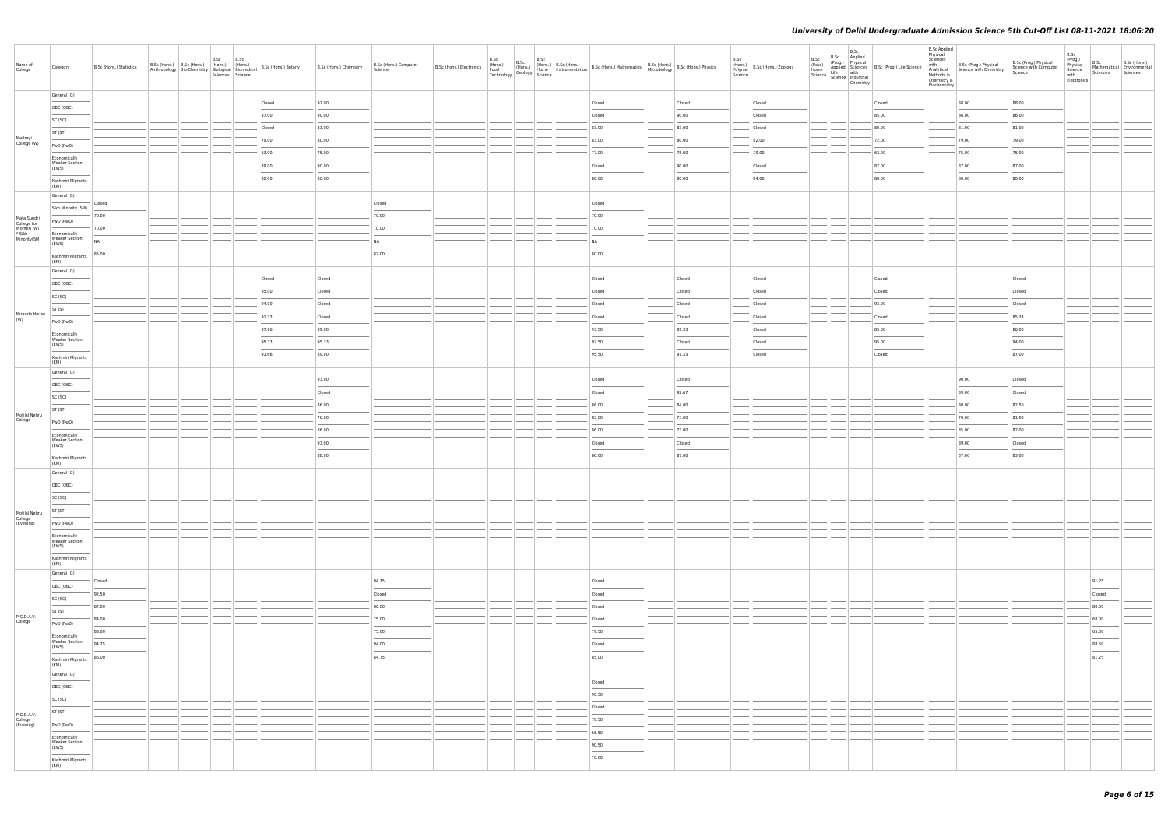| Name of<br>College                                | Category                                                                                                                                                                                                                                                                                                                                                                                                                                                                                        | B.Sc (Hons.) Statistics | B.Sc (Hons.) B.Sc (Hons.) (Hons.) (Hons.) | B.Sc<br>Sciences Science | B.Sc | Anthropology   Bio-Chemistry   $\begin{array}{ c c c c c }\n\hline\n\text{A} & \text{B} & \text{B} & \text{B} & \text{B} \\ \hline\n\text{A} & \text{B} & \text{B} & \text{B} & \text{B} \\ \hline\n\end{array}$ | B.Sc (Hons.) Chemistry | B.Sc (Hons.) Computer<br>Science | B.Sc (Hons.) Electronics | B.Sc | B.Sc | B.Sc | (Hons.) B.Sc (Hons.) B.Sc (Hons.) B.Sc (Hons.) Mathematics B.Sc (Hons.) B.Sc (Hons.) Physics<br>Food Geology Home Instrumentation B.Sc (Hons.) Mathematics Bic (Hons.) B.Sc (Hons.) Physics<br>Technology Geology Science |                 | B.Sc<br>(Hons.)<br>Polymer<br>Science | B.Sc (Hons.) Zoology |      | B.Sc<br>Chemistry | B.Sc B.Sc Applied<br>(Prog.) Physical<br>(Prog.) Physical<br>Home Science<br>Life with<br>Science Industrial<br>Science Industrial | <b>B.Sc Applied</b><br>Physical<br>Sciences<br>with<br>Chemistry &<br>Biochemistry | e<br>Manalytical<br>Manalytical<br>Methods in<br>Chemistry<br>Chemistry<br>Chemistry<br>Chemistry<br>Chemistry<br>Chemistry<br>Chemistry<br>Chemistry<br>Chemistry<br>Chemistry<br>Chemistry<br>Chemistry<br>Chemistry<br>Chemistry<br>Chemistry<br>Chemistry<br>Chemi | B.Sc (Prog.) Physical<br>Science with Computer<br>Science | B.Sc<br>(Prog.)<br>Physical<br>Science<br>with<br>Electronics | B.Sc<br>Sciences | B.Sc (Hons.)<br>Mathematical Environmental<br>Sciences |
|---------------------------------------------------|-------------------------------------------------------------------------------------------------------------------------------------------------------------------------------------------------------------------------------------------------------------------------------------------------------------------------------------------------------------------------------------------------------------------------------------------------------------------------------------------------|-------------------------|-------------------------------------------|--------------------------|------|------------------------------------------------------------------------------------------------------------------------------------------------------------------------------------------------------------------|------------------------|----------------------------------|--------------------------|------|------|------|---------------------------------------------------------------------------------------------------------------------------------------------------------------------------------------------------------------------------|-----------------|---------------------------------------|----------------------|------|-------------------|------------------------------------------------------------------------------------------------------------------------------------|------------------------------------------------------------------------------------|------------------------------------------------------------------------------------------------------------------------------------------------------------------------------------------------------------------------------------------------------------------------|-----------------------------------------------------------|---------------------------------------------------------------|------------------|--------------------------------------------------------|
|                                                   | General (G)                                                                                                                                                                                                                                                                                                                                                                                                                                                                                     |                         |                                           |                          |      | Closed                                                                                                                                                                                                           | 92.00                  |                                  |                          |      |      |      | Closed                                                                                                                                                                                                                    | Closed          |                                       | Closed               |      |                   | Closed                                                                                                                             |                                                                                    | 88.00                                                                                                                                                                                                                                                                  | 88.00                                                     |                                                               |                  |                                                        |
|                                                   | OBC (OBC)                                                                                                                                                                                                                                                                                                                                                                                                                                                                                       |                         |                                           |                          |      | 87.00                                                                                                                                                                                                            | 90.00                  |                                  |                          |      |      |      | Closed                                                                                                                                                                                                                    | 90.00           |                                       | Closed               |      |                   | 85.00                                                                                                                              |                                                                                    | 86.00                                                                                                                                                                                                                                                                  | 86.00                                                     |                                                               |                  |                                                        |
|                                                   | SC (SC)                                                                                                                                                                                                                                                                                                                                                                                                                                                                                         |                         |                                           |                          |      | Closed                                                                                                                                                                                                           | 83.00                  |                                  |                          |      |      |      | 83.00                                                                                                                                                                                                                     | 83.00           |                                       | Closed               |      |                   | 80.00                                                                                                                              |                                                                                    | 81.00                                                                                                                                                                                                                                                                  | 81.00                                                     |                                                               |                  |                                                        |
| Maitreyi<br>College (W)                           | ST (ST)                                                                                                                                                                                                                                                                                                                                                                                                                                                                                         |                         |                                           |                          |      | 79.00                                                                                                                                                                                                            | 80.00                  |                                  |                          |      |      |      | 83.00                                                                                                                                                                                                                     | 80.00           |                                       | 82.00                |      |                   | 72.00                                                                                                                              |                                                                                    | 79.00                                                                                                                                                                                                                                                                  | 79.00                                                     |                                                               |                  |                                                        |
|                                                   | PwD (PwD)                                                                                                                                                                                                                                                                                                                                                                                                                                                                                       |                         |                                           |                          |      | 63.00                                                                                                                                                                                                            | 75.00                  |                                  |                          |      |      |      | 77.00                                                                                                                                                                                                                     | 75.00           |                                       | 79.00                |      |                   | 63.00                                                                                                                              |                                                                                    | 75.00                                                                                                                                                                                                                                                                  | 75.00                                                     |                                                               |                  |                                                        |
|                                                   | Economically<br><b>Weaker Section</b>                                                                                                                                                                                                                                                                                                                                                                                                                                                           |                         |                                           |                          |      |                                                                                                                                                                                                                  |                        |                                  |                          |      |      |      |                                                                                                                                                                                                                           |                 |                                       |                      |      |                   |                                                                                                                                    |                                                                                    |                                                                                                                                                                                                                                                                        |                                                           |                                                               |                  |                                                        |
|                                                   | (EWS)                                                                                                                                                                                                                                                                                                                                                                                                                                                                                           |                         |                                           |                          |      | 89.00<br>80.00                                                                                                                                                                                                   | 90.00<br>80.00         |                                  |                          |      |      |      | Closed<br>80.00                                                                                                                                                                                                           | 90.00<br>80.00  |                                       | Closed<br>84.00      |      |                   | 87.00<br>80.00                                                                                                                     |                                                                                    | 87.00<br>80.00                                                                                                                                                                                                                                                         | 87.00<br>80.00                                            |                                                               |                  |                                                        |
|                                                   | Kashmiri Migrants<br>(KM)                                                                                                                                                                                                                                                                                                                                                                                                                                                                       |                         |                                           |                          |      |                                                                                                                                                                                                                  |                        |                                  |                          |      |      |      |                                                                                                                                                                                                                           |                 |                                       |                      |      |                   |                                                                                                                                    |                                                                                    |                                                                                                                                                                                                                                                                        |                                                           |                                                               |                  |                                                        |
|                                                   | General (G)                                                                                                                                                                                                                                                                                                                                                                                                                                                                                     | Closed                  |                                           |                          |      |                                                                                                                                                                                                                  |                        | Closed                           |                          |      |      |      | Closed                                                                                                                                                                                                                    |                 |                                       |                      |      |                   |                                                                                                                                    |                                                                                    |                                                                                                                                                                                                                                                                        |                                                           |                                                               |                  |                                                        |
|                                                   | Sikh Minority (SM)                                                                                                                                                                                                                                                                                                                                                                                                                                                                              | 70.00                   |                                           |                          |      |                                                                                                                                                                                                                  |                        | 70.00                            |                          |      |      |      | 70.00                                                                                                                                                                                                                     |                 |                                       |                      |      |                   |                                                                                                                                    |                                                                                    |                                                                                                                                                                                                                                                                        |                                                           |                                                               |                  |                                                        |
| Mata Sundri<br>College for<br>Women (W)<br>* Sikh | PwD (PwD)                                                                                                                                                                                                                                                                                                                                                                                                                                                                                       | 70.00                   |                                           |                          |      |                                                                                                                                                                                                                  |                        | 70.00                            |                          |      |      |      | 70.00                                                                                                                                                                                                                     |                 |                                       |                      |      |                   |                                                                                                                                    |                                                                                    |                                                                                                                                                                                                                                                                        |                                                           |                                                               |                  |                                                        |
| Minority(SM)                                      | Economically<br><b>Weaker Section</b>                                                                                                                                                                                                                                                                                                                                                                                                                                                           | NA                      |                                           |                          |      |                                                                                                                                                                                                                  |                        | <b>NA</b>                        |                          |      |      |      | <b>NA</b>                                                                                                                                                                                                                 |                 |                                       |                      |      |                   |                                                                                                                                    |                                                                                    |                                                                                                                                                                                                                                                                        |                                                           |                                                               |                  |                                                        |
|                                                   | (EWS)                                                                                                                                                                                                                                                                                                                                                                                                                                                                                           | 85.00                   |                                           |                          |      |                                                                                                                                                                                                                  |                        | 82.00                            |                          |      |      |      | 80.00                                                                                                                                                                                                                     |                 |                                       |                      |      |                   |                                                                                                                                    |                                                                                    |                                                                                                                                                                                                                                                                        |                                                           |                                                               |                  |                                                        |
|                                                   | Kashmiri Migrants<br>(KM)                                                                                                                                                                                                                                                                                                                                                                                                                                                                       |                         |                                           |                          |      |                                                                                                                                                                                                                  |                        |                                  |                          |      |      |      |                                                                                                                                                                                                                           |                 |                                       |                      |      |                   |                                                                                                                                    |                                                                                    |                                                                                                                                                                                                                                                                        |                                                           |                                                               |                  |                                                        |
|                                                   | General (G)                                                                                                                                                                                                                                                                                                                                                                                                                                                                                     |                         |                                           |                          |      | Closed                                                                                                                                                                                                           | Closed                 |                                  |                          |      |      |      | Closed                                                                                                                                                                                                                    | Closed          |                                       |                      |      |                   | Closed                                                                                                                             |                                                                                    |                                                                                                                                                                                                                                                                        | Closed                                                    |                                                               |                  |                                                        |
|                                                   | OBC (OBC)                                                                                                                                                                                                                                                                                                                                                                                                                                                                                       |                         |                                           |                          |      | 95.00                                                                                                                                                                                                            |                        |                                  |                          |      |      |      |                                                                                                                                                                                                                           |                 |                                       | Closed               |      |                   |                                                                                                                                    |                                                                                    |                                                                                                                                                                                                                                                                        |                                                           |                                                               |                  |                                                        |
|                                                   | SC (SC)                                                                                                                                                                                                                                                                                                                                                                                                                                                                                         |                         |                                           |                          |      | 94.00                                                                                                                                                                                                            | Closed                 |                                  |                          |      |      |      | Closed                                                                                                                                                                                                                    | Closed          |                                       | Closed               |      |                   | Closed<br>93.00                                                                                                                    |                                                                                    |                                                                                                                                                                                                                                                                        | Closed                                                    |                                                               |                  |                                                        |
| Miranda House                                     | ST (ST)                                                                                                                                                                                                                                                                                                                                                                                                                                                                                         |                         |                                           |                          |      | 91.33                                                                                                                                                                                                            | Closed                 |                                  |                          |      |      |      | Closed<br>Closed                                                                                                                                                                                                          | Closed          |                                       | Closed               |      |                   | Closed                                                                                                                             |                                                                                    |                                                                                                                                                                                                                                                                        | Closed<br>85.33                                           |                                                               |                  |                                                        |
| (W)                                               | PwD (PwD)                                                                                                                                                                                                                                                                                                                                                                                                                                                                                       |                         |                                           |                          |      | 87.66                                                                                                                                                                                                            | Closed<br>89.00        |                                  |                          |      |      |      | 93.50                                                                                                                                                                                                                     | Closed<br>89.33 |                                       | Closed<br>Closed     |      |                   | 85.00                                                                                                                              |                                                                                    |                                                                                                                                                                                                                                                                        | 86.00                                                     |                                                               |                  |                                                        |
|                                                   | Economically<br><b>Weaker Section</b>                                                                                                                                                                                                                                                                                                                                                                                                                                                           |                         |                                           |                          |      | 95.33                                                                                                                                                                                                            | 95.33                  |                                  |                          |      |      |      | 97.50                                                                                                                                                                                                                     | Closed          |                                       | Closed               |      |                   | 95.00                                                                                                                              |                                                                                    |                                                                                                                                                                                                                                                                        | 94.00                                                     |                                                               |                  |                                                        |
|                                                   | (EWS)                                                                                                                                                                                                                                                                                                                                                                                                                                                                                           |                         |                                           |                          |      | 91.66                                                                                                                                                                                                            | 89.00                  |                                  |                          |      |      |      | 95.50                                                                                                                                                                                                                     | 91.33           |                                       | Closed               |      |                   | Closed                                                                                                                             |                                                                                    |                                                                                                                                                                                                                                                                        | 87.00                                                     |                                                               |                  |                                                        |
|                                                   | Kashmiri Migrants<br>(KM)                                                                                                                                                                                                                                                                                                                                                                                                                                                                       |                         |                                           |                          |      |                                                                                                                                                                                                                  |                        |                                  |                          |      |      |      |                                                                                                                                                                                                                           |                 |                                       |                      |      |                   |                                                                                                                                    |                                                                                    |                                                                                                                                                                                                                                                                        |                                                           |                                                               |                  |                                                        |
|                                                   | General (G)                                                                                                                                                                                                                                                                                                                                                                                                                                                                                     |                         |                                           |                          |      |                                                                                                                                                                                                                  | 93.00                  |                                  |                          |      |      |      | Closed                                                                                                                                                                                                                    | Closed          |                                       |                      |      |                   |                                                                                                                                    |                                                                                    | 90.00                                                                                                                                                                                                                                                                  | Closed                                                    |                                                               |                  |                                                        |
|                                                   | OBC (OBC)                                                                                                                                                                                                                                                                                                                                                                                                                                                                                       |                         |                                           |                          |      |                                                                                                                                                                                                                  | Closed                 |                                  |                          |      |      |      | Closed                                                                                                                                                                                                                    | 92.67           |                                       |                      |      |                   |                                                                                                                                    |                                                                                    | 89.00                                                                                                                                                                                                                                                                  | Closed                                                    |                                                               |                  |                                                        |
|                                                   | SC (SC)                                                                                                                                                                                                                                                                                                                                                                                                                                                                                         |                         |                                           |                          |      |                                                                                                                                                                                                                  | 86.00                  |                                  |                          |      |      |      | 86.00                                                                                                                                                                                                                     | 84.00           |                                       |                      |      |                   |                                                                                                                                    |                                                                                    | 80.00                                                                                                                                                                                                                                                                  | 82.50                                                     |                                                               |                  |                                                        |
| Motilal Nehru                                     | ST (ST)                                                                                                                                                                                                                                                                                                                                                                                                                                                                                         |                         |                                           |                          |      |                                                                                                                                                                                                                  | 76.00                  |                                  |                          |      |      |      | 83.00                                                                                                                                                                                                                     | 73.00           |                                       |                      |      |                   |                                                                                                                                    |                                                                                    | 70.00                                                                                                                                                                                                                                                                  | 81.00                                                     |                                                               |                  |                                                        |
| College                                           | PwD (PwD)                                                                                                                                                                                                                                                                                                                                                                                                                                                                                       |                         |                                           |                          |      |                                                                                                                                                                                                                  |                        |                                  |                          |      |      |      |                                                                                                                                                                                                                           |                 |                                       |                      |      |                   |                                                                                                                                    |                                                                                    |                                                                                                                                                                                                                                                                        |                                                           |                                                               |                  |                                                        |
|                                                   | Economically<br><b>Weaker Section</b>                                                                                                                                                                                                                                                                                                                                                                                                                                                           |                         |                                           |                          |      |                                                                                                                                                                                                                  | 86.00<br>93.00         |                                  |                          |      |      |      | 86.00                                                                                                                                                                                                                     | 73.00           |                                       |                      |      |                   |                                                                                                                                    |                                                                                    | 85.00<br>89.00                                                                                                                                                                                                                                                         | 82.00                                                     |                                                               |                  |                                                        |
|                                                   | (EWS)                                                                                                                                                                                                                                                                                                                                                                                                                                                                                           |                         |                                           |                          |      |                                                                                                                                                                                                                  | 88.00                  |                                  |                          |      |      |      | Closed<br>86.00                                                                                                                                                                                                           | Closed<br>87.00 |                                       |                      |      |                   |                                                                                                                                    |                                                                                    | 87.00                                                                                                                                                                                                                                                                  | Closed<br>83.00                                           |                                                               |                  |                                                        |
|                                                   | Kashmiri Migrants<br>(KM)                                                                                                                                                                                                                                                                                                                                                                                                                                                                       |                         |                                           |                          |      |                                                                                                                                                                                                                  |                        |                                  |                          |      |      |      |                                                                                                                                                                                                                           |                 |                                       |                      |      |                   |                                                                                                                                    |                                                                                    |                                                                                                                                                                                                                                                                        |                                                           |                                                               |                  |                                                        |
|                                                   | General (G)                                                                                                                                                                                                                                                                                                                                                                                                                                                                                     |                         |                                           |                          |      |                                                                                                                                                                                                                  |                        |                                  |                          |      |      |      |                                                                                                                                                                                                                           |                 |                                       |                      |      |                   |                                                                                                                                    |                                                                                    |                                                                                                                                                                                                                                                                        |                                                           |                                                               |                  |                                                        |
|                                                   | OBC (OBC)                                                                                                                                                                                                                                                                                                                                                                                                                                                                                       |                         |                                           |                          |      |                                                                                                                                                                                                                  |                        |                                  |                          |      |      |      |                                                                                                                                                                                                                           |                 |                                       |                      |      |                   |                                                                                                                                    |                                                                                    |                                                                                                                                                                                                                                                                        |                                                           |                                                               |                  |                                                        |
|                                                   | SC (SC)                                                                                                                                                                                                                                                                                                                                                                                                                                                                                         |                         |                                           |                          |      |                                                                                                                                                                                                                  |                        |                                  |                          |      |      |      |                                                                                                                                                                                                                           |                 |                                       |                      |      |                   |                                                                                                                                    |                                                                                    |                                                                                                                                                                                                                                                                        |                                                           |                                                               |                  |                                                        |
| Motilal Nehru                                     | ST (ST)                                                                                                                                                                                                                                                                                                                                                                                                                                                                                         |                         |                                           |                          |      |                                                                                                                                                                                                                  |                        |                                  |                          |      |      |      |                                                                                                                                                                                                                           |                 |                                       |                      |      |                   |                                                                                                                                    |                                                                                    |                                                                                                                                                                                                                                                                        |                                                           |                                                               |                  |                                                        |
| College<br>(Evening)                              | PwD (PwD)                                                                                                                                                                                                                                                                                                                                                                                                                                                                                       |                         |                                           |                          |      |                                                                                                                                                                                                                  |                        |                                  |                          |      |      |      |                                                                                                                                                                                                                           |                 |                                       |                      |      |                   |                                                                                                                                    |                                                                                    |                                                                                                                                                                                                                                                                        |                                                           |                                                               |                  |                                                        |
|                                                   | Economically<br><b>Weaker Section</b><br>(EWS)                                                                                                                                                                                                                                                                                                                                                                                                                                                  |                         |                                           |                          |      |                                                                                                                                                                                                                  |                        |                                  |                          |      |      |      |                                                                                                                                                                                                                           |                 |                                       |                      |      |                   |                                                                                                                                    |                                                                                    |                                                                                                                                                                                                                                                                        |                                                           |                                                               |                  |                                                        |
|                                                   | $\frac{1}{2} \left( \frac{1}{2} \right) \left( \frac{1}{2} \right) \left( \frac{1}{2} \right) \left( \frac{1}{2} \right) \left( \frac{1}{2} \right) \left( \frac{1}{2} \right) \left( \frac{1}{2} \right) \left( \frac{1}{2} \right) \left( \frac{1}{2} \right) \left( \frac{1}{2} \right) \left( \frac{1}{2} \right) \left( \frac{1}{2} \right) \left( \frac{1}{2} \right) \left( \frac{1}{2} \right) \left( \frac{1}{2} \right) \left( \frac{1}{2} \right) \left( \frac$<br>Kashmiri Migrants |                         |                                           |                          |      |                                                                                                                                                                                                                  |                        |                                  |                          |      |      |      |                                                                                                                                                                                                                           |                 |                                       |                      |      |                   |                                                                                                                                    |                                                                                    |                                                                                                                                                                                                                                                                        |                                                           |                                                               |                  |                                                        |
|                                                   | (KM)<br>General (G)                                                                                                                                                                                                                                                                                                                                                                                                                                                                             |                         |                                           |                          |      |                                                                                                                                                                                                                  |                        |                                  |                          |      |      |      |                                                                                                                                                                                                                           |                 |                                       |                      |      |                   |                                                                                                                                    |                                                                                    |                                                                                                                                                                                                                                                                        |                                                           |                                                               |                  |                                                        |
|                                                   | OBC (OBC)                                                                                                                                                                                                                                                                                                                                                                                                                                                                                       | Closed                  |                                           |                          |      |                                                                                                                                                                                                                  |                        | 94.75                            |                          |      |      |      | Closed                                                                                                                                                                                                                    |                 |                                       |                      |      |                   |                                                                                                                                    |                                                                                    |                                                                                                                                                                                                                                                                        |                                                           |                                                               | 91.25            |                                                        |
|                                                   | SC (SC)                                                                                                                                                                                                                                                                                                                                                                                                                                                                                         | 92.50                   |                                           |                          |      |                                                                                                                                                                                                                  |                        | Closed                           |                          |      |      |      | Closed                                                                                                                                                                                                                    |                 |                                       |                      |      |                   |                                                                                                                                    |                                                                                    |                                                                                                                                                                                                                                                                        |                                                           |                                                               | Closed           |                                                        |
|                                                   | ST (ST)                                                                                                                                                                                                                                                                                                                                                                                                                                                                                         | 87.00                   |                                           |                          |      |                                                                                                                                                                                                                  |                        | 86.00                            |                          |      |      |      | Closed                                                                                                                                                                                                                    |                 |                                       |                      | $ -$ |                   |                                                                                                                                    |                                                                                    |                                                                                                                                                                                                                                                                        |                                                           |                                                               | 80.00            |                                                        |
| P.G.D.A.V.<br>College                             | PwD (PwD)                                                                                                                                                                                                                                                                                                                                                                                                                                                                                       | 84.00                   |                                           |                          |      |                                                                                                                                                                                                                  |                        | 75.00                            |                          |      |      |      | Closed                                                                                                                                                                                                                    |                 |                                       |                      |      |                   |                                                                                                                                    |                                                                                    |                                                                                                                                                                                                                                                                        |                                                           |                                                               | 68.00            |                                                        |
|                                                   | Economically                                                                                                                                                                                                                                                                                                                                                                                                                                                                                    | 83.00                   |                                           |                          |      |                                                                                                                                                                                                                  |                        | 75.00                            |                          |      |      |      | 79.50                                                                                                                                                                                                                     |                 |                                       |                      |      |                   |                                                                                                                                    |                                                                                    |                                                                                                                                                                                                                                                                        |                                                           |                                                               | 65.00            |                                                        |
|                                                   | <b>Weaker Section</b><br>(EWS)                                                                                                                                                                                                                                                                                                                                                                                                                                                                  | 94.75                   |                                           |                          |      |                                                                                                                                                                                                                  |                        | 94.00                            |                          |      |      |      | Closed                                                                                                                                                                                                                    |                 |                                       |                      |      |                   |                                                                                                                                    |                                                                                    |                                                                                                                                                                                                                                                                        |                                                           |                                                               | 88.50            |                                                        |
|                                                   | Kashmiri Migrants<br>(KM)                                                                                                                                                                                                                                                                                                                                                                                                                                                                       | 86.00                   |                                           |                          |      |                                                                                                                                                                                                                  |                        | 84.75                            |                          |      |      |      | 85.00                                                                                                                                                                                                                     |                 |                                       |                      |      |                   |                                                                                                                                    |                                                                                    |                                                                                                                                                                                                                                                                        |                                                           |                                                               | 81.25            |                                                        |
|                                                   | General (G)                                                                                                                                                                                                                                                                                                                                                                                                                                                                                     |                         |                                           |                          |      |                                                                                                                                                                                                                  |                        |                                  |                          |      |      |      |                                                                                                                                                                                                                           |                 |                                       |                      |      |                   |                                                                                                                                    |                                                                                    |                                                                                                                                                                                                                                                                        |                                                           |                                                               |                  |                                                        |
|                                                   | OBC (OBC)                                                                                                                                                                                                                                                                                                                                                                                                                                                                                       |                         |                                           |                          |      |                                                                                                                                                                                                                  |                        |                                  |                          |      |      |      | Closed                                                                                                                                                                                                                    |                 |                                       |                      |      |                   |                                                                                                                                    |                                                                                    |                                                                                                                                                                                                                                                                        |                                                           |                                                               |                  |                                                        |
|                                                   | SC (SC)                                                                                                                                                                                                                                                                                                                                                                                                                                                                                         |                         |                                           |                          |      |                                                                                                                                                                                                                  |                        |                                  |                          |      |      |      | 90.50                                                                                                                                                                                                                     |                 |                                       |                      |      |                   |                                                                                                                                    |                                                                                    |                                                                                                                                                                                                                                                                        |                                                           |                                                               |                  |                                                        |
| P.G.D.A.V.                                        | ST (ST)                                                                                                                                                                                                                                                                                                                                                                                                                                                                                         |                         |                                           |                          |      |                                                                                                                                                                                                                  |                        |                                  |                          |      |      |      | Closed                                                                                                                                                                                                                    |                 |                                       |                      |      |                   |                                                                                                                                    |                                                                                    |                                                                                                                                                                                                                                                                        |                                                           |                                                               |                  |                                                        |
| College<br>(Evening)                              | PwD (PwD)                                                                                                                                                                                                                                                                                                                                                                                                                                                                                       |                         |                                           |                          |      |                                                                                                                                                                                                                  |                        |                                  |                          |      |      |      | 70.50                                                                                                                                                                                                                     |                 |                                       |                      |      |                   |                                                                                                                                    |                                                                                    |                                                                                                                                                                                                                                                                        |                                                           |                                                               |                  |                                                        |
|                                                   | Economically                                                                                                                                                                                                                                                                                                                                                                                                                                                                                    |                         |                                           |                          |      |                                                                                                                                                                                                                  |                        |                                  |                          |      |      |      | 66.50                                                                                                                                                                                                                     |                 |                                       |                      |      |                   |                                                                                                                                    |                                                                                    |                                                                                                                                                                                                                                                                        |                                                           |                                                               |                  |                                                        |
|                                                   | <b>Weaker Section</b><br>(EWS)                                                                                                                                                                                                                                                                                                                                                                                                                                                                  |                         |                                           |                          |      |                                                                                                                                                                                                                  |                        |                                  |                          |      |      |      | 90.50                                                                                                                                                                                                                     |                 |                                       |                      |      |                   |                                                                                                                                    |                                                                                    |                                                                                                                                                                                                                                                                        |                                                           |                                                               |                  |                                                        |
|                                                   | Kashmiri Migrants<br>(KM)                                                                                                                                                                                                                                                                                                                                                                                                                                                                       |                         |                                           |                          |      |                                                                                                                                                                                                                  |                        |                                  |                          |      |      |      | 76.00                                                                                                                                                                                                                     |                 |                                       |                      |      |                   |                                                                                                                                    |                                                                                    |                                                                                                                                                                                                                                                                        |                                                           |                                                               |                  |                                                        |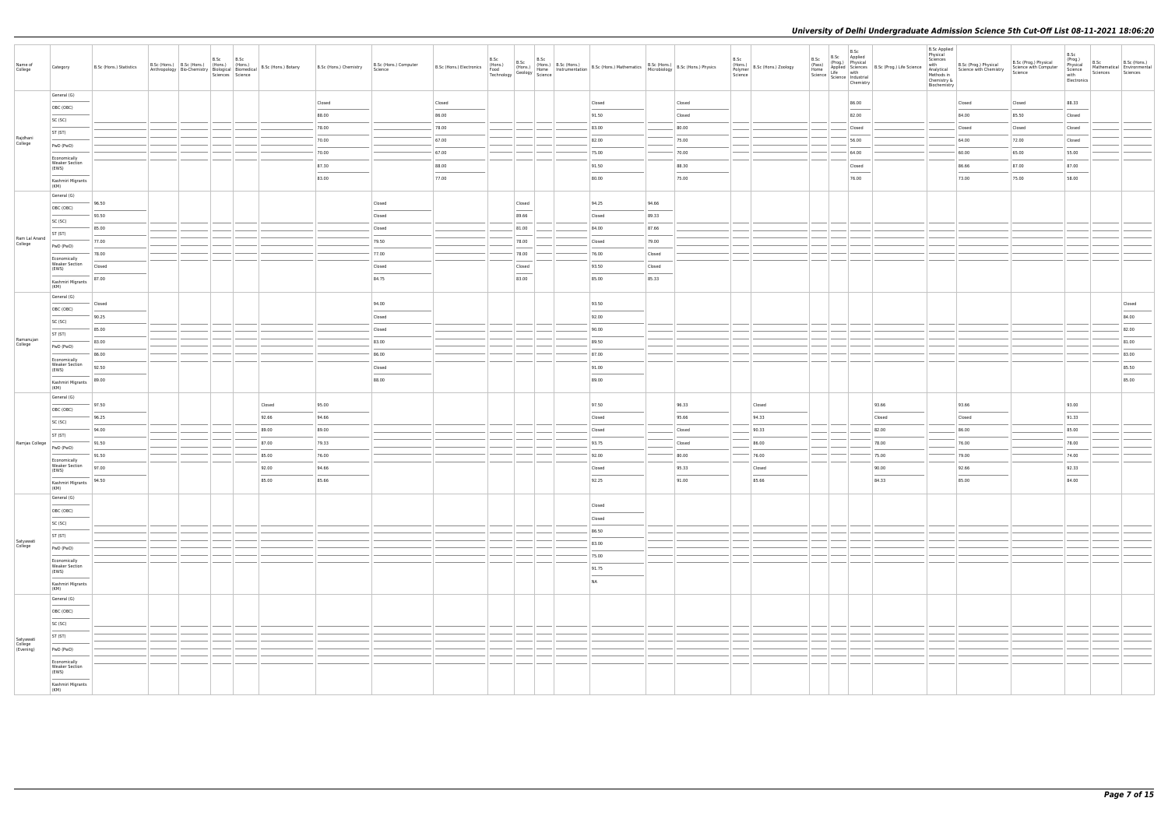| Name of<br>College       | Category                                       | B.Sc (Hons.) Statistics | B.Sc (Hons.) B.Sc (Hons.) (Hons.) (Hons.)<br>Anthropology   Bio-Chemistry   Biological   Biomedical   B.Sc (Hons.) Botany | B.Sc | B.Sc<br>Sciences Science |                 | B.Sc (Hons.) Chemistry | B.Sc (Hons.) Computer<br>Science |        | B.Sc<br>B.Sc                       | B.Sc | B.Sc (Hons.) B.Sc (Hons.) B.Sc (Hons.) B.Sc (Hons.) B.Sc (Hons.) B.Sc (Hons.) B.Sc (Hons.) B.Sc (Hons.) B.Sc (Hons.) B.Sc (Hons.) B.Sc (Hons.) B.Sc (Hons.) B.Sc (Hons.) B.Sc (Hons.) B.Sc (Hons.) B.Sc (Hons.) B.Sc (Hons.) B                                                                                                                                                                                                                                                      |        |                | B.Sc<br>Science | (Hons.)<br>Polymer B.Sc (Hons.) Zoology |               | B.Sc<br>Chemistry                                                                                                                                                                                                                                                                                                                                                                                                                                                                   | B.Sc B.Sc Applied<br>(Pass) (Prog.) Physical<br>Home Applied Science B.Sc (Prog.) Life Science<br>Science Industrial<br>Science Industrial<br>The Conduction<br>Chapping Conduction | <b>B.Sc Applied</b><br>Physical<br>Sciences<br>with<br>Methods in<br>Chemistry &<br>Biochemistry | B.Sc (Prog.) Physical<br>Analytical Science with Chemistry | B.Sc (Prog.) Physical<br>Science with Computer<br>Science | B.Sc<br>(Prog.)<br>Physical<br>Science<br>with<br>Electronics | B.Sc<br>Mathematical Environmental<br>Sciences | B.Sc (Hons.)<br>Sciences |
|--------------------------|------------------------------------------------|-------------------------|---------------------------------------------------------------------------------------------------------------------------|------|--------------------------|-----------------|------------------------|----------------------------------|--------|------------------------------------|------|-------------------------------------------------------------------------------------------------------------------------------------------------------------------------------------------------------------------------------------------------------------------------------------------------------------------------------------------------------------------------------------------------------------------------------------------------------------------------------------|--------|----------------|-----------------|-----------------------------------------|---------------|-------------------------------------------------------------------------------------------------------------------------------------------------------------------------------------------------------------------------------------------------------------------------------------------------------------------------------------------------------------------------------------------------------------------------------------------------------------------------------------|-------------------------------------------------------------------------------------------------------------------------------------------------------------------------------------|--------------------------------------------------------------------------------------------------|------------------------------------------------------------|-----------------------------------------------------------|---------------------------------------------------------------|------------------------------------------------|--------------------------|
|                          | General (G)                                    |                         |                                                                                                                           |      |                          |                 | Closed                 |                                  | Closed |                                    |      | Closed                                                                                                                                                                                                                                                                                                                                                                                                                                                                              |        | Closed         |                 |                                         |               | 86.00                                                                                                                                                                                                                                                                                                                                                                                                                                                                               |                                                                                                                                                                                     |                                                                                                  | Closed                                                     | Closed                                                    | 88.33                                                         |                                                |                          |
|                          | OBC (OBC)                                      |                         |                                                                                                                           |      |                          |                 | 88.00                  |                                  | 86.00  |                                    |      | 91.50                                                                                                                                                                                                                                                                                                                                                                                                                                                                               |        | Closed         |                 |                                         |               | $\frac{1}{2} \left( \frac{1}{2} \right) \left( \frac{1}{2} \right) \left( \frac{1}{2} \right) \left( \frac{1}{2} \right) \left( \frac{1}{2} \right) \left( \frac{1}{2} \right) \left( \frac{1}{2} \right) \left( \frac{1}{2} \right) \left( \frac{1}{2} \right) \left( \frac{1}{2} \right) \left( \frac{1}{2} \right) \left( \frac{1}{2} \right) \left( \frac{1}{2} \right) \left( \frac{1}{2} \right) \left( \frac{1}{2} \right) \left( \frac{1}{2} \right) \left( \frac$<br>82.00 |                                                                                                                                                                                     |                                                                                                  | 84.00                                                      | 85.50                                                     | Closed                                                        |                                                |                          |
|                          | SC (SC)                                        |                         |                                                                                                                           |      |                          |                 | 78.00                  |                                  | 78.00  |                                    |      | 83.00                                                                                                                                                                                                                                                                                                                                                                                                                                                                               |        | 80.00          |                 |                                         |               | Closed                                                                                                                                                                                                                                                                                                                                                                                                                                                                              |                                                                                                                                                                                     |                                                                                                  | Closed                                                     | Closed                                                    | Closed                                                        |                                                |                          |
| Rajdhani<br>College      | ST (ST)                                        |                         |                                                                                                                           |      |                          |                 | 70.00                  |                                  | 67.00  |                                    |      | 82.00                                                                                                                                                                                                                                                                                                                                                                                                                                                                               |        | 75.00          |                 |                                         |               | 56.00                                                                                                                                                                                                                                                                                                                                                                                                                                                                               |                                                                                                                                                                                     |                                                                                                  | 64.00                                                      | 72.00                                                     | Closed                                                        |                                                |                          |
|                          | PwD (PwD)                                      |                         |                                                                                                                           |      |                          |                 | 70.00                  |                                  | 67.00  |                                    |      | 75.00                                                                                                                                                                                                                                                                                                                                                                                                                                                                               |        | 70.00          |                 |                                         |               | 64.00                                                                                                                                                                                                                                                                                                                                                                                                                                                                               |                                                                                                                                                                                     |                                                                                                  | 60.00                                                      | 65.00                                                     | 55.00                                                         |                                                |                          |
|                          | Economically<br><b>Weaker Section</b><br>(EWS) |                         |                                                                                                                           |      |                          |                 | 87.30                  |                                  | 88.00  |                                    |      | 91.50                                                                                                                                                                                                                                                                                                                                                                                                                                                                               |        | 88.30          |                 |                                         |               | Closed                                                                                                                                                                                                                                                                                                                                                                                                                                                                              |                                                                                                                                                                                     |                                                                                                  | 86.66                                                      | 87.00                                                     | 87.00                                                         |                                                |                          |
|                          | Kashmiri Migrants                              |                         |                                                                                                                           |      |                          |                 | 83.00                  |                                  | 77.00  |                                    |      | $\sim$<br>80.00                                                                                                                                                                                                                                                                                                                                                                                                                                                                     |        | 75.00          |                 |                                         |               | 76.00                                                                                                                                                                                                                                                                                                                                                                                                                                                                               |                                                                                                                                                                                     |                                                                                                  | 73.00                                                      | 75.00                                                     | 58.00                                                         |                                                |                          |
|                          | (KM)                                           |                         |                                                                                                                           |      |                          |                 |                        |                                  |        |                                    |      |                                                                                                                                                                                                                                                                                                                                                                                                                                                                                     |        |                |                 |                                         |               |                                                                                                                                                                                                                                                                                                                                                                                                                                                                                     |                                                                                                                                                                                     |                                                                                                  |                                                            |                                                           |                                                               |                                                |                          |
|                          | General (G)<br>OBC (OBC)                       | 96.50                   |                                                                                                                           |      |                          |                 |                        | Closed                           |        | Closed                             |      | 94.25                                                                                                                                                                                                                                                                                                                                                                                                                                                                               | 94.66  |                |                 |                                         |               |                                                                                                                                                                                                                                                                                                                                                                                                                                                                                     |                                                                                                                                                                                     |                                                                                                  |                                                            |                                                           |                                                               |                                                |                          |
|                          | SC (SC)                                        | 93.50                   |                                                                                                                           |      |                          |                 |                        | Closed                           |        | 89.66                              |      | Closed                                                                                                                                                                                                                                                                                                                                                                                                                                                                              | 89.33  |                |                 |                                         |               |                                                                                                                                                                                                                                                                                                                                                                                                                                                                                     |                                                                                                                                                                                     |                                                                                                  |                                                            |                                                           |                                                               |                                                |                          |
|                          | ST (ST)                                        | 85.00                   |                                                                                                                           |      |                          |                 |                        | Closed                           |        | 81.00                              |      | 84.00                                                                                                                                                                                                                                                                                                                                                                                                                                                                               | 87.66  |                |                 |                                         |               |                                                                                                                                                                                                                                                                                                                                                                                                                                                                                     |                                                                                                                                                                                     |                                                                                                  |                                                            |                                                           |                                                               |                                                |                          |
| Ram Lal Anand<br>College | PwD (PwD)                                      | 77.00                   |                                                                                                                           |      |                          |                 |                        | 79.50                            |        | 78.00                              |      | Closed                                                                                                                                                                                                                                                                                                                                                                                                                                                                              | 79.00  |                |                 |                                         |               |                                                                                                                                                                                                                                                                                                                                                                                                                                                                                     |                                                                                                                                                                                     |                                                                                                  |                                                            |                                                           |                                                               |                                                |                          |
|                          | Economically                                   | 78.00                   |                                                                                                                           |      |                          |                 |                        | 77.00                            |        | 78.00                              |      | 76.00                                                                                                                                                                                                                                                                                                                                                                                                                                                                               | Closed |                |                 |                                         |               |                                                                                                                                                                                                                                                                                                                                                                                                                                                                                     |                                                                                                                                                                                     |                                                                                                  |                                                            |                                                           |                                                               |                                                |                          |
|                          | <b>Weaker Section</b><br>(EWS)                 | Closed                  |                                                                                                                           |      |                          |                 |                        | Closed                           |        | Closed<br>$\overline{\phantom{a}}$ |      | 93.50                                                                                                                                                                                                                                                                                                                                                                                                                                                                               | Closed |                |                 |                                         |               |                                                                                                                                                                                                                                                                                                                                                                                                                                                                                     |                                                                                                                                                                                     |                                                                                                  |                                                            |                                                           |                                                               |                                                |                          |
|                          | Kashmiri Migrants<br>(KM)                      | 87.00                   |                                                                                                                           |      |                          |                 |                        | 84.75                            |        | 83.00                              |      | 85.00                                                                                                                                                                                                                                                                                                                                                                                                                                                                               | 85.33  |                |                 |                                         |               |                                                                                                                                                                                                                                                                                                                                                                                                                                                                                     |                                                                                                                                                                                     |                                                                                                  |                                                            |                                                           |                                                               |                                                |                          |
|                          | General (G)                                    |                         |                                                                                                                           |      |                          |                 |                        |                                  |        |                                    |      |                                                                                                                                                                                                                                                                                                                                                                                                                                                                                     |        |                |                 |                                         |               |                                                                                                                                                                                                                                                                                                                                                                                                                                                                                     |                                                                                                                                                                                     |                                                                                                  |                                                            |                                                           |                                                               |                                                |                          |
|                          | OBC (OBC)                                      | Closed                  |                                                                                                                           |      |                          |                 |                        | 94.00                            |        |                                    |      | 93.50<br>$\frac{1}{2} \left( \frac{1}{2} \right) \left( \frac{1}{2} \right) \left( \frac{1}{2} \right) \left( \frac{1}{2} \right) \left( \frac{1}{2} \right) \left( \frac{1}{2} \right) \left( \frac{1}{2} \right) \left( \frac{1}{2} \right) \left( \frac{1}{2} \right) \left( \frac{1}{2} \right) \left( \frac{1}{2} \right) \left( \frac{1}{2} \right) \left( \frac{1}{2} \right) \left( \frac{1}{2} \right) \left( \frac{1}{2} \right) \left( \frac{1}{2} \right) \left( \frac$ |        |                |                 |                                         |               |                                                                                                                                                                                                                                                                                                                                                                                                                                                                                     |                                                                                                                                                                                     |                                                                                                  |                                                            |                                                           |                                                               |                                                | Closed                   |
|                          | SC (SC)                                        | 90.25                   |                                                                                                                           |      |                          |                 |                        | Closed                           |        |                                    |      | 92.00                                                                                                                                                                                                                                                                                                                                                                                                                                                                               |        |                |                 |                                         |               |                                                                                                                                                                                                                                                                                                                                                                                                                                                                                     |                                                                                                                                                                                     |                                                                                                  |                                                            |                                                           |                                                               |                                                | 84.00                    |
|                          | ST (ST)                                        | 85.00                   |                                                                                                                           |      |                          |                 |                        | Closed                           |        |                                    |      | 90.00                                                                                                                                                                                                                                                                                                                                                                                                                                                                               |        |                |                 |                                         |               |                                                                                                                                                                                                                                                                                                                                                                                                                                                                                     |                                                                                                                                                                                     |                                                                                                  |                                                            |                                                           |                                                               |                                                | 82.00                    |
| Ramanujan<br>College     | PwD (PwD)                                      | 83.00                   |                                                                                                                           |      |                          |                 |                        | 83.00                            |        |                                    |      | 89.50                                                                                                                                                                                                                                                                                                                                                                                                                                                                               |        |                |                 |                                         |               |                                                                                                                                                                                                                                                                                                                                                                                                                                                                                     |                                                                                                                                                                                     |                                                                                                  |                                                            |                                                           |                                                               |                                                | 81.00                    |
|                          | Economically<br><b>Weaker Section</b>          | 86.00                   |                                                                                                                           |      |                          |                 |                        | 86.00                            |        |                                    |      | 87.00                                                                                                                                                                                                                                                                                                                                                                                                                                                                               |        |                |                 |                                         |               |                                                                                                                                                                                                                                                                                                                                                                                                                                                                                     |                                                                                                                                                                                     |                                                                                                  |                                                            |                                                           |                                                               |                                                | 83.00                    |
|                          | (EWS)                                          | 92.50                   |                                                                                                                           |      |                          |                 |                        | Closed                           |        |                                    |      | 91.00<br>$\frac{1}{2}$                                                                                                                                                                                                                                                                                                                                                                                                                                                              |        |                |                 |                                         |               |                                                                                                                                                                                                                                                                                                                                                                                                                                                                                     |                                                                                                                                                                                     |                                                                                                  |                                                            |                                                           |                                                               |                                                | 85.50                    |
|                          | Kashmiri Migrants<br>(KM)                      | 89.00                   |                                                                                                                           |      |                          |                 |                        | 88.00                            |        |                                    |      | 89.00                                                                                                                                                                                                                                                                                                                                                                                                                                                                               |        |                |                 |                                         |               |                                                                                                                                                                                                                                                                                                                                                                                                                                                                                     |                                                                                                                                                                                     |                                                                                                  |                                                            |                                                           |                                                               |                                                | 85.00                    |
|                          | General (G)                                    |                         |                                                                                                                           |      |                          |                 |                        |                                  |        |                                    |      | 97.50                                                                                                                                                                                                                                                                                                                                                                                                                                                                               |        |                |                 |                                         |               |                                                                                                                                                                                                                                                                                                                                                                                                                                                                                     |                                                                                                                                                                                     |                                                                                                  |                                                            |                                                           |                                                               |                                                |                          |
|                          | OBC (OBC)                                      | 97.50<br>96.25          |                                                                                                                           |      |                          | Closed<br>92.66 | 95.00<br>94.66         |                                  |        |                                    |      | Closed                                                                                                                                                                                                                                                                                                                                                                                                                                                                              |        | 96.33<br>95.66 |                 | Closed<br>94.33                         |               |                                                                                                                                                                                                                                                                                                                                                                                                                                                                                     | 93.66<br>Closed                                                                                                                                                                     |                                                                                                  | 93.66<br>Closed                                            |                                                           | 93.00<br>91.33                                                |                                                |                          |
|                          | SC (SC)                                        | 94.00                   |                                                                                                                           |      |                          | 89.00           | 89.00                  |                                  |        |                                    |      | Closed                                                                                                                                                                                                                                                                                                                                                                                                                                                                              |        | Closed         |                 | 90.33                                   |               |                                                                                                                                                                                                                                                                                                                                                                                                                                                                                     | 82.00                                                                                                                                                                               |                                                                                                  | 86.00                                                      |                                                           | 85.00                                                         |                                                |                          |
| Ramjas College           | ST (ST)                                        | 91.50                   |                                                                                                                           |      |                          | 87.00           | 79.33                  |                                  |        |                                    |      | 93.75                                                                                                                                                                                                                                                                                                                                                                                                                                                                               |        | Closed         |                 | 86.00                                   |               |                                                                                                                                                                                                                                                                                                                                                                                                                                                                                     | 78.00                                                                                                                                                                               |                                                                                                  | 76.00                                                      |                                                           | 78.00                                                         |                                                |                          |
|                          | PwD (PwD)                                      | 91.50                   |                                                                                                                           |      |                          | 85.00           | 76.00                  |                                  |        |                                    |      | 92.00                                                                                                                                                                                                                                                                                                                                                                                                                                                                               |        | 80.00          |                 | 76.00                                   |               |                                                                                                                                                                                                                                                                                                                                                                                                                                                                                     | 75.00                                                                                                                                                                               |                                                                                                  | 79.00                                                      |                                                           | 74.00                                                         |                                                |                          |
|                          | Economically<br><b>Weaker Section</b>          | 97.00                   |                                                                                                                           |      |                          | 92.00           | 94.66                  |                                  |        |                                    |      | Closed                                                                                                                                                                                                                                                                                                                                                                                                                                                                              |        | 95.33          |                 | Closed                                  |               |                                                                                                                                                                                                                                                                                                                                                                                                                                                                                     | 90.00                                                                                                                                                                               |                                                                                                  | 92.66                                                      |                                                           | 92.33                                                         |                                                |                          |
|                          | (EWS)<br>$\frac{1}{2}$<br>Kashmiri Migrants    | 94.50                   |                                                                                                                           |      |                          | 85.00           | 85.66                  |                                  |        |                                    |      | 92.25                                                                                                                                                                                                                                                                                                                                                                                                                                                                               |        | 91.00          |                 | 85.66                                   |               |                                                                                                                                                                                                                                                                                                                                                                                                                                                                                     | 84.33                                                                                                                                                                               |                                                                                                  | $\overline{\phantom{a}}$<br>85.00                          |                                                           | $\overline{\phantom{a}}$<br>84.00                             |                                                |                          |
|                          | (KM)                                           |                         |                                                                                                                           |      |                          |                 |                        |                                  |        |                                    |      |                                                                                                                                                                                                                                                                                                                                                                                                                                                                                     |        |                |                 |                                         |               |                                                                                                                                                                                                                                                                                                                                                                                                                                                                                     |                                                                                                                                                                                     |                                                                                                  |                                                            |                                                           |                                                               |                                                |                          |
|                          | General (G)                                    |                         |                                                                                                                           |      |                          |                 |                        |                                  |        |                                    |      | Closed                                                                                                                                                                                                                                                                                                                                                                                                                                                                              |        |                |                 |                                         |               |                                                                                                                                                                                                                                                                                                                                                                                                                                                                                     |                                                                                                                                                                                     |                                                                                                  |                                                            |                                                           |                                                               |                                                |                          |
|                          | OBC (OBC)                                      |                         |                                                                                                                           |      |                          |                 |                        |                                  |        |                                    |      | Closed                                                                                                                                                                                                                                                                                                                                                                                                                                                                              |        |                |                 |                                         |               |                                                                                                                                                                                                                                                                                                                                                                                                                                                                                     |                                                                                                                                                                                     |                                                                                                  |                                                            |                                                           |                                                               |                                                |                          |
|                          | SC (SC)<br>ST (ST)                             |                         |                                                                                                                           |      |                          |                 |                        |                                  |        |                                    |      | 86.50                                                                                                                                                                                                                                                                                                                                                                                                                                                                               |        |                |                 |                                         |               |                                                                                                                                                                                                                                                                                                                                                                                                                                                                                     |                                                                                                                                                                                     |                                                                                                  |                                                            |                                                           |                                                               |                                                |                          |
| Satyawati<br>College     | PwD (PwD)                                      |                         |                                                                                                                           |      |                          |                 |                        |                                  |        |                                    |      | 83.00                                                                                                                                                                                                                                                                                                                                                                                                                                                                               |        |                |                 |                                         |               |                                                                                                                                                                                                                                                                                                                                                                                                                                                                                     |                                                                                                                                                                                     |                                                                                                  |                                                            |                                                           |                                                               |                                                |                          |
|                          | Economically                                   |                         |                                                                                                                           |      |                          |                 |                        |                                  |        |                                    |      | 75.00                                                                                                                                                                                                                                                                                                                                                                                                                                                                               |        |                |                 |                                         | $\sim$ $\sim$ |                                                                                                                                                                                                                                                                                                                                                                                                                                                                                     |                                                                                                                                                                                     |                                                                                                  |                                                            |                                                           |                                                               |                                                |                          |
|                          | <b>Weaker Section</b><br>(EWS)                 |                         |                                                                                                                           |      |                          |                 |                        |                                  |        |                                    |      | 91.75<br>$\sim$                                                                                                                                                                                                                                                                                                                                                                                                                                                                     |        |                |                 |                                         |               |                                                                                                                                                                                                                                                                                                                                                                                                                                                                                     |                                                                                                                                                                                     |                                                                                                  |                                                            |                                                           |                                                               |                                                |                          |
|                          | Kashmiri Migrants                              |                         |                                                                                                                           |      |                          |                 |                        |                                  |        |                                    |      | <b>NA</b>                                                                                                                                                                                                                                                                                                                                                                                                                                                                           |        |                |                 |                                         |               |                                                                                                                                                                                                                                                                                                                                                                                                                                                                                     |                                                                                                                                                                                     |                                                                                                  |                                                            |                                                           |                                                               |                                                |                          |
|                          | (KM)<br>General (G)                            |                         |                                                                                                                           |      |                          |                 |                        |                                  |        |                                    |      |                                                                                                                                                                                                                                                                                                                                                                                                                                                                                     |        |                |                 |                                         |               |                                                                                                                                                                                                                                                                                                                                                                                                                                                                                     |                                                                                                                                                                                     |                                                                                                  |                                                            |                                                           |                                                               |                                                |                          |
|                          | OBC (OBC)                                      |                         |                                                                                                                           |      |                          |                 |                        |                                  |        |                                    |      |                                                                                                                                                                                                                                                                                                                                                                                                                                                                                     |        |                |                 |                                         |               |                                                                                                                                                                                                                                                                                                                                                                                                                                                                                     |                                                                                                                                                                                     |                                                                                                  |                                                            |                                                           |                                                               |                                                |                          |
|                          | SC (SC)                                        |                         |                                                                                                                           |      |                          |                 |                        |                                  |        |                                    |      |                                                                                                                                                                                                                                                                                                                                                                                                                                                                                     |        |                |                 |                                         |               |                                                                                                                                                                                                                                                                                                                                                                                                                                                                                     |                                                                                                                                                                                     |                                                                                                  |                                                            |                                                           |                                                               |                                                |                          |
| Satyawati                | ST (ST)                                        |                         |                                                                                                                           |      |                          |                 |                        |                                  |        |                                    |      |                                                                                                                                                                                                                                                                                                                                                                                                                                                                                     |        |                |                 |                                         |               |                                                                                                                                                                                                                                                                                                                                                                                                                                                                                     |                                                                                                                                                                                     |                                                                                                  |                                                            |                                                           |                                                               |                                                |                          |
| College<br>(Evening)     | PwD (PwD)                                      |                         |                                                                                                                           |      |                          |                 |                        |                                  |        |                                    |      |                                                                                                                                                                                                                                                                                                                                                                                                                                                                                     |        |                |                 |                                         |               |                                                                                                                                                                                                                                                                                                                                                                                                                                                                                     |                                                                                                                                                                                     |                                                                                                  |                                                            |                                                           |                                                               |                                                |                          |
|                          | Economically<br><b>Weaker Section</b>          |                         |                                                                                                                           |      |                          |                 |                        |                                  |        |                                    |      |                                                                                                                                                                                                                                                                                                                                                                                                                                                                                     |        |                |                 |                                         |               |                                                                                                                                                                                                                                                                                                                                                                                                                                                                                     |                                                                                                                                                                                     |                                                                                                  |                                                            |                                                           |                                                               |                                                |                          |
|                          | (EWS)                                          |                         |                                                                                                                           |      |                          |                 |                        |                                  |        |                                    |      |                                                                                                                                                                                                                                                                                                                                                                                                                                                                                     |        |                |                 |                                         |               |                                                                                                                                                                                                                                                                                                                                                                                                                                                                                     |                                                                                                                                                                                     |                                                                                                  |                                                            |                                                           |                                                               |                                                |                          |
|                          | Kashmiri Migrants<br>(KM)                      |                         |                                                                                                                           |      |                          |                 |                        |                                  |        |                                    |      |                                                                                                                                                                                                                                                                                                                                                                                                                                                                                     |        |                |                 |                                         |               |                                                                                                                                                                                                                                                                                                                                                                                                                                                                                     |                                                                                                                                                                                     |                                                                                                  |                                                            |                                                           |                                                               |                                                |                          |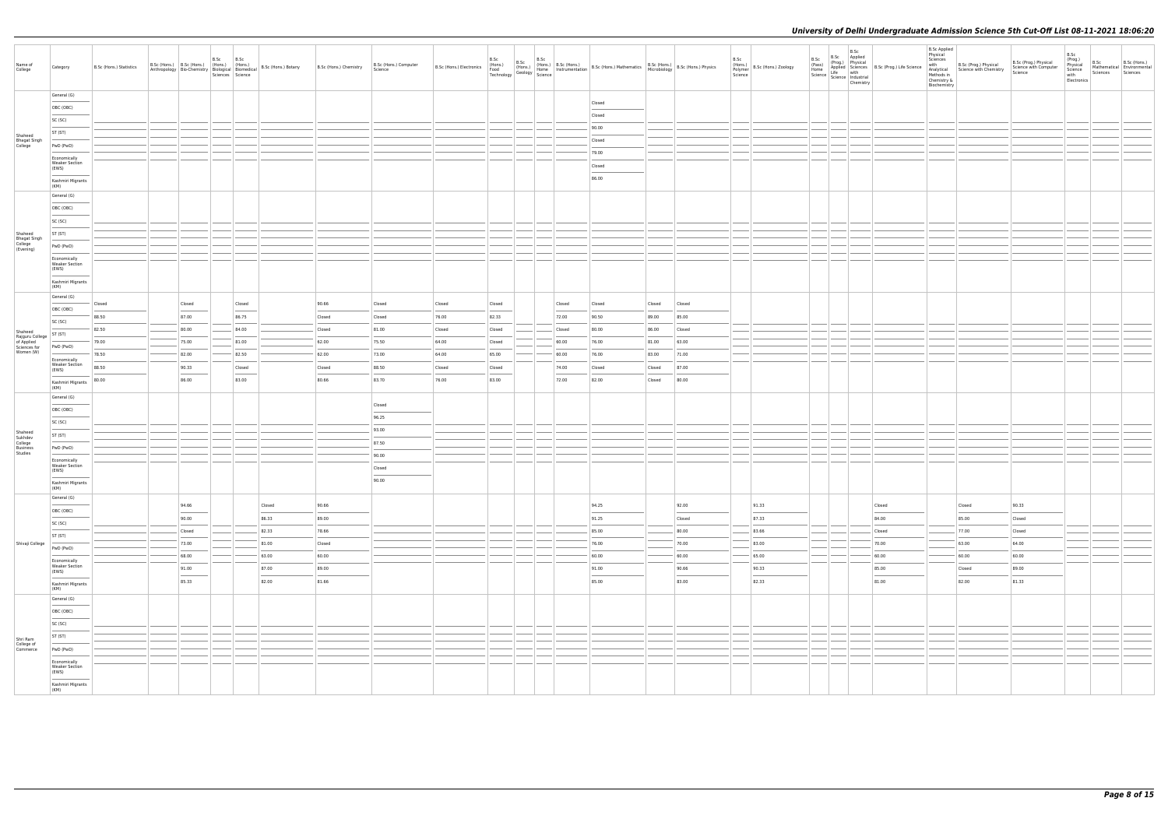| Name of<br>College                      | Category                                       | B.Sc (Hons.) Statistics | B.Sc (Hons.) B.Sc (Hons.) (Hons.) (Hons.) |                 | B.Sc | B.Sc<br>Sciences Science                                                                                                                                                                                                                                                                                                                                                                                                                                                             | Anthropology Bio-Chemistry Biological Biomedical B.Sc (Hons.) Botany | B.Sc (Hons.) Chemistry | B.Sc (Hons.) Computer<br>Science | B.Sc (Hons.) Electronics (Hons.) | B.Sc            | B.Sc           | The B.S.C (Hons.) B.S.C (Hons.)<br>(Hons.) (Hons.) B.S.C (Hons.) B.S.C (Hons.) Mathematics B.S.C (Hons.) B.Sc (Hons.) Physics<br>Technology Geology Science Instrumentation B.Sc (Hons.) Mathematics B.C (Hons.) B.Sc (Hons.) Phys |                 |                | B.Sc | (Hons.)<br>Polymer B.Sc (Hons.) Zoology<br>Science | B.Sc   | B.Sc<br>B.Sc Applied<br>(Prog.) Physical<br>Cross) (Prog.) Physical<br>Home Applied Sciences<br>Science Life with<br>Science Industrial<br>Chemistry | Applied Sciences B.Sc (Prog.) Life Science<br>Life with | <b>B.Sc Applied</b><br>Physical<br>Sciences<br>with<br>Methods in<br>Chemistry &<br>Biochemistry | B.Sc (Prog.) Physical<br>Analytical Science with Chemistry | B.Sc (Prog.) Physical<br>Science with Computer<br>Science | B.Sc<br>(Prog.)<br>Physical<br>Science<br>with<br>Electronics | B.Sc<br>Sciences | B.Sc (Hons.)<br>Mathematical Environmental<br>Sciences |
|-----------------------------------------|------------------------------------------------|-------------------------|-------------------------------------------|-----------------|------|--------------------------------------------------------------------------------------------------------------------------------------------------------------------------------------------------------------------------------------------------------------------------------------------------------------------------------------------------------------------------------------------------------------------------------------------------------------------------------------|----------------------------------------------------------------------|------------------------|----------------------------------|----------------------------------|-----------------|----------------|------------------------------------------------------------------------------------------------------------------------------------------------------------------------------------------------------------------------------------|-----------------|----------------|------|----------------------------------------------------|--------|------------------------------------------------------------------------------------------------------------------------------------------------------|---------------------------------------------------------|--------------------------------------------------------------------------------------------------|------------------------------------------------------------|-----------------------------------------------------------|---------------------------------------------------------------|------------------|--------------------------------------------------------|
|                                         | General (G)                                    |                         |                                           |                 |      |                                                                                                                                                                                                                                                                                                                                                                                                                                                                                      |                                                                      |                        |                                  |                                  |                 |                |                                                                                                                                                                                                                                    |                 |                |      |                                                    |        |                                                                                                                                                      |                                                         |                                                                                                  |                                                            |                                                           |                                                               |                  |                                                        |
|                                         | OBC (OBC)                                      |                         |                                           |                 |      |                                                                                                                                                                                                                                                                                                                                                                                                                                                                                      |                                                                      |                        |                                  |                                  |                 |                | Closed<br>Closed                                                                                                                                                                                                                   |                 |                |      |                                                    |        |                                                                                                                                                      |                                                         |                                                                                                  |                                                            |                                                           |                                                               |                  |                                                        |
|                                         | SC (SC)                                        |                         |                                           |                 |      |                                                                                                                                                                                                                                                                                                                                                                                                                                                                                      |                                                                      |                        |                                  |                                  |                 |                | 90.00                                                                                                                                                                                                                              |                 |                |      |                                                    |        |                                                                                                                                                      |                                                         |                                                                                                  |                                                            |                                                           |                                                               |                  |                                                        |
| Shaheed                                 | ST (ST)                                        |                         |                                           |                 |      |                                                                                                                                                                                                                                                                                                                                                                                                                                                                                      |                                                                      |                        |                                  |                                  |                 |                | Closed                                                                                                                                                                                                                             |                 |                |      |                                                    |        |                                                                                                                                                      |                                                         |                                                                                                  |                                                            |                                                           |                                                               |                  |                                                        |
| Bhagat Singh<br>College                 | PwD (PwD)                                      |                         |                                           |                 |      |                                                                                                                                                                                                                                                                                                                                                                                                                                                                                      |                                                                      |                        |                                  |                                  |                 |                | 79.00                                                                                                                                                                                                                              |                 |                |      |                                                    |        |                                                                                                                                                      |                                                         |                                                                                                  |                                                            |                                                           |                                                               |                  |                                                        |
|                                         | Economically<br><b>Weaker Section</b>          |                         |                                           |                 |      |                                                                                                                                                                                                                                                                                                                                                                                                                                                                                      |                                                                      |                        |                                  |                                  |                 |                | Closed                                                                                                                                                                                                                             |                 |                |      |                                                    |        |                                                                                                                                                      |                                                         |                                                                                                  |                                                            |                                                           |                                                               |                  |                                                        |
|                                         | (EWS)                                          |                         |                                           |                 |      |                                                                                                                                                                                                                                                                                                                                                                                                                                                                                      |                                                                      |                        |                                  |                                  |                 |                | 86.00                                                                                                                                                                                                                              |                 |                |      |                                                    |        |                                                                                                                                                      |                                                         |                                                                                                  |                                                            |                                                           |                                                               |                  |                                                        |
|                                         | Kashmiri Migrants<br>(KM)                      |                         |                                           |                 |      |                                                                                                                                                                                                                                                                                                                                                                                                                                                                                      |                                                                      |                        |                                  |                                  |                 |                |                                                                                                                                                                                                                                    |                 |                |      |                                                    |        |                                                                                                                                                      |                                                         |                                                                                                  |                                                            |                                                           |                                                               |                  |                                                        |
|                                         | General (G)                                    |                         |                                           |                 |      |                                                                                                                                                                                                                                                                                                                                                                                                                                                                                      |                                                                      |                        |                                  |                                  |                 |                |                                                                                                                                                                                                                                    |                 |                |      |                                                    |        |                                                                                                                                                      |                                                         |                                                                                                  |                                                            |                                                           |                                                               |                  |                                                        |
|                                         | OBC (OBC)                                      |                         |                                           |                 |      |                                                                                                                                                                                                                                                                                                                                                                                                                                                                                      |                                                                      |                        |                                  |                                  |                 |                |                                                                                                                                                                                                                                    |                 |                |      |                                                    |        |                                                                                                                                                      |                                                         |                                                                                                  |                                                            |                                                           |                                                               |                  |                                                        |
|                                         | SC (SC)                                        |                         |                                           |                 |      |                                                                                                                                                                                                                                                                                                                                                                                                                                                                                      |                                                                      |                        |                                  |                                  |                 |                |                                                                                                                                                                                                                                    |                 |                |      |                                                    |        |                                                                                                                                                      |                                                         |                                                                                                  |                                                            |                                                           |                                                               |                  |                                                        |
| Shaheed<br>Bhagat Singh                 | ST (ST)                                        |                         |                                           |                 |      |                                                                                                                                                                                                                                                                                                                                                                                                                                                                                      |                                                                      |                        |                                  |                                  |                 |                |                                                                                                                                                                                                                                    |                 |                |      |                                                    |        |                                                                                                                                                      |                                                         |                                                                                                  |                                                            |                                                           |                                                               |                  |                                                        |
| College<br>(Evening)                    | PwD (PwD)                                      |                         |                                           |                 |      |                                                                                                                                                                                                                                                                                                                                                                                                                                                                                      |                                                                      |                        |                                  |                                  |                 |                |                                                                                                                                                                                                                                    |                 |                |      |                                                    |        |                                                                                                                                                      |                                                         |                                                                                                  |                                                            |                                                           |                                                               |                  |                                                        |
|                                         | Economically<br><b>Weaker Section</b><br>(EWS) |                         |                                           |                 |      |                                                                                                                                                                                                                                                                                                                                                                                                                                                                                      |                                                                      |                        |                                  |                                  |                 |                |                                                                                                                                                                                                                                    |                 |                |      |                                                    |        |                                                                                                                                                      |                                                         |                                                                                                  |                                                            |                                                           |                                                               |                  |                                                        |
|                                         | Kashmiri Migrants<br>(KM)                      |                         |                                           |                 |      |                                                                                                                                                                                                                                                                                                                                                                                                                                                                                      |                                                                      |                        |                                  |                                  |                 |                |                                                                                                                                                                                                                                    |                 |                |      |                                                    |        |                                                                                                                                                      |                                                         |                                                                                                  |                                                            |                                                           |                                                               |                  |                                                        |
|                                         | General (G)                                    |                         |                                           |                 |      |                                                                                                                                                                                                                                                                                                                                                                                                                                                                                      |                                                                      |                        |                                  |                                  |                 |                |                                                                                                                                                                                                                                    |                 |                |      |                                                    |        |                                                                                                                                                      |                                                         |                                                                                                  |                                                            |                                                           |                                                               |                  |                                                        |
|                                         | OBC (OBC)                                      | Closed                  |                                           | Closed          |      | Closed<br>$\frac{1}{2} \left( \frac{1}{2} \right) \left( \frac{1}{2} \right) \left( \frac{1}{2} \right) \left( \frac{1}{2} \right) \left( \frac{1}{2} \right) \left( \frac{1}{2} \right) \left( \frac{1}{2} \right) \left( \frac{1}{2} \right) \left( \frac{1}{2} \right) \left( \frac{1}{2} \right) \left( \frac{1}{2} \right) \left( \frac{1}{2} \right) \left( \frac{1}{2} \right) \left( \frac{1}{2} \right) \left( \frac{1}{2} \right) \left( \frac{1}{2} \right) \left( \frac$ |                                                                      | 90.66                  | Closed                           | Closed                           | Closed          | Closed         | Closed                                                                                                                                                                                                                             | Closed          | Closed         |      |                                                    |        |                                                                                                                                                      |                                                         |                                                                                                  |                                                            |                                                           |                                                               |                  |                                                        |
|                                         | SC (SC)                                        | 88.50                   |                                           | 87.00           |      | 86.75                                                                                                                                                                                                                                                                                                                                                                                                                                                                                |                                                                      | Closed                 | Closed                           | 76.00                            | 82.33           | 72.00          | 90.50                                                                                                                                                                                                                              | 89.00           | 85.00          |      |                                                    |        |                                                                                                                                                      |                                                         |                                                                                                  |                                                            |                                                           |                                                               |                  |                                                        |
| Shaheed<br>Rajguru College              | ST (ST)                                        | 82.50                   |                                           | 80.00           |      | 84.00                                                                                                                                                                                                                                                                                                                                                                                                                                                                                |                                                                      | Closed                 | 81.00                            | Closed                           | Closed          | Closed         | 80.00                                                                                                                                                                                                                              | 86.00           | Closed         |      |                                                    |        |                                                                                                                                                      |                                                         |                                                                                                  |                                                            |                                                           |                                                               |                  |                                                        |
| of Applied<br>Sciences for<br>Women (W) | PwD (PwD)                                      | 79.00                   |                                           | 75.00           |      | 81.00<br>82.50                                                                                                                                                                                                                                                                                                                                                                                                                                                                       |                                                                      | 62.00                  | 75.50                            | 64.00                            | Closed          | 60.00          | 76.00                                                                                                                                                                                                                              | 81.00           | 63.00          |      |                                                    |        |                                                                                                                                                      |                                                         |                                                                                                  |                                                            |                                                           |                                                               |                  |                                                        |
|                                         | Economically<br><b>Weaker Section</b>          | 78.50<br>88.50          |                                           | 82.00           |      | Closed                                                                                                                                                                                                                                                                                                                                                                                                                                                                               |                                                                      | 62.00<br>Closed        | 73.00<br>88.50                   | 64.00<br>Closed                  | 65.00<br>Closed | 60.00<br>74.00 | 76.00<br>Closed                                                                                                                                                                                                                    | 83.00<br>Closed | 71.00<br>87.00 |      |                                                    |        |                                                                                                                                                      |                                                         |                                                                                                  |                                                            |                                                           |                                                               |                  |                                                        |
|                                         | (EWS)                                          | 80.00                   |                                           | 90.33<br>86.00  |      | $\overline{\phantom{a}}$<br>83.00                                                                                                                                                                                                                                                                                                                                                                                                                                                    |                                                                      | 80.66                  | 83.70                            | 76.00                            | 83.00           | 72.00          | 82.00                                                                                                                                                                                                                              | Closed          | 80.00          |      |                                                    |        |                                                                                                                                                      |                                                         |                                                                                                  |                                                            |                                                           |                                                               |                  |                                                        |
|                                         | Kashmiri Migrants<br>(KM)                      |                         |                                           |                 |      |                                                                                                                                                                                                                                                                                                                                                                                                                                                                                      |                                                                      |                        |                                  |                                  |                 |                |                                                                                                                                                                                                                                    |                 |                |      |                                                    |        |                                                                                                                                                      |                                                         |                                                                                                  |                                                            |                                                           |                                                               |                  |                                                        |
|                                         | General (G)                                    |                         |                                           |                 |      |                                                                                                                                                                                                                                                                                                                                                                                                                                                                                      |                                                                      |                        | Closed                           |                                  |                 |                |                                                                                                                                                                                                                                    |                 |                |      |                                                    |        |                                                                                                                                                      |                                                         |                                                                                                  |                                                            |                                                           |                                                               |                  |                                                        |
|                                         | OBC (OBC)                                      |                         |                                           |                 |      |                                                                                                                                                                                                                                                                                                                                                                                                                                                                                      |                                                                      |                        | 96.25                            |                                  |                 |                |                                                                                                                                                                                                                                    |                 |                |      |                                                    |        |                                                                                                                                                      |                                                         |                                                                                                  |                                                            |                                                           |                                                               |                  |                                                        |
| Shaheed                                 | SC (SC)                                        |                         |                                           |                 |      |                                                                                                                                                                                                                                                                                                                                                                                                                                                                                      |                                                                      |                        | 93.00                            |                                  |                 |                |                                                                                                                                                                                                                                    |                 |                |      |                                                    |        |                                                                                                                                                      |                                                         |                                                                                                  |                                                            |                                                           |                                                               |                  |                                                        |
| Sukhdev<br>College                      | ST (ST)                                        |                         |                                           |                 |      |                                                                                                                                                                                                                                                                                                                                                                                                                                                                                      |                                                                      |                        | 87.50                            |                                  |                 |                |                                                                                                                                                                                                                                    |                 |                |      |                                                    |        |                                                                                                                                                      |                                                         |                                                                                                  |                                                            |                                                           |                                                               |                  |                                                        |
| <b>Business</b><br>Studies              | PwD (PwD)                                      |                         |                                           |                 |      |                                                                                                                                                                                                                                                                                                                                                                                                                                                                                      |                                                                      |                        | 90.00                            |                                  |                 |                |                                                                                                                                                                                                                                    |                 |                |      |                                                    |        |                                                                                                                                                      |                                                         |                                                                                                  |                                                            |                                                           |                                                               |                  |                                                        |
|                                         | Economically<br><b>Weaker Section</b><br>(EWS) |                         |                                           |                 |      |                                                                                                                                                                                                                                                                                                                                                                                                                                                                                      |                                                                      |                        | Closed                           |                                  |                 |                |                                                                                                                                                                                                                                    |                 |                |      |                                                    |        |                                                                                                                                                      |                                                         |                                                                                                  |                                                            |                                                           |                                                               |                  |                                                        |
|                                         | $\sim$<br>Kashmiri Migrants<br>(KM)            |                         |                                           |                 |      |                                                                                                                                                                                                                                                                                                                                                                                                                                                                                      |                                                                      |                        | 90.00                            |                                  |                 |                |                                                                                                                                                                                                                                    |                 |                |      |                                                    |        |                                                                                                                                                      |                                                         |                                                                                                  |                                                            |                                                           |                                                               |                  |                                                        |
|                                         | General (G)                                    |                         |                                           |                 |      |                                                                                                                                                                                                                                                                                                                                                                                                                                                                                      |                                                                      |                        |                                  |                                  |                 |                |                                                                                                                                                                                                                                    |                 |                |      |                                                    |        |                                                                                                                                                      |                                                         |                                                                                                  |                                                            |                                                           |                                                               |                  |                                                        |
|                                         | OBC (OBC)                                      |                         |                                           | 94.66           |      |                                                                                                                                                                                                                                                                                                                                                                                                                                                                                      | Closed                                                               | 90.66                  |                                  |                                  |                 |                | 94.25                                                                                                                                                                                                                              |                 | 92.00          |      | 91.33                                              |        |                                                                                                                                                      | Closed                                                  |                                                                                                  | Closed                                                     | 90.33                                                     |                                                               |                  |                                                        |
|                                         | SC (SC)                                        |                         |                                           | 90.00           |      |                                                                                                                                                                                                                                                                                                                                                                                                                                                                                      | 86.33                                                                | 89.00                  |                                  |                                  |                 |                | 91.25                                                                                                                                                                                                                              |                 | Closed         |      | 87.33                                              |        |                                                                                                                                                      | 84.00                                                   |                                                                                                  | 85.00                                                      | Closed                                                    |                                                               |                  |                                                        |
| Shivaji College                         | ST (ST)                                        |                         |                                           | Closed<br>73.00 |      |                                                                                                                                                                                                                                                                                                                                                                                                                                                                                      | 82.33<br>81.00                                                       | 78.66<br>Closed        |                                  |                                  |                 |                | 85.00<br>76.00                                                                                                                                                                                                                     |                 | 80.00<br>70.00 |      | 83.66<br>83.00                                     |        |                                                                                                                                                      | Closed<br>70.00                                         |                                                                                                  | 77.00<br>63.00                                             | Closed<br>64.00                                           |                                                               |                  |                                                        |
|                                         | PwD (PwD)                                      |                         |                                           | 68.00           |      |                                                                                                                                                                                                                                                                                                                                                                                                                                                                                      | 63.00                                                                | 60.00                  |                                  |                                  |                 |                | 60.00                                                                                                                                                                                                                              |                 | 60.00          |      | 65.00                                              |        |                                                                                                                                                      | 60.00                                                   |                                                                                                  | 60.00                                                      | 60.00                                                     |                                                               |                  |                                                        |
|                                         | Economically<br><b>Weaker Section</b>          |                         |                                           | 91.00           |      |                                                                                                                                                                                                                                                                                                                                                                                                                                                                                      | 87.00                                                                | 89.00                  |                                  |                                  |                 |                | 91.00                                                                                                                                                                                                                              |                 | 90.66          |      | 90.33                                              |        |                                                                                                                                                      | 85.00                                                   |                                                                                                  | Closed                                                     | 89.00                                                     |                                                               |                  |                                                        |
|                                         | (EWS)                                          |                         |                                           | 85.33           |      |                                                                                                                                                                                                                                                                                                                                                                                                                                                                                      | 82.00                                                                | 81.66                  |                                  |                                  |                 |                | 85.00                                                                                                                                                                                                                              |                 | 83.00          |      | 82.33                                              |        |                                                                                                                                                      | 81.00                                                   |                                                                                                  | 82.00                                                      | 81.33                                                     |                                                               |                  |                                                        |
|                                         | Kashmiri Migrants<br>(KM)                      |                         |                                           |                 |      |                                                                                                                                                                                                                                                                                                                                                                                                                                                                                      |                                                                      |                        |                                  |                                  |                 |                |                                                                                                                                                                                                                                    |                 |                |      |                                                    |        |                                                                                                                                                      |                                                         |                                                                                                  |                                                            |                                                           |                                                               |                  |                                                        |
|                                         | General (G)                                    |                         |                                           |                 |      |                                                                                                                                                                                                                                                                                                                                                                                                                                                                                      |                                                                      |                        |                                  |                                  |                 |                |                                                                                                                                                                                                                                    |                 |                |      |                                                    |        |                                                                                                                                                      |                                                         |                                                                                                  |                                                            |                                                           |                                                               |                  |                                                        |
|                                         | OBC (OBC)                                      |                         |                                           |                 |      |                                                                                                                                                                                                                                                                                                                                                                                                                                                                                      |                                                                      |                        |                                  |                                  |                 |                |                                                                                                                                                                                                                                    |                 |                |      |                                                    |        |                                                                                                                                                      |                                                         |                                                                                                  |                                                            |                                                           |                                                               |                  |                                                        |
|                                         | SC (SC)                                        |                         |                                           |                 |      |                                                                                                                                                                                                                                                                                                                                                                                                                                                                                      |                                                                      |                        |                                  |                                  |                 |                |                                                                                                                                                                                                                                    |                 |                |      |                                                    |        |                                                                                                                                                      |                                                         |                                                                                                  |                                                            |                                                           |                                                               |                  |                                                        |
| Shri Ram<br>College of                  | ST (ST)                                        |                         |                                           |                 |      |                                                                                                                                                                                                                                                                                                                                                                                                                                                                                      |                                                                      |                        |                                  |                                  |                 |                |                                                                                                                                                                                                                                    |                 |                |      |                                                    |        |                                                                                                                                                      |                                                         |                                                                                                  |                                                            |                                                           |                                                               |                  |                                                        |
| Commerce                                | PwD (PwD)                                      |                         |                                           |                 |      |                                                                                                                                                                                                                                                                                                                                                                                                                                                                                      |                                                                      |                        |                                  |                                  |                 |                |                                                                                                                                                                                                                                    |                 |                |      |                                                    | $\sim$ |                                                                                                                                                      |                                                         |                                                                                                  |                                                            |                                                           |                                                               |                  |                                                        |
|                                         | Economically<br><b>Weaker Section</b><br>(EWS) |                         |                                           |                 |      |                                                                                                                                                                                                                                                                                                                                                                                                                                                                                      |                                                                      |                        |                                  |                                  |                 |                |                                                                                                                                                                                                                                    |                 |                |      |                                                    |        |                                                                                                                                                      |                                                         |                                                                                                  |                                                            |                                                           |                                                               |                  |                                                        |
|                                         | Kashmiri Migrants<br>(KM)                      |                         |                                           |                 |      |                                                                                                                                                                                                                                                                                                                                                                                                                                                                                      |                                                                      |                        |                                  |                                  |                 |                |                                                                                                                                                                                                                                    |                 |                |      |                                                    |        |                                                                                                                                                      |                                                         |                                                                                                  |                                                            |                                                           |                                                               |                  |                                                        |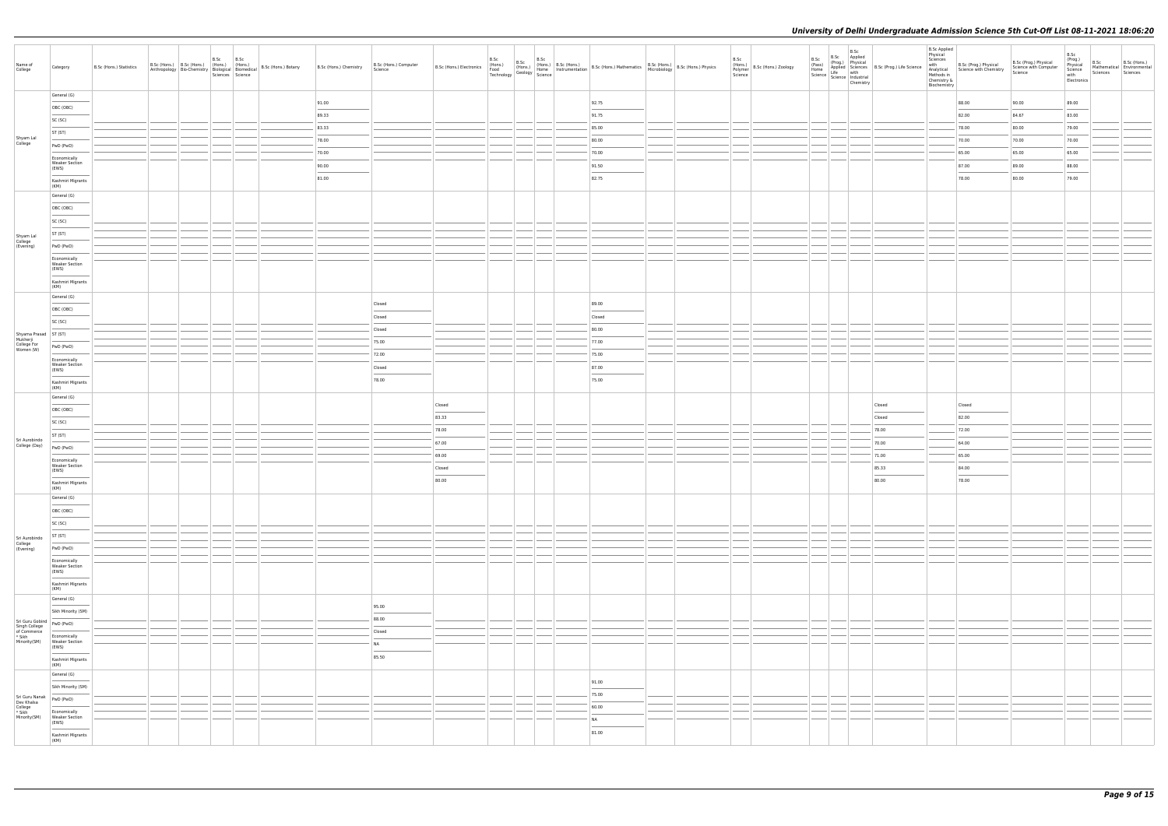| Name of<br>College                                                                    | Category                                       | B.Sc (Hons.) Statistics | B.Sc | B.Sc<br>Sciences Science | B.Sc (Hons.) B.Sc (Hons.) (Hons.) (Hons.) B.Sc (Hons.) Botany<br>Anthropology Bio-Chemistry Biological Biomedical B.Sc (Hons.) Botany | B.Sc (Hons.) Chemistry | B.Sc (Hons.) Computer<br>Science  |        |  | B.Sc (Hons.) Electronics (Hons.) B.Sc (Hons.) B.Sc (Hons.) B.Sc (Hons.) B.Sc (Hons.) B.Sc (Hons.) B.Sc (Hons.) Physics Technology Geology Science 1991 B.Sc (Hons.) Mathematics B.Sc (Hons.) Microbiology B.Sc (Hons.) Physics |  | B.Sc | (Hons.)<br>Polymer B.Sc (Hons.) Zoology<br>Science |               | B.Sc<br>Chemistry | B.Sc B.Sc Applied<br>(Prog.) Physical<br>(Prog.) Physical<br>Home Science<br>Life with<br>Science Industrial<br>Science Industrial | <b>B.Sc Applied</b><br>Physical<br>Sciences<br>with<br>Chemistry &<br>Biochemistry | e<br>Manalytical<br>Manalytical<br>Methods in<br>Chemistry<br>Chemistry<br>Chemistry<br>Chemistry<br>Chemistry<br>Chemistry<br>Chemistry<br>Chemistry<br>Chemistry<br>Chemistry<br>Chemistry<br>Chemistry<br>Chemistry<br>Chemistry<br>Chemistry<br>Chemistry<br>Chemi | B.Sc (Prog.) Physical<br>Science with Computer<br>Science | B.Sc<br>(Prog.)<br>Physical<br>Science<br>with<br>Electronics | B.Sc<br>Sciences | B.Sc (Hons.)<br>Mathematical Environmental<br>Sciences |
|---------------------------------------------------------------------------------------|------------------------------------------------|-------------------------|------|--------------------------|---------------------------------------------------------------------------------------------------------------------------------------|------------------------|-----------------------------------|--------|--|--------------------------------------------------------------------------------------------------------------------------------------------------------------------------------------------------------------------------------|--|------|----------------------------------------------------|---------------|-------------------|------------------------------------------------------------------------------------------------------------------------------------|------------------------------------------------------------------------------------|------------------------------------------------------------------------------------------------------------------------------------------------------------------------------------------------------------------------------------------------------------------------|-----------------------------------------------------------|---------------------------------------------------------------|------------------|--------------------------------------------------------|
|                                                                                       | General (G)                                    |                         |      |                          |                                                                                                                                       | 91.00                  |                                   |        |  | 92.75                                                                                                                                                                                                                          |  |      |                                                    |               |                   |                                                                                                                                    |                                                                                    | 88.00                                                                                                                                                                                                                                                                  | 90.00                                                     | 89.00                                                         |                  |                                                        |
|                                                                                       | OBC (OBC)                                      |                         |      |                          |                                                                                                                                       | 89.33                  |                                   |        |  | 91.75                                                                                                                                                                                                                          |  |      |                                                    |               |                   |                                                                                                                                    |                                                                                    | 82.00                                                                                                                                                                                                                                                                  | 84.67                                                     | 83.00                                                         |                  |                                                        |
|                                                                                       | SC (SC)                                        |                         |      |                          |                                                                                                                                       | 83.33                  |                                   |        |  | 85.00                                                                                                                                                                                                                          |  |      |                                                    |               |                   |                                                                                                                                    |                                                                                    | 78.00                                                                                                                                                                                                                                                                  | 80.00                                                     | 79.00                                                         |                  |                                                        |
| Shyam Lal<br>College                                                                  | ST (ST)                                        |                         |      |                          |                                                                                                                                       | 78.00                  |                                   |        |  | 80.00                                                                                                                                                                                                                          |  |      |                                                    |               |                   |                                                                                                                                    |                                                                                    | 70.00                                                                                                                                                                                                                                                                  | 70.00                                                     | 70.00                                                         |                  |                                                        |
|                                                                                       | PwD (PwD)                                      |                         |      |                          |                                                                                                                                       | 70.00                  |                                   |        |  | 70.00                                                                                                                                                                                                                          |  |      |                                                    |               |                   |                                                                                                                                    |                                                                                    | 65.00                                                                                                                                                                                                                                                                  | 65.00                                                     | 65.00                                                         |                  |                                                        |
|                                                                                       | Economically<br><b>Weaker Section</b>          |                         |      |                          |                                                                                                                                       | 90.00                  |                                   |        |  | 91.50                                                                                                                                                                                                                          |  |      |                                                    |               |                   |                                                                                                                                    |                                                                                    | 87.00                                                                                                                                                                                                                                                                  | 89.00                                                     | 88.00                                                         |                  |                                                        |
|                                                                                       | (EWS)                                          |                         |      |                          |                                                                                                                                       | 81.00                  |                                   |        |  | 82.75                                                                                                                                                                                                                          |  |      |                                                    |               |                   |                                                                                                                                    |                                                                                    | 78.00                                                                                                                                                                                                                                                                  | 80.00                                                     | 79.00                                                         |                  |                                                        |
|                                                                                       | Kashmiri Migrants<br>(KM)                      |                         |      |                          |                                                                                                                                       |                        |                                   |        |  |                                                                                                                                                                                                                                |  |      |                                                    |               |                   |                                                                                                                                    |                                                                                    |                                                                                                                                                                                                                                                                        |                                                           |                                                               |                  |                                                        |
|                                                                                       | General (G)                                    |                         |      |                          |                                                                                                                                       |                        |                                   |        |  |                                                                                                                                                                                                                                |  |      |                                                    |               |                   |                                                                                                                                    |                                                                                    |                                                                                                                                                                                                                                                                        |                                                           |                                                               |                  |                                                        |
|                                                                                       | OBC (OBC)<br>____                              |                         |      |                          |                                                                                                                                       |                        |                                   |        |  |                                                                                                                                                                                                                                |  |      |                                                    |               |                   |                                                                                                                                    |                                                                                    |                                                                                                                                                                                                                                                                        |                                                           |                                                               |                  |                                                        |
|                                                                                       | SC (SC)                                        |                         |      |                          |                                                                                                                                       |                        |                                   |        |  |                                                                                                                                                                                                                                |  |      |                                                    |               |                   |                                                                                                                                    |                                                                                    |                                                                                                                                                                                                                                                                        |                                                           |                                                               |                  |                                                        |
|                                                                                       | ST (ST)                                        |                         |      |                          |                                                                                                                                       |                        |                                   |        |  |                                                                                                                                                                                                                                |  |      |                                                    |               |                   |                                                                                                                                    |                                                                                    |                                                                                                                                                                                                                                                                        |                                                           |                                                               |                  |                                                        |
| Shyam Lal<br>College<br>(Evening)                                                     | PwD (PwD)                                      |                         |      |                          |                                                                                                                                       |                        |                                   |        |  |                                                                                                                                                                                                                                |  |      |                                                    |               |                   |                                                                                                                                    |                                                                                    |                                                                                                                                                                                                                                                                        |                                                           |                                                               |                  |                                                        |
|                                                                                       | Economically<br><b>Weaker Section</b>          |                         |      |                          |                                                                                                                                       |                        |                                   |        |  |                                                                                                                                                                                                                                |  |      |                                                    |               |                   |                                                                                                                                    |                                                                                    |                                                                                                                                                                                                                                                                        |                                                           |                                                               |                  |                                                        |
|                                                                                       | (EWS)                                          |                         |      |                          |                                                                                                                                       |                        |                                   |        |  |                                                                                                                                                                                                                                |  |      |                                                    |               |                   |                                                                                                                                    |                                                                                    |                                                                                                                                                                                                                                                                        |                                                           |                                                               |                  |                                                        |
|                                                                                       | Kashmiri Migrants<br>(KM)                      |                         |      |                          |                                                                                                                                       |                        |                                   |        |  |                                                                                                                                                                                                                                |  |      |                                                    |               |                   |                                                                                                                                    |                                                                                    |                                                                                                                                                                                                                                                                        |                                                           |                                                               |                  |                                                        |
|                                                                                       | General (G)                                    |                         |      |                          |                                                                                                                                       |                        | Closed                            |        |  | 89.00                                                                                                                                                                                                                          |  |      |                                                    |               |                   |                                                                                                                                    |                                                                                    |                                                                                                                                                                                                                                                                        |                                                           |                                                               |                  |                                                        |
|                                                                                       | OBC (OBC)                                      |                         |      |                          |                                                                                                                                       |                        | Closed                            |        |  | Closed                                                                                                                                                                                                                         |  |      |                                                    |               |                   |                                                                                                                                    |                                                                                    |                                                                                                                                                                                                                                                                        |                                                           |                                                               |                  |                                                        |
|                                                                                       | SC (SC)                                        |                         |      |                          |                                                                                                                                       |                        | Closed                            |        |  | 80.00                                                                                                                                                                                                                          |  |      |                                                    |               |                   |                                                                                                                                    |                                                                                    |                                                                                                                                                                                                                                                                        |                                                           |                                                               |                  |                                                        |
| Shyama Prasad<br>Mukherji<br>College For<br>PWD (PWL                                  |                                                |                         |      |                          |                                                                                                                                       |                        | 75.00                             |        |  | 77.00                                                                                                                                                                                                                          |  |      |                                                    |               |                   |                                                                                                                                    |                                                                                    |                                                                                                                                                                                                                                                                        |                                                           |                                                               |                  |                                                        |
| Women (W)                                                                             | PwD (PwD)                                      |                         |      |                          |                                                                                                                                       |                        | 72.00                             |        |  | 75.00                                                                                                                                                                                                                          |  |      |                                                    |               |                   |                                                                                                                                    |                                                                                    |                                                                                                                                                                                                                                                                        |                                                           |                                                               |                  |                                                        |
|                                                                                       | Economically<br><b>Weaker Section</b>          |                         |      |                          |                                                                                                                                       |                        | Closed                            |        |  | 87.00                                                                                                                                                                                                                          |  |      |                                                    |               |                   |                                                                                                                                    |                                                                                    |                                                                                                                                                                                                                                                                        |                                                           |                                                               |                  |                                                        |
|                                                                                       | (EWS)                                          |                         |      |                          |                                                                                                                                       |                        | 78.00                             |        |  | 75.00                                                                                                                                                                                                                          |  |      |                                                    |               |                   |                                                                                                                                    |                                                                                    |                                                                                                                                                                                                                                                                        |                                                           |                                                               |                  |                                                        |
|                                                                                       | Kashmiri Migrants<br>(KM)                      |                         |      |                          |                                                                                                                                       |                        |                                   |        |  |                                                                                                                                                                                                                                |  |      |                                                    |               |                   |                                                                                                                                    |                                                                                    |                                                                                                                                                                                                                                                                        |                                                           |                                                               |                  |                                                        |
|                                                                                       | General (G)                                    |                         |      |                          |                                                                                                                                       |                        |                                   | Closed |  |                                                                                                                                                                                                                                |  |      |                                                    |               |                   | Closed                                                                                                                             |                                                                                    | Closed                                                                                                                                                                                                                                                                 |                                                           |                                                               |                  |                                                        |
|                                                                                       | OBC (OBC)                                      |                         |      |                          |                                                                                                                                       |                        |                                   | 83.33  |  |                                                                                                                                                                                                                                |  |      |                                                    |               |                   | Closed                                                                                                                             |                                                                                    | 82.00                                                                                                                                                                                                                                                                  |                                                           |                                                               |                  |                                                        |
|                                                                                       | SC (SC)                                        |                         |      |                          |                                                                                                                                       |                        |                                   | 78.00  |  |                                                                                                                                                                                                                                |  |      |                                                    |               |                   | 78.00                                                                                                                              |                                                                                    | 72.00                                                                                                                                                                                                                                                                  |                                                           |                                                               |                  |                                                        |
| Sri Aurobindo                                                                         | ST (ST)                                        |                         |      |                          |                                                                                                                                       |                        |                                   | 67.00  |  |                                                                                                                                                                                                                                |  |      |                                                    |               |                   | 70.00                                                                                                                              |                                                                                    | 64.00                                                                                                                                                                                                                                                                  |                                                           |                                                               |                  |                                                        |
| College (Day)                                                                         | PwD (PwD)                                      |                         |      |                          |                                                                                                                                       |                        |                                   | 69.00  |  |                                                                                                                                                                                                                                |  |      |                                                    |               |                   | 71.00                                                                                                                              |                                                                                    | 65.00                                                                                                                                                                                                                                                                  |                                                           |                                                               |                  |                                                        |
|                                                                                       | Economically<br><b>Weaker Section</b>          |                         |      |                          |                                                                                                                                       |                        |                                   | Closed |  |                                                                                                                                                                                                                                |  |      |                                                    |               |                   | 85.33                                                                                                                              |                                                                                    | 84.00                                                                                                                                                                                                                                                                  |                                                           |                                                               |                  |                                                        |
|                                                                                       | (EWS)<br>$\sim$                                |                         |      |                          |                                                                                                                                       |                        |                                   | 80.00  |  |                                                                                                                                                                                                                                |  |      |                                                    |               |                   | 80.00                                                                                                                              |                                                                                    | $\frac{1}{2}$<br>78.00                                                                                                                                                                                                                                                 |                                                           |                                                               |                  |                                                        |
|                                                                                       | Kashmiri Migrants<br>(KM)                      |                         |      |                          |                                                                                                                                       |                        |                                   |        |  |                                                                                                                                                                                                                                |  |      |                                                    |               |                   |                                                                                                                                    |                                                                                    |                                                                                                                                                                                                                                                                        |                                                           |                                                               |                  |                                                        |
|                                                                                       | General (G)                                    |                         |      |                          |                                                                                                                                       |                        |                                   |        |  |                                                                                                                                                                                                                                |  |      |                                                    |               |                   |                                                                                                                                    |                                                                                    |                                                                                                                                                                                                                                                                        |                                                           |                                                               |                  |                                                        |
|                                                                                       | OBC (OBC)                                      |                         |      |                          |                                                                                                                                       |                        |                                   |        |  |                                                                                                                                                                                                                                |  |      |                                                    |               |                   |                                                                                                                                    |                                                                                    |                                                                                                                                                                                                                                                                        |                                                           |                                                               |                  |                                                        |
|                                                                                       | SC (SC)                                        |                         |      |                          |                                                                                                                                       |                        |                                   |        |  |                                                                                                                                                                                                                                |  |      |                                                    | ____          |                   |                                                                                                                                    |                                                                                    |                                                                                                                                                                                                                                                                        |                                                           |                                                               |                  |                                                        |
| Sri Aurobindo                                                                         | ST (ST)                                        |                         |      |                          |                                                                                                                                       |                        |                                   |        |  |                                                                                                                                                                                                                                |  |      |                                                    |               |                   |                                                                                                                                    |                                                                                    |                                                                                                                                                                                                                                                                        |                                                           |                                                               |                  |                                                        |
| College<br>(Evening)                                                                  | PwD (PwD)                                      |                         |      |                          |                                                                                                                                       |                        |                                   |        |  |                                                                                                                                                                                                                                |  |      |                                                    |               |                   |                                                                                                                                    |                                                                                    |                                                                                                                                                                                                                                                                        |                                                           |                                                               |                  |                                                        |
|                                                                                       | Economically<br>Weaker Section                 |                         |      |                          |                                                                                                                                       |                        |                                   |        |  |                                                                                                                                                                                                                                |  |      |                                                    |               |                   |                                                                                                                                    |                                                                                    |                                                                                                                                                                                                                                                                        |                                                           |                                                               |                  |                                                        |
|                                                                                       | (EWS)<br>Kashmiri Migrants                     |                         |      |                          |                                                                                                                                       |                        |                                   |        |  |                                                                                                                                                                                                                                |  |      |                                                    |               |                   |                                                                                                                                    |                                                                                    |                                                                                                                                                                                                                                                                        |                                                           |                                                               |                  |                                                        |
|                                                                                       | (KM)                                           |                         |      |                          |                                                                                                                                       |                        |                                   |        |  |                                                                                                                                                                                                                                |  |      |                                                    |               |                   |                                                                                                                                    |                                                                                    |                                                                                                                                                                                                                                                                        |                                                           |                                                               |                  |                                                        |
|                                                                                       | General (G)<br>$\sim$ 0.000 $\mu$              |                         |      |                          |                                                                                                                                       |                        | 95.00                             |        |  |                                                                                                                                                                                                                                |  |      |                                                    |               |                   |                                                                                                                                    |                                                                                    |                                                                                                                                                                                                                                                                        |                                                           |                                                               |                  |                                                        |
|                                                                                       | Sikh Minority (SM)                             |                         |      |                          |                                                                                                                                       |                        | 88.00                             |        |  |                                                                                                                                                                                                                                |  |      |                                                    |               |                   |                                                                                                                                    |                                                                                    |                                                                                                                                                                                                                                                                        |                                                           |                                                               |                  |                                                        |
| Sri Guru Gobind<br>Singh College<br>of Commerce<br>* Sikh<br>* Sikh<br>* Meeles Cottl |                                                |                         |      |                          |                                                                                                                                       |                        | Closed                            |        |  |                                                                                                                                                                                                                                |  |      |                                                    |               |                   |                                                                                                                                    |                                                                                    |                                                                                                                                                                                                                                                                        |                                                           |                                                               |                  |                                                        |
| Minority(SM)                                                                          | Economically<br><b>Weaker Section</b><br>(EWS) |                         |      |                          |                                                                                                                                       |                        | <b>NA</b>                         |        |  |                                                                                                                                                                                                                                |  |      |                                                    |               |                   |                                                                                                                                    |                                                                                    |                                                                                                                                                                                                                                                                        |                                                           |                                                               |                  |                                                        |
|                                                                                       | Kashmiri Migrants                              |                         |      |                          |                                                                                                                                       |                        | $\overline{\phantom{a}}$<br>85.50 |        |  |                                                                                                                                                                                                                                |  |      |                                                    |               |                   |                                                                                                                                    |                                                                                    |                                                                                                                                                                                                                                                                        |                                                           |                                                               |                  |                                                        |
|                                                                                       | (KM)                                           |                         |      |                          |                                                                                                                                       |                        |                                   |        |  |                                                                                                                                                                                                                                |  |      |                                                    |               |                   |                                                                                                                                    |                                                                                    |                                                                                                                                                                                                                                                                        |                                                           |                                                               |                  |                                                        |
|                                                                                       | General (G)                                    |                         |      |                          |                                                                                                                                       |                        |                                   |        |  | 91.00                                                                                                                                                                                                                          |  |      |                                                    |               |                   |                                                                                                                                    |                                                                                    |                                                                                                                                                                                                                                                                        |                                                           |                                                               |                  |                                                        |
|                                                                                       | Sikh Minority (SM)                             |                         |      |                          |                                                                                                                                       |                        |                                   |        |  | $\sim$<br>75.00                                                                                                                                                                                                                |  |      |                                                    |               |                   |                                                                                                                                    |                                                                                    |                                                                                                                                                                                                                                                                        |                                                           |                                                               |                  |                                                        |
| Sri Guru Nanak<br>Dev Khalsa<br>College<br>* Sikh                                     | PwD (PwD)                                      |                         |      |                          |                                                                                                                                       |                        |                                   |        |  | 60.00                                                                                                                                                                                                                          |  |      |                                                    | $\frac{1}{2}$ |                   |                                                                                                                                    |                                                                                    |                                                                                                                                                                                                                                                                        |                                                           |                                                               |                  |                                                        |
| Minority(SM)                                                                          | Economically<br><b>Weaker Section</b><br>(EWS) |                         |      |                          |                                                                                                                                       |                        |                                   |        |  | <b>NA</b>                                                                                                                                                                                                                      |  |      |                                                    |               |                   |                                                                                                                                    |                                                                                    |                                                                                                                                                                                                                                                                        |                                                           |                                                               |                  |                                                        |
|                                                                                       | Kashmiri Migrants                              |                         |      |                          |                                                                                                                                       |                        |                                   |        |  | $\sim$<br>81.00                                                                                                                                                                                                                |  |      |                                                    |               |                   |                                                                                                                                    |                                                                                    |                                                                                                                                                                                                                                                                        |                                                           |                                                               |                  |                                                        |
|                                                                                       | (KM)                                           |                         |      |                          |                                                                                                                                       |                        |                                   |        |  |                                                                                                                                                                                                                                |  |      |                                                    |               |                   |                                                                                                                                    |                                                                                    |                                                                                                                                                                                                                                                                        |                                                           |                                                               |                  |                                                        |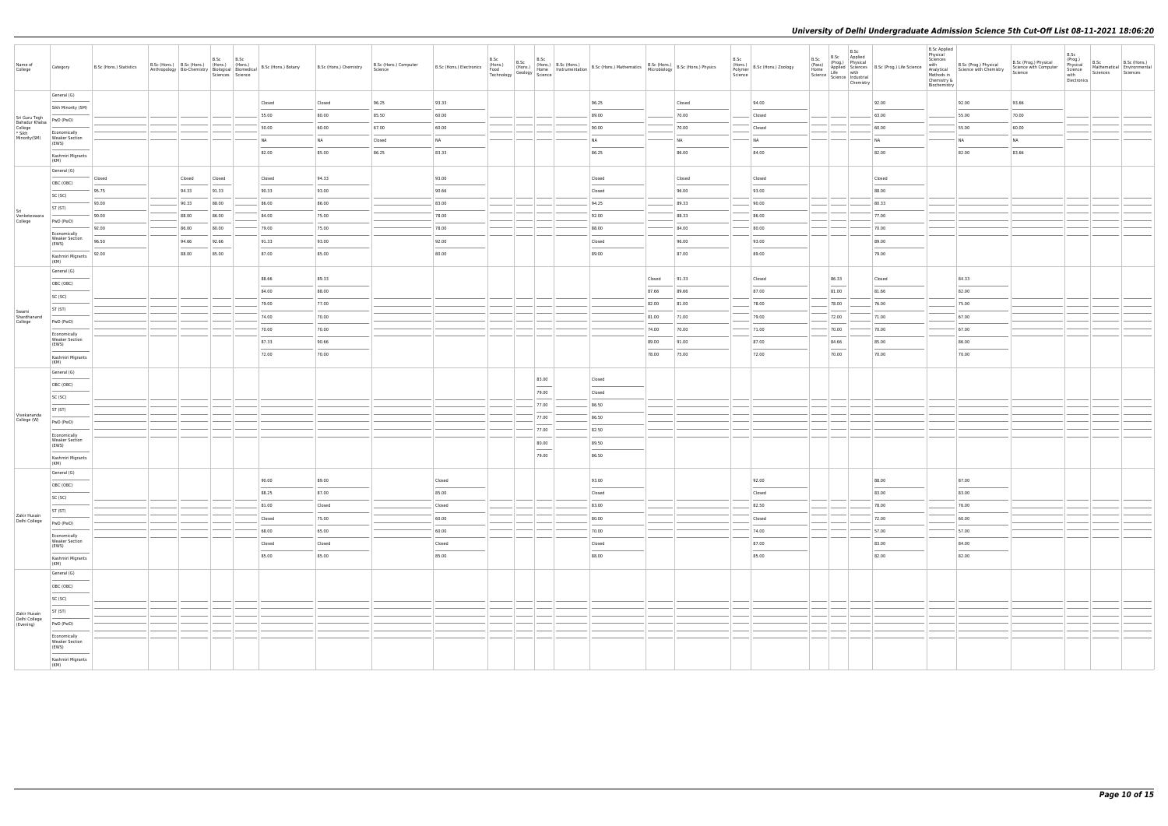| Name of<br>College                                   | Category                                       | B.Sc (Hons.) Statistics | B.Sc (Hons.) B.Sc (Hons.) (Hons.) (Hons.)<br>Anthropology Bio-Chemistry Biological Biomedical | B.Sc   | B.Sc<br>Sciences Science | B.Sc (Hons.) Botany | B.Sc (Hons.) Chemistry | B.Sc (Hons.) Computer<br>Science |                                                                                                                                                                                                                                                                                                                                                                                                                                                                                     | B.Sc | B.Sc | B.Sc                              | B.Sc (Hons.) Electronics (Hons.) B.Sc (Hons.) B.Sc (Hons.) B.Sc (Hons.) B.Sc (Hons.) Mathematics B.Sc (Hons.) Memory B.Sc (Hons.) Physics Technology B.Sc (Hons.) Technology Science Production Records (Hons.) Microbiology B |        |           | B.Sc<br>Science | (Hons.)<br>Polymer B.Sc (Hons.) Zoology | B.Sc            | .sc B.Sc Applied<br>(Pass) (Prog.) Physical<br>Home Applied Science B.Sc (Prog.) Life Science  <br>Science Life with<br>Science Industrial<br>Chemistry<br>Chemistry | <b>B.Sc Applied</b><br>Physical<br>Sciences<br>Methods in<br>Chemistry &<br>Biochemistry | with B.Sc (Prog.) Physical<br>Analytical Science with Chemistry | B.Sc (Prog.) Physical<br>Science with Computer<br>Science | B.Sc<br>(Prog.)<br>Physical<br>Science<br>with<br>Electronics | B.Sc<br>Sciences | B.Sc (Hons.)<br>Mathematical Environmental<br>Sciences |
|------------------------------------------------------|------------------------------------------------|-------------------------|-----------------------------------------------------------------------------------------------|--------|--------------------------|---------------------|------------------------|----------------------------------|-------------------------------------------------------------------------------------------------------------------------------------------------------------------------------------------------------------------------------------------------------------------------------------------------------------------------------------------------------------------------------------------------------------------------------------------------------------------------------------|------|------|-----------------------------------|--------------------------------------------------------------------------------------------------------------------------------------------------------------------------------------------------------------------------------|--------|-----------|-----------------|-----------------------------------------|-----------------|----------------------------------------------------------------------------------------------------------------------------------------------------------------------|------------------------------------------------------------------------------------------|-----------------------------------------------------------------|-----------------------------------------------------------|---------------------------------------------------------------|------------------|--------------------------------------------------------|
|                                                      | General (G)                                    |                         |                                                                                               |        |                          | Closed              | Closed                 | 96.25                            | 93.33                                                                                                                                                                                                                                                                                                                                                                                                                                                                               |      |      |                                   | 96.25                                                                                                                                                                                                                          |        | Closed    |                 | 94.00                                   |                 | 92.00                                                                                                                                                                |                                                                                          | 92.00                                                           | 93.66                                                     |                                                               |                  |                                                        |
|                                                      | Sikh Minority (SM)                             |                         |                                                                                               |        |                          | 55.00               | 80.00                  | 85.50                            | 60.00                                                                                                                                                                                                                                                                                                                                                                                                                                                                               |      |      |                                   | 89.00                                                                                                                                                                                                                          |        | 70.00     |                 | Closed                                  |                 | 63.00                                                                                                                                                                |                                                                                          | 55.00                                                           | 70.00                                                     |                                                               |                  |                                                        |
| Sri Guru Tegh<br>Bahadur Khalsa<br>College<br>* Sikh | PwD (PwD)                                      |                         |                                                                                               |        |                          | 50.00               | 60.00                  | 67.00                            | 60.00                                                                                                                                                                                                                                                                                                                                                                                                                                                                               |      |      |                                   | 90.00                                                                                                                                                                                                                          |        | 70.00     |                 | Closed                                  |                 | 60.00                                                                                                                                                                |                                                                                          | 55.00                                                           | 60.00                                                     |                                                               |                  |                                                        |
| Minority(SM)                                         | Economically<br><b>Weaker Section</b><br>(EWS) |                         |                                                                                               |        |                          | NA                  | NA                     | Closed                           | NA                                                                                                                                                                                                                                                                                                                                                                                                                                                                                  |      |      |                                   | <b>NA</b>                                                                                                                                                                                                                      |        | <b>NA</b> |                 | NA                                      |                 | <b>NA</b>                                                                                                                                                            |                                                                                          | <b>NA</b>                                                       | <b>NA</b>                                                 |                                                               |                  |                                                        |
|                                                      | Kashmiri Migrants                              |                         |                                                                                               |        |                          | 82.00               | 85.00                  | 86.25                            | 83.33                                                                                                                                                                                                                                                                                                                                                                                                                                                                               |      |      |                                   | 86.25                                                                                                                                                                                                                          |        | 86.00     |                 | 84.00                                   |                 | 82.00                                                                                                                                                                |                                                                                          | 82.00                                                           | 83.66                                                     |                                                               |                  |                                                        |
|                                                      | (KM)<br>General (G)                            |                         |                                                                                               |        |                          |                     |                        |                                  |                                                                                                                                                                                                                                                                                                                                                                                                                                                                                     |      |      |                                   |                                                                                                                                                                                                                                |        |           |                 |                                         |                 |                                                                                                                                                                      |                                                                                          |                                                                 |                                                           |                                                               |                  |                                                        |
|                                                      | OBC (OBC)                                      | Closed                  | Closed                                                                                        | Closed |                          | Closed              | 94.33                  |                                  | 93.00<br>$\frac{1}{2} \left( \frac{1}{2} \right) \left( \frac{1}{2} \right) \left( \frac{1}{2} \right) \left( \frac{1}{2} \right) \left( \frac{1}{2} \right) \left( \frac{1}{2} \right) \left( \frac{1}{2} \right) \left( \frac{1}{2} \right) \left( \frac{1}{2} \right) \left( \frac{1}{2} \right) \left( \frac{1}{2} \right) \left( \frac{1}{2} \right) \left( \frac{1}{2} \right) \left( \frac{1}{2} \right) \left( \frac{1}{2} \right) \left( \frac{1}{2} \right) \left( \frac$ |      |      |                                   | Closed                                                                                                                                                                                                                         |        | Closed    |                 | Closed                                  |                 | Closed                                                                                                                                                               |                                                                                          |                                                                 |                                                           |                                                               |                  |                                                        |
|                                                      | SC (SC)                                        | 95.75                   | 94.33                                                                                         | 91.33  |                          | 90.33               | 93.00                  |                                  | 90.66                                                                                                                                                                                                                                                                                                                                                                                                                                                                               |      |      |                                   | Closed                                                                                                                                                                                                                         |        | 96.00     |                 | 93.00                                   |                 | 88.00                                                                                                                                                                |                                                                                          |                                                                 |                                                           |                                                               |                  |                                                        |
| Sri                                                  | ST (ST)                                        | 93.00                   | 90.33                                                                                         | 88.00  |                          | 86.00               | 86.00                  |                                  | 83.00                                                                                                                                                                                                                                                                                                                                                                                                                                                                               |      |      |                                   | 94.25                                                                                                                                                                                                                          |        | 89.33     |                 | 90.00                                   |                 | 80.33                                                                                                                                                                |                                                                                          |                                                                 |                                                           |                                                               |                  |                                                        |
| Venketeswara<br>College                              | PwD (PwD)                                      | 90.00                   | 88.00                                                                                         | 86.00  |                          | 84.00               | 75.00                  |                                  | 78.00                                                                                                                                                                                                                                                                                                                                                                                                                                                                               |      |      |                                   | 92.00                                                                                                                                                                                                                          |        | 88.33     |                 | 86.00                                   |                 | 77.00                                                                                                                                                                |                                                                                          |                                                                 |                                                           |                                                               |                  |                                                        |
|                                                      | Economically                                   | 92.00                   | 86.00                                                                                         | 80.00  |                          | 79.00               | 75.00                  |                                  | 78.00                                                                                                                                                                                                                                                                                                                                                                                                                                                                               |      |      |                                   | 88.00                                                                                                                                                                                                                          |        | 84.00     |                 | 80.00                                   |                 | 70.00                                                                                                                                                                |                                                                                          |                                                                 |                                                           |                                                               |                  |                                                        |
|                                                      | <b>Weaker Section</b><br>(EWS)                 | 96.50                   | 94.66                                                                                         | 92.66  |                          | 91.33               | 93.00                  |                                  | 92.00<br>__                                                                                                                                                                                                                                                                                                                                                                                                                                                                         |      |      |                                   | Closed                                                                                                                                                                                                                         |        | 96.00     |                 | 93.00                                   |                 | 89.00                                                                                                                                                                |                                                                                          |                                                                 |                                                           |                                                               |                  |                                                        |
|                                                      | Kashmiri Migrants<br>(KM)                      | 92.00                   | 88.00                                                                                         | 85.00  |                          | 87.00               | 85.00                  |                                  | 80.00                                                                                                                                                                                                                                                                                                                                                                                                                                                                               |      |      |                                   | 89.00                                                                                                                                                                                                                          |        | 87.00     |                 | 89.00                                   |                 | 79.00                                                                                                                                                                |                                                                                          |                                                                 |                                                           |                                                               |                  |                                                        |
|                                                      | General (G)                                    |                         |                                                                                               |        |                          |                     |                        |                                  |                                                                                                                                                                                                                                                                                                                                                                                                                                                                                     |      |      |                                   |                                                                                                                                                                                                                                |        |           |                 |                                         |                 |                                                                                                                                                                      |                                                                                          |                                                                 |                                                           |                                                               |                  |                                                        |
|                                                      | OBC (OBC)                                      |                         |                                                                                               |        |                          | 88.66               | 89.33                  |                                  |                                                                                                                                                                                                                                                                                                                                                                                                                                                                                     |      |      |                                   |                                                                                                                                                                                                                                | Closed | 91.33     |                 | Closed                                  | 86.33           | Closed                                                                                                                                                               |                                                                                          | 84.33                                                           |                                                           |                                                               |                  |                                                        |
|                                                      | SC (SC)                                        |                         |                                                                                               |        |                          | 84.00               | 88.00                  |                                  |                                                                                                                                                                                                                                                                                                                                                                                                                                                                                     |      |      |                                   |                                                                                                                                                                                                                                | 87.66  | 89.66     |                 | 87.00                                   | 81.00           | 81.66                                                                                                                                                                |                                                                                          | 82.00                                                           |                                                           |                                                               |                  |                                                        |
| Swami                                                | ST (ST)                                        |                         |                                                                                               |        |                          | 79.00               | 77.00                  |                                  |                                                                                                                                                                                                                                                                                                                                                                                                                                                                                     |      |      |                                   |                                                                                                                                                                                                                                | 82.00  | 81.00     |                 | 78.00                                   | 78.00           | 76.00                                                                                                                                                                |                                                                                          | 75.00                                                           |                                                           |                                                               |                  |                                                        |
| Shardhanand<br>College                               | PwD (PwD)                                      |                         |                                                                                               |        |                          | 74.00               | 70.00                  |                                  |                                                                                                                                                                                                                                                                                                                                                                                                                                                                                     |      |      |                                   |                                                                                                                                                                                                                                | 81.00  | 71.00     |                 | 79.00                                   | 72.00           | 71.00                                                                                                                                                                |                                                                                          | 67.00                                                           |                                                           |                                                               |                  |                                                        |
|                                                      | Economically<br><b>Weaker Section</b>          |                         |                                                                                               |        |                          | 70.00               | 70.00                  |                                  |                                                                                                                                                                                                                                                                                                                                                                                                                                                                                     |      |      |                                   |                                                                                                                                                                                                                                | 74.00  | 70.00     |                 | 71.00                                   | 70.00           | 70.00                                                                                                                                                                |                                                                                          | 67.00                                                           |                                                           |                                                               |                  |                                                        |
|                                                      | (EWS)                                          |                         |                                                                                               |        |                          | 87.33               | 90.66                  |                                  |                                                                                                                                                                                                                                                                                                                                                                                                                                                                                     |      |      |                                   |                                                                                                                                                                                                                                | 89.00  | 91.00     |                 | 87.00                                   | 84.66<br>$\sim$ | 85.00                                                                                                                                                                |                                                                                          | 86.00                                                           |                                                           |                                                               |                  |                                                        |
|                                                      | Kashmiri Migrants<br>(KM)                      |                         |                                                                                               |        |                          | 72.00               | 70.00                  |                                  |                                                                                                                                                                                                                                                                                                                                                                                                                                                                                     |      |      |                                   |                                                                                                                                                                                                                                | 78.00  | 75.00     |                 | 72.00                                   | 70.00           | 70.00                                                                                                                                                                |                                                                                          | 70.00                                                           |                                                           |                                                               |                  |                                                        |
|                                                      | General (G)                                    |                         |                                                                                               |        |                          |                     |                        |                                  |                                                                                                                                                                                                                                                                                                                                                                                                                                                                                     |      |      | 83.00                             | Closed                                                                                                                                                                                                                         |        |           |                 |                                         |                 |                                                                                                                                                                      |                                                                                          |                                                                 |                                                           |                                                               |                  |                                                        |
|                                                      | OBC (OBC)                                      |                         |                                                                                               |        |                          |                     |                        |                                  |                                                                                                                                                                                                                                                                                                                                                                                                                                                                                     |      |      | 79.00                             | Closed                                                                                                                                                                                                                         |        |           |                 |                                         |                 |                                                                                                                                                                      |                                                                                          |                                                                 |                                                           |                                                               |                  |                                                        |
|                                                      | SC (SC)                                        |                         |                                                                                               |        |                          |                     |                        |                                  |                                                                                                                                                                                                                                                                                                                                                                                                                                                                                     |      |      | 77.00                             | 86.50                                                                                                                                                                                                                          |        |           |                 |                                         |                 |                                                                                                                                                                      |                                                                                          |                                                                 |                                                           |                                                               |                  |                                                        |
| Vivekananda                                          | ST (ST)                                        |                         |                                                                                               |        |                          |                     |                        |                                  |                                                                                                                                                                                                                                                                                                                                                                                                                                                                                     |      |      | 77.00                             | 86.50                                                                                                                                                                                                                          |        |           |                 |                                         |                 |                                                                                                                                                                      |                                                                                          |                                                                 |                                                           |                                                               |                  |                                                        |
| College (W)                                          | PwD (PwD)                                      |                         |                                                                                               |        |                          |                     |                        |                                  |                                                                                                                                                                                                                                                                                                                                                                                                                                                                                     |      |      | 77.00                             | 82.50                                                                                                                                                                                                                          |        |           |                 |                                         |                 |                                                                                                                                                                      |                                                                                          |                                                                 |                                                           |                                                               |                  |                                                        |
|                                                      | Economically<br><b>Weaker Section</b>          |                         |                                                                                               |        |                          |                     |                        |                                  |                                                                                                                                                                                                                                                                                                                                                                                                                                                                                     |      |      | 80.00                             | 89.50                                                                                                                                                                                                                          |        |           |                 |                                         |                 |                                                                                                                                                                      |                                                                                          |                                                                 |                                                           |                                                               |                  |                                                        |
|                                                      | (EWS)<br>Kashmiri Migrants<br>(KM)             |                         |                                                                                               |        |                          |                     |                        |                                  |                                                                                                                                                                                                                                                                                                                                                                                                                                                                                     |      |      | $\overline{\phantom{a}}$<br>79.00 | 86.50                                                                                                                                                                                                                          |        |           |                 |                                         |                 |                                                                                                                                                                      |                                                                                          |                                                                 |                                                           |                                                               |                  |                                                        |
|                                                      | General (G)                                    |                         |                                                                                               |        |                          |                     |                        |                                  |                                                                                                                                                                                                                                                                                                                                                                                                                                                                                     |      |      |                                   |                                                                                                                                                                                                                                |        |           |                 |                                         |                 |                                                                                                                                                                      |                                                                                          |                                                                 |                                                           |                                                               |                  |                                                        |
|                                                      | OBC (OBC)                                      |                         |                                                                                               |        |                          | 90.00               | 89.00                  |                                  | Closed                                                                                                                                                                                                                                                                                                                                                                                                                                                                              |      |      |                                   | 93.00                                                                                                                                                                                                                          |        |           |                 | 92.00                                   |                 | 88.00                                                                                                                                                                |                                                                                          | 87.00                                                           |                                                           |                                                               |                  |                                                        |
|                                                      | SC (SC)                                        |                         |                                                                                               |        |                          | 88.25               | 87.00                  |                                  | 85.00                                                                                                                                                                                                                                                                                                                                                                                                                                                                               |      |      |                                   | Closed                                                                                                                                                                                                                         |        |           |                 | Closed                                  |                 | 83.00                                                                                                                                                                |                                                                                          | 83.00                                                           |                                                           |                                                               |                  |                                                        |
| Zakir Husain                                         | ST (ST)                                        |                         |                                                                                               |        |                          | 81.00               | Closed                 |                                  | Closed                                                                                                                                                                                                                                                                                                                                                                                                                                                                              |      |      |                                   | 83.00                                                                                                                                                                                                                          |        |           |                 | 82.50                                   |                 | 78.00                                                                                                                                                                |                                                                                          | 76.00                                                           |                                                           |                                                               |                  |                                                        |
| Delhi College                                        | PwD (PwD)                                      |                         |                                                                                               |        |                          | Closed              | 75.00                  |                                  | 60.00                                                                                                                                                                                                                                                                                                                                                                                                                                                                               |      |      |                                   | 80.00                                                                                                                                                                                                                          |        |           |                 | Closed                                  |                 | 72.00                                                                                                                                                                |                                                                                          | 60.00                                                           |                                                           |                                                               |                  |                                                        |
|                                                      | Economically<br><b>Weaker Section</b>          |                         |                                                                                               |        |                          | 68.00               | 65.00                  |                                  | 60.00                                                                                                                                                                                                                                                                                                                                                                                                                                                                               |      |      |                                   | 70.00                                                                                                                                                                                                                          |        |           |                 | 74.00                                   |                 | 57.00                                                                                                                                                                |                                                                                          | 57.00                                                           |                                                           |                                                               |                  |                                                        |
|                                                      | (EWS)                                          |                         |                                                                                               |        |                          | Closed              | Closed                 |                                  | Closed                                                                                                                                                                                                                                                                                                                                                                                                                                                                              |      |      |                                   | Closed                                                                                                                                                                                                                         |        |           |                 | 87.00                                   |                 | 83.00                                                                                                                                                                |                                                                                          | 84.00                                                           |                                                           |                                                               |                  |                                                        |
|                                                      | Kashmiri Migrants<br>(KM)                      |                         |                                                                                               |        |                          | 85.00               | 85.00                  |                                  | 85.00                                                                                                                                                                                                                                                                                                                                                                                                                                                                               |      |      |                                   | 88.00                                                                                                                                                                                                                          |        |           |                 | 85.00                                   |                 | 82.00                                                                                                                                                                |                                                                                          | 82.00                                                           |                                                           |                                                               |                  |                                                        |
|                                                      | General (G)                                    |                         |                                                                                               |        |                          |                     |                        |                                  |                                                                                                                                                                                                                                                                                                                                                                                                                                                                                     |      |      |                                   |                                                                                                                                                                                                                                |        |           |                 |                                         |                 |                                                                                                                                                                      |                                                                                          |                                                                 |                                                           |                                                               |                  |                                                        |
|                                                      | OBC (OBC)                                      |                         |                                                                                               |        |                          |                     |                        |                                  |                                                                                                                                                                                                                                                                                                                                                                                                                                                                                     |      |      |                                   |                                                                                                                                                                                                                                |        |           |                 |                                         |                 |                                                                                                                                                                      |                                                                                          |                                                                 |                                                           |                                                               |                  |                                                        |
|                                                      | SC (SC)                                        |                         |                                                                                               |        |                          |                     |                        |                                  |                                                                                                                                                                                                                                                                                                                                                                                                                                                                                     |      |      |                                   |                                                                                                                                                                                                                                |        |           |                 |                                         |                 |                                                                                                                                                                      |                                                                                          |                                                                 |                                                           |                                                               |                  |                                                        |
| Zakir Husain                                         | ST (ST)                                        |                         |                                                                                               |        |                          |                     |                        |                                  |                                                                                                                                                                                                                                                                                                                                                                                                                                                                                     |      |      |                                   |                                                                                                                                                                                                                                |        |           |                 |                                         |                 |                                                                                                                                                                      |                                                                                          |                                                                 |                                                           |                                                               |                  |                                                        |
| Delhi College<br>(Evening)                           | PwD (PwD)                                      |                         |                                                                                               |        |                          |                     |                        |                                  |                                                                                                                                                                                                                                                                                                                                                                                                                                                                                     |      |      |                                   |                                                                                                                                                                                                                                |        |           |                 |                                         |                 |                                                                                                                                                                      |                                                                                          |                                                                 |                                                           |                                                               |                  |                                                        |
|                                                      | Economically<br><b>Weaker Section</b><br>(EWS) |                         |                                                                                               |        |                          |                     |                        |                                  |                                                                                                                                                                                                                                                                                                                                                                                                                                                                                     |      |      |                                   |                                                                                                                                                                                                                                |        |           |                 |                                         |                 |                                                                                                                                                                      |                                                                                          |                                                                 |                                                           |                                                               |                  |                                                        |
|                                                      | Kashmiri Migrants<br>(KM)                      |                         |                                                                                               |        |                          |                     |                        |                                  |                                                                                                                                                                                                                                                                                                                                                                                                                                                                                     |      |      |                                   |                                                                                                                                                                                                                                |        |           |                 |                                         |                 |                                                                                                                                                                      |                                                                                          |                                                                 |                                                           |                                                               |                  |                                                        |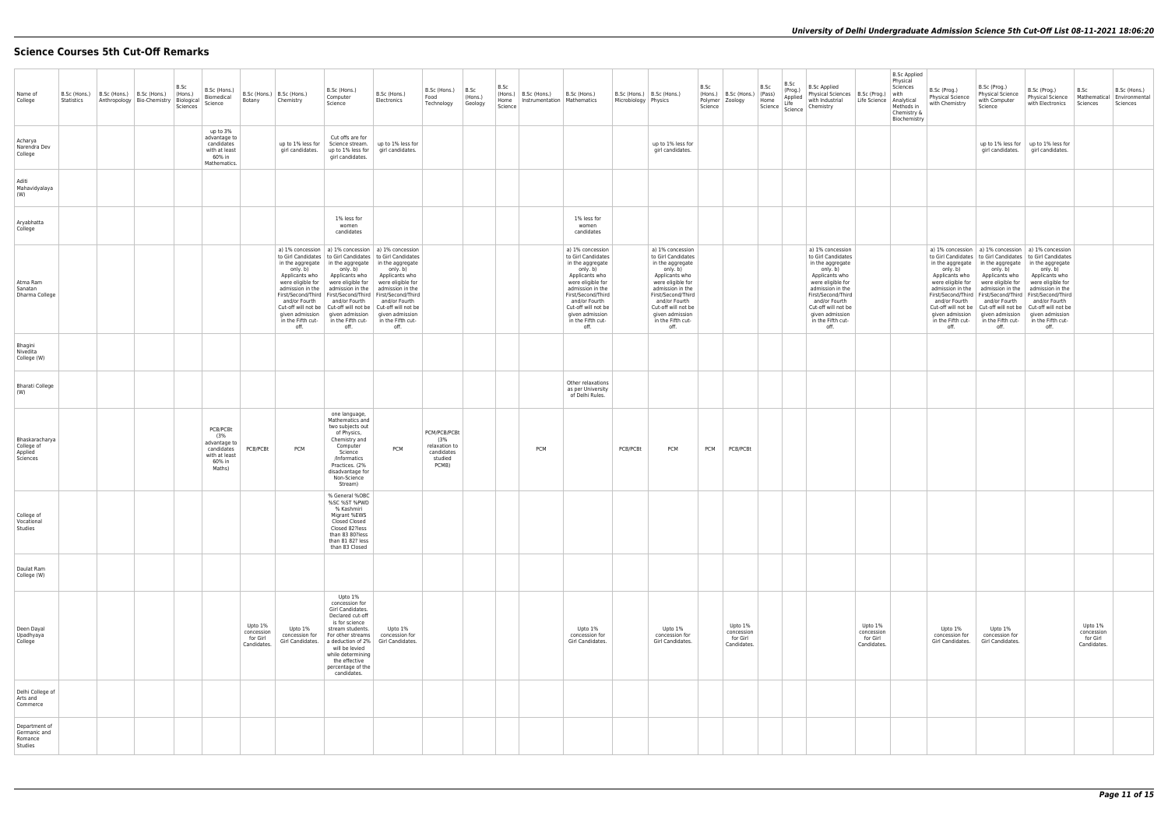## **Science Courses 5th Cut-Off Remarks**

| Name of<br>College                                  | B.Sc (Hons.) B.Sc (Hons.) B.Sc (Hons.)<br>Statistics | Anthropology   Bio-Chemistry   Biological | B.Sc<br>(Hons.)<br>Sciences | B.Sc (Hons.)<br>Biomedical<br>Science                                              | Botany                                           | B.Sc (Hons.)   B.Sc (Hons.)<br>Chemistry                                                                                 | B.Sc (Hons.)<br>Computer<br>Science                                                                                                                                                                                                                                                                                                                                                                                                                           | B.Sc (Hons.)<br>Electronics                                                                                                                              | B.Sc (Hons.)<br>Food<br>Technology                                     | B.Sc<br>  (Hons.)<br>Geology | B.Sc<br>Science | (Hons.)   B.Sc (Hons.)   B.Sc (Hons.)<br>Home   Instrumentation   Mathematics |                                                                                                                                                                                                                                                 | Microbiology Physics | B.Sc (Hons.)   B.Sc (Hons.)                                                                                                                                                                                                                     | B.Sc<br>$\vert$ (Hons.) $\vert$ B.Sc (Hons.) $\vert$ (Pass)<br>Polymer   Zoology<br>Science | B.Sc<br>B.Sc<br>(Prog.)<br>(Pass)<br>Home<br>Science Life<br>Science | B.Sc Applied<br>Physical Sciences   B.Sc (Prog.)<br>with Industrial<br>Chemistry                                                                                                                                                                | Life Science   Analytical                        | <b>B.Sc Applied</b><br>Physical<br>Sciences<br>with<br>Methods in<br>Chemistry &<br>Biochemistry | B.Sc (Prog.)<br>Physical Science<br>with Chemistry                                                                                         | B.Sc (Prog.)<br><b>Physical Science</b><br>with Computer<br>Science                                                                                                                                                    | B.Sc (Prog.)<br><b>Physical Science</b><br>with Electronics                                                                                                                                                                                                                                                                                                               | B.Sc<br>Sciences                                 | B.Sc (Hons.)<br>Mathematical Environmental<br>Sciences |
|-----------------------------------------------------|------------------------------------------------------|-------------------------------------------|-----------------------------|------------------------------------------------------------------------------------|--------------------------------------------------|--------------------------------------------------------------------------------------------------------------------------|---------------------------------------------------------------------------------------------------------------------------------------------------------------------------------------------------------------------------------------------------------------------------------------------------------------------------------------------------------------------------------------------------------------------------------------------------------------|----------------------------------------------------------------------------------------------------------------------------------------------------------|------------------------------------------------------------------------|------------------------------|-----------------|-------------------------------------------------------------------------------|-------------------------------------------------------------------------------------------------------------------------------------------------------------------------------------------------------------------------------------------------|----------------------|-------------------------------------------------------------------------------------------------------------------------------------------------------------------------------------------------------------------------------------------------|---------------------------------------------------------------------------------------------|----------------------------------------------------------------------|-------------------------------------------------------------------------------------------------------------------------------------------------------------------------------------------------------------------------------------------------|--------------------------------------------------|--------------------------------------------------------------------------------------------------|--------------------------------------------------------------------------------------------------------------------------------------------|------------------------------------------------------------------------------------------------------------------------------------------------------------------------------------------------------------------------|---------------------------------------------------------------------------------------------------------------------------------------------------------------------------------------------------------------------------------------------------------------------------------------------------------------------------------------------------------------------------|--------------------------------------------------|--------------------------------------------------------|
| Acharya<br>Narendra Dev<br>College                  |                                                      |                                           |                             | up to 3%<br>advantage to<br>candidates<br>with at least<br>60% in<br>Mathematics.  |                                                  | up to 1% less for<br>girl candidates.                                                                                    | Cut offs are for<br>Science stream.<br>up to 1% less for<br>girl candidates.                                                                                                                                                                                                                                                                                                                                                                                  | up to 1% less for<br>girl candidates.                                                                                                                    |                                                                        |                              |                 |                                                                               |                                                                                                                                                                                                                                                 |                      | up to 1% less for<br>girl candidates.                                                                                                                                                                                                           |                                                                                             |                                                                      |                                                                                                                                                                                                                                                 |                                                  |                                                                                                  |                                                                                                                                            |                                                                                                                                                                                                                        | up to 1% less for   up to 1% less for<br>girl candidates.   girl candidates.                                                                                                                                                                                                                                                                                              |                                                  |                                                        |
| Aditi<br>Mahavidyalaya<br>(W)                       |                                                      |                                           |                             |                                                                                    |                                                  |                                                                                                                          |                                                                                                                                                                                                                                                                                                                                                                                                                                                               |                                                                                                                                                          |                                                                        |                              |                 |                                                                               |                                                                                                                                                                                                                                                 |                      |                                                                                                                                                                                                                                                 |                                                                                             |                                                                      |                                                                                                                                                                                                                                                 |                                                  |                                                                                                  |                                                                                                                                            |                                                                                                                                                                                                                        |                                                                                                                                                                                                                                                                                                                                                                           |                                                  |                                                        |
| Aryabhatta<br>College                               |                                                      |                                           |                             |                                                                                    |                                                  |                                                                                                                          | 1% less for<br>women<br>candidates                                                                                                                                                                                                                                                                                                                                                                                                                            |                                                                                                                                                          |                                                                        |                              |                 |                                                                               | 1% less for<br>women<br>candidates                                                                                                                                                                                                              |                      |                                                                                                                                                                                                                                                 |                                                                                             |                                                                      |                                                                                                                                                                                                                                                 |                                                  |                                                                                                  |                                                                                                                                            |                                                                                                                                                                                                                        |                                                                                                                                                                                                                                                                                                                                                                           |                                                  |                                                        |
| Atma Ram<br>Sanatan<br>Dharma College               |                                                      |                                           |                             |                                                                                    |                                                  | only. b)<br>Applicants who<br>were eligible for $\vert$<br>and/or Fourth<br>given admission<br>in the Fifth cut-<br>off. | a) 1% concession   a) 1% concession   a) 1% concession<br>to Girl Candidates   to Girl Candidates   to Girl Candidates<br>in the aggregate $ $ in the aggregate<br>only. b)<br>Applicants who<br>were eligible for<br>admission in the   admission in the<br>First/Second/Third   First/Second/Third   First/Second/Third<br>and/or Fourth<br>Cut-off will not be   Cut-off will not be   Cut-off will not be<br>given admission<br>in the Fifth cut-<br>off. | in the aggregate<br>only. b)<br>Applicants who<br>were eligible for<br>admission in the<br>and/or Fourth<br>given admission<br>in the Fifth cut-<br>off. |                                                                        |                              |                 |                                                                               | a) 1% concession<br>to Girl Candidates<br>in the aggregate<br>only. b)<br>Applicants who<br>were eligible for<br>admission in the<br>First/Second/Third<br>and/or Fourth<br>Cut-off will not be<br>given admission<br>in the Fifth cut-<br>off. |                      | a) 1% concession<br>to Girl Candidates<br>in the aggregate<br>only. b)<br>Applicants who<br>were eligible for<br>admission in the<br>First/Second/Third<br>and/or Fourth<br>Cut-off will not be<br>given admission<br>in the Fifth cut-<br>off. |                                                                                             |                                                                      | a) 1% concession<br>to Girl Candidates<br>in the aggregate<br>only. b)<br>Applicants who<br>were eligible for<br>admission in the<br>First/Second/Third<br>and/or Fourth<br>Cut-off will not be<br>given admission<br>in the Fifth cut-<br>off. |                                                  |                                                                                                  | only. b)<br>Applicants who<br>and/or Fourth<br>Cut-off will not be   Cut-off will not be  <br>given admission<br>in the Fifth cut-<br>off. | in the aggregate $ $ in the aggregate<br>only. b)<br>Applicants who<br>were eligible for   were eligible for<br>admission in the $ $ admission in the<br>and/or Fourth<br>given admission<br>in the Fifth cut-<br>off. | a) 1% concession   a) 1% concession   a) 1% concession<br>to Girl Candidates   to Girl Candidates   to Girl Candidates<br>in the aggregate<br>only. b)<br>Applicants who<br>were eligible for<br>admission in the<br>First/Second/Third   First/Second/Third   First/Second/Third<br>and/or Fourth<br>Cut-off will not be<br>given admission<br>in the Fifth cut-<br>off. |                                                  |                                                        |
| Bhagini<br>Nivedita<br>College (W)                  |                                                      |                                           |                             |                                                                                    |                                                  |                                                                                                                          |                                                                                                                                                                                                                                                                                                                                                                                                                                                               |                                                                                                                                                          |                                                                        |                              |                 |                                                                               |                                                                                                                                                                                                                                                 |                      |                                                                                                                                                                                                                                                 |                                                                                             |                                                                      |                                                                                                                                                                                                                                                 |                                                  |                                                                                                  |                                                                                                                                            |                                                                                                                                                                                                                        |                                                                                                                                                                                                                                                                                                                                                                           |                                                  |                                                        |
| <b>Bharati College</b><br>(W)                       |                                                      |                                           |                             |                                                                                    |                                                  |                                                                                                                          |                                                                                                                                                                                                                                                                                                                                                                                                                                                               |                                                                                                                                                          |                                                                        |                              |                 |                                                                               | Other relaxations<br>as per University<br>of Delhi Rules.                                                                                                                                                                                       |                      |                                                                                                                                                                                                                                                 |                                                                                             |                                                                      |                                                                                                                                                                                                                                                 |                                                  |                                                                                                  |                                                                                                                                            |                                                                                                                                                                                                                        |                                                                                                                                                                                                                                                                                                                                                                           |                                                  |                                                        |
| Bhaskaracharya<br>College of<br>Applied<br>Sciences |                                                      |                                           |                             | PCB/PCBt<br>(3%<br>advantage to<br>candidates<br>with at least<br>60% in<br>Maths) | PCB/PCBt                                         | <b>PCM</b>                                                                                                               | one language,<br>Mathematics and<br>two subjects out<br>of Physics,<br>Chemistry and<br>Computer<br>Science<br>/Informatics<br>Practices. (2%<br>disadvantage for<br>Non-Science<br>Stream)                                                                                                                                                                                                                                                                   | <b>PCM</b>                                                                                                                                               | PCM/PCB/PCBt<br>(3%<br>relaxation to<br>candidates<br>studied<br>PCMB) |                              |                 | <b>PCM</b>                                                                    |                                                                                                                                                                                                                                                 | PCB/PCBt             | <b>PCM</b>                                                                                                                                                                                                                                      | PCB/PCBt<br><b>PCM</b>                                                                      |                                                                      |                                                                                                                                                                                                                                                 |                                                  |                                                                                                  |                                                                                                                                            |                                                                                                                                                                                                                        |                                                                                                                                                                                                                                                                                                                                                                           |                                                  |                                                        |
| College of<br>Vocational<br>Studies                 |                                                      |                                           |                             |                                                                                    |                                                  |                                                                                                                          | % General %OBC<br>%SC %ST %PWD<br>% Kashmiri<br>Migrant %EWS<br>Closed Closed<br>Closed 82?less<br>than 83 80?less<br>than 81 82? less<br>than 83 Closed                                                                                                                                                                                                                                                                                                      |                                                                                                                                                          |                                                                        |                              |                 |                                                                               |                                                                                                                                                                                                                                                 |                      |                                                                                                                                                                                                                                                 |                                                                                             |                                                                      |                                                                                                                                                                                                                                                 |                                                  |                                                                                                  |                                                                                                                                            |                                                                                                                                                                                                                        |                                                                                                                                                                                                                                                                                                                                                                           |                                                  |                                                        |
| Daulat Ram<br>College (W)                           |                                                      |                                           |                             |                                                                                    |                                                  |                                                                                                                          |                                                                                                                                                                                                                                                                                                                                                                                                                                                               |                                                                                                                                                          |                                                                        |                              |                 |                                                                               |                                                                                                                                                                                                                                                 |                      |                                                                                                                                                                                                                                                 |                                                                                             |                                                                      |                                                                                                                                                                                                                                                 |                                                  |                                                                                                  |                                                                                                                                            |                                                                                                                                                                                                                        |                                                                                                                                                                                                                                                                                                                                                                           |                                                  |                                                        |
| Deen Dayal<br>Upadhyaya<br>College                  |                                                      |                                           |                             |                                                                                    | Upto 1%<br>concession<br>for Girl<br>Candidates. | Upto 1%<br>concession for<br>Girl Candidates.                                                                            | Upto 1%<br>concession for<br>Girl Candidates.<br>Declared cut-off<br>is for science<br>stream students.<br>For other streams<br>a deduction of 2%<br>will be levied<br>while determining<br>the effective<br>percentage of the<br>candidates.                                                                                                                                                                                                                 | Upto 1%<br>concession for<br>Girl Candidates.                                                                                                            |                                                                        |                              |                 |                                                                               | Upto 1%<br>concession for<br>Girl Candidates.                                                                                                                                                                                                   |                      | Upto 1%<br>concession for<br>Girl Candidates.                                                                                                                                                                                                   | Upto 1%<br>concession<br>for Girl<br>Candidates.                                            |                                                                      |                                                                                                                                                                                                                                                 | Upto 1%<br>concession<br>for Girl<br>Candidates. |                                                                                                  | Upto 1%<br>concession for<br>Girl Candidates.                                                                                              | Upto 1%<br>concession for<br>Girl Candidates.                                                                                                                                                                          |                                                                                                                                                                                                                                                                                                                                                                           | Upto 1%<br>concession<br>for Girl<br>Candidates. |                                                        |
| Delhi College of<br>Arts and<br>Commerce            |                                                      |                                           |                             |                                                                                    |                                                  |                                                                                                                          |                                                                                                                                                                                                                                                                                                                                                                                                                                                               |                                                                                                                                                          |                                                                        |                              |                 |                                                                               |                                                                                                                                                                                                                                                 |                      |                                                                                                                                                                                                                                                 |                                                                                             |                                                                      |                                                                                                                                                                                                                                                 |                                                  |                                                                                                  |                                                                                                                                            |                                                                                                                                                                                                                        |                                                                                                                                                                                                                                                                                                                                                                           |                                                  |                                                        |
| Department of<br>Germanic and<br>Romance<br>Studies |                                                      |                                           |                             |                                                                                    |                                                  |                                                                                                                          |                                                                                                                                                                                                                                                                                                                                                                                                                                                               |                                                                                                                                                          |                                                                        |                              |                 |                                                                               |                                                                                                                                                                                                                                                 |                      |                                                                                                                                                                                                                                                 |                                                                                             |                                                                      |                                                                                                                                                                                                                                                 |                                                  |                                                                                                  |                                                                                                                                            |                                                                                                                                                                                                                        |                                                                                                                                                                                                                                                                                                                                                                           |                                                  |                                                        |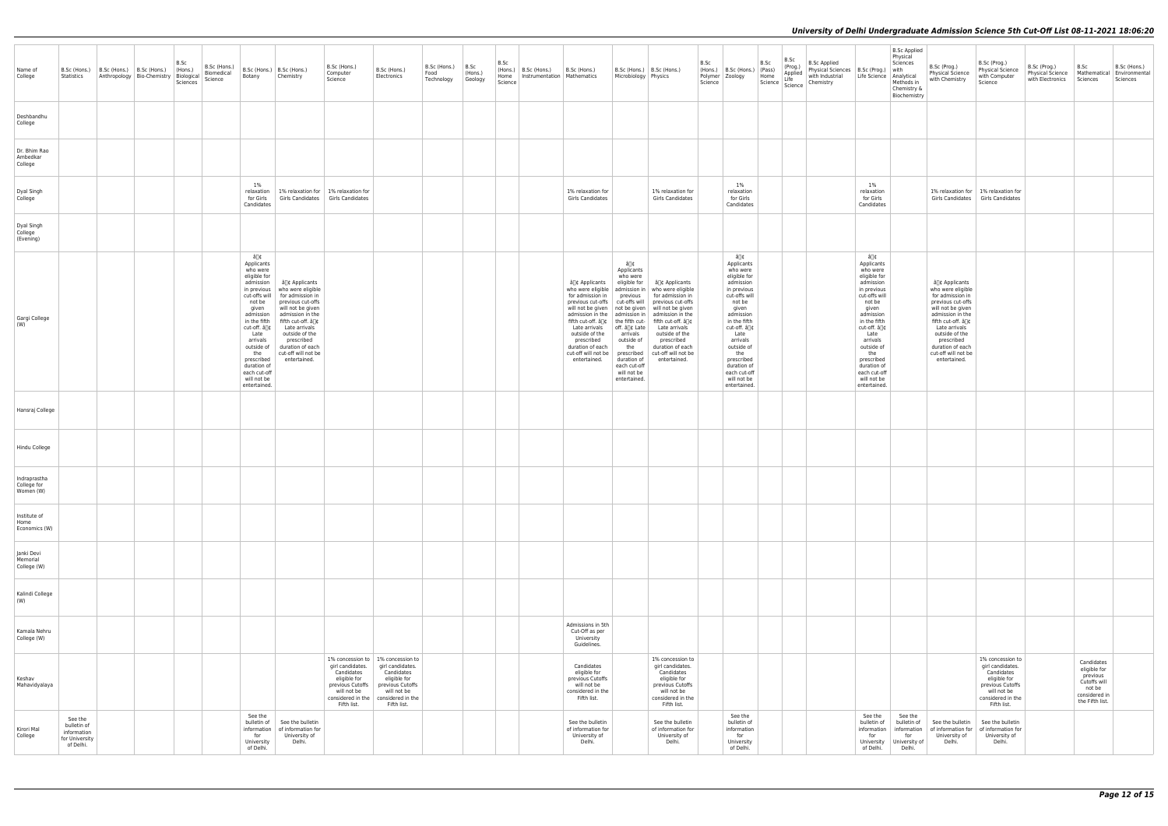| Name of<br>College                       | Statistics                                                           | B.Sc (Hons.)   B.Sc (Hons.)   B.Sc (Hons.)<br>Anthropology   Bio-Chemistry   Biological | B.Sc<br>$ $ (Hons.)<br>Sciences | B.Sc (Hons.)<br>Biomedical<br>Science | Botany                                                                                                                                                                                                                          | B.Sc (Hons.)   B.Sc (Hons.)<br>Chemistry                                                                                                                                                                                                                                                            | B.Sc (Hons.)<br>Computer<br>Science                                                      | B.Sc (Hons.)<br>Electronics                                                                                                                                                                         | B.Sc (Hons.)<br>Food<br>Technology | B.Sc<br>(Hons.)<br>Geology | B.Sc<br>Science | (Hons.)   B.Sc (Hons.)<br>Home   Instrumentation   Mathematics | B.Sc (Hons.)                                                                                                                                                                                                    | Microbiology Physics                                                                                                                                                      | B.Sc (Hons.)   B.Sc (Hons.)                                                                                                                                                                                                                                                                                                                                                                     | B.Sc<br>(Hons.)<br>Science | B.Sc (Hons.) (Pass)<br>Polymer   Zoology                                                                                                                                                                                                                                        | B.Sc<br>Home<br>Science   Science | B.Sc<br>(Prog.)<br>Applied<br>Life | <b>B.Sc Applied</b><br>Physical Sciences   B.Sc (Prog.)<br>with Industrial<br>Chemistry | Life Science   Analytical                                                                                                                                                                                                                                                       | <b>B.Sc Applied</b><br>Physical<br>Sciences<br>with<br>Methods in<br>Chemistry &<br>Biochemistry | B.Sc (Prog.)<br>Physical Science<br>with Chemistry                                                                                                                                                                                                       | B.Sc (Prog.)<br><b>Physical Science</b><br>with Computer<br>Science                                                                       | B.Sc (Prog.)<br><b>Physical Science</b><br>with Electronics | B.Sc<br>Sciences                                                                                     | B.Sc (Hons.)<br>Mathematical Environmental<br>Sciences |
|------------------------------------------|----------------------------------------------------------------------|-----------------------------------------------------------------------------------------|---------------------------------|---------------------------------------|---------------------------------------------------------------------------------------------------------------------------------------------------------------------------------------------------------------------------------|-----------------------------------------------------------------------------------------------------------------------------------------------------------------------------------------------------------------------------------------------------------------------------------------------------|------------------------------------------------------------------------------------------|-----------------------------------------------------------------------------------------------------------------------------------------------------------------------------------------------------|------------------------------------|----------------------------|-----------------|----------------------------------------------------------------|-----------------------------------------------------------------------------------------------------------------------------------------------------------------------------------------------------------------|---------------------------------------------------------------------------------------------------------------------------------------------------------------------------|-------------------------------------------------------------------------------------------------------------------------------------------------------------------------------------------------------------------------------------------------------------------------------------------------------------------------------------------------------------------------------------------------|----------------------------|---------------------------------------------------------------------------------------------------------------------------------------------------------------------------------------------------------------------------------------------------------------------------------|-----------------------------------|------------------------------------|-----------------------------------------------------------------------------------------|---------------------------------------------------------------------------------------------------------------------------------------------------------------------------------------------------------------------------------------------------------------------------------|--------------------------------------------------------------------------------------------------|----------------------------------------------------------------------------------------------------------------------------------------------------------------------------------------------------------------------------------------------------------|-------------------------------------------------------------------------------------------------------------------------------------------|-------------------------------------------------------------|------------------------------------------------------------------------------------------------------|--------------------------------------------------------|
| Deshbandhu<br>College                    |                                                                      |                                                                                         |                                 |                                       |                                                                                                                                                                                                                                 |                                                                                                                                                                                                                                                                                                     |                                                                                          |                                                                                                                                                                                                     |                                    |                            |                 |                                                                |                                                                                                                                                                                                                 |                                                                                                                                                                           |                                                                                                                                                                                                                                                                                                                                                                                                 |                            |                                                                                                                                                                                                                                                                                 |                                   |                                    |                                                                                         |                                                                                                                                                                                                                                                                                 |                                                                                                  |                                                                                                                                                                                                                                                          |                                                                                                                                           |                                                             |                                                                                                      |                                                        |
| Dr. Bhim Rao<br>Ambedkar<br>College      |                                                                      |                                                                                         |                                 |                                       |                                                                                                                                                                                                                                 |                                                                                                                                                                                                                                                                                                     |                                                                                          |                                                                                                                                                                                                     |                                    |                            |                 |                                                                |                                                                                                                                                                                                                 |                                                                                                                                                                           |                                                                                                                                                                                                                                                                                                                                                                                                 |                            |                                                                                                                                                                                                                                                                                 |                                   |                                    |                                                                                         |                                                                                                                                                                                                                                                                                 |                                                                                                  |                                                                                                                                                                                                                                                          |                                                                                                                                           |                                                             |                                                                                                      |                                                        |
| Dyal Singh<br>College                    |                                                                      |                                                                                         |                                 |                                       | $1\%$<br>relaxation<br>Candidates                                                                                                                                                                                               |                                                                                                                                                                                                                                                                                                     | 1% relaxation for   1% relaxation for<br>for Girls   Girls Candidates   Girls Candidates |                                                                                                                                                                                                     |                                    |                            |                 |                                                                | 1% relaxation for<br>Girls Candidates                                                                                                                                                                           |                                                                                                                                                                           | 1% relaxation for<br>Girls Candidates                                                                                                                                                                                                                                                                                                                                                           |                            | 1%<br>relaxation<br>for Girls<br>Candidates                                                                                                                                                                                                                                     |                                   |                                    |                                                                                         | 1%<br>relaxation<br>for Girls<br>Candidates                                                                                                                                                                                                                                     |                                                                                                  | 1% relaxation for   1% relaxation for                                                                                                                                                                                                                    | Girls Candidates   Girls Candidates                                                                                                       |                                                             |                                                                                                      |                                                        |
| Dyal Singh<br>College<br>(Evening)       |                                                                      |                                                                                         |                                 |                                       |                                                                                                                                                                                                                                 |                                                                                                                                                                                                                                                                                                     |                                                                                          |                                                                                                                                                                                                     |                                    |                            |                 |                                                                |                                                                                                                                                                                                                 |                                                                                                                                                                           |                                                                                                                                                                                                                                                                                                                                                                                                 |                            |                                                                                                                                                                                                                                                                                 |                                   |                                    |                                                                                         |                                                                                                                                                                                                                                                                                 |                                                                                                  |                                                                                                                                                                                                                                                          |                                                                                                                                           |                                                             |                                                                                                      |                                                        |
| Gargi College<br>(W)                     |                                                                      |                                                                                         |                                 |                                       | â∏¢<br>Applicants<br>who were<br>eligible for<br>admission<br>not be<br>given<br>admission<br>cut-off. â∏¢<br>Late<br>arrivals<br>outside of<br>the<br>prescribed<br>duration of<br>each cut-off<br>will not be<br>entertained. | â∏¢ Applicants<br>in previous   who were eligible<br>cut-offs will for admission in<br>previous cut-offs<br>will not be given<br>admission in the<br>in the fifth   fifth cut-off. â[]¢<br>Late arrivals<br>outside of the<br>prescribed<br>duration of each<br>cut-off will not be<br>entertained. |                                                                                          |                                                                                                                                                                                                     |                                    |                            |                 |                                                                | who were eligible<br>for admission in<br>previous cut-offs<br>admission in the $ $ admission in $ $<br>Late arrivals<br>outside of the<br>prescribed<br>duration of each<br>cut-off will not be<br>entertained. | â∏¢<br>Applicants<br>who were<br>previous<br>  off. â∏¢ Late<br>arrivals<br>outside of<br>the<br>prescribed<br>duration of<br>each cut-off<br>will not be<br>entertained. | â∏¢ Applicants   eligible for   â∏¢ Applicants<br>admission in   who were eligible<br>for admission in<br>cut-offs will previous cut-offs<br>will not be given   not be given   will not be given<br>admission in the<br>fifth cut-off. â[]¢   the fifth cut-   fifth cut-off. â[]¢<br>Late arrivals<br>outside of the<br>prescribed<br>duration of each<br>cut-off will not be<br>entertained. |                            | â∏¢<br>Applicants<br>who were<br>eligible for<br>admission<br>in previous<br>cut-offs will<br>not be<br>given<br>admission<br>in the fifth<br>cut-off. â∏¢<br>Late<br>arrivals<br>outside of<br>the<br>prescribed<br>duration of<br>each cut-off<br>will not be<br>entertained. |                                   |                                    |                                                                                         | â∏¢<br>Applicants<br>who were<br>eligible for<br>admission<br>in previous<br>cut-offs will<br>not be<br>given<br>admission<br>in the fifth<br>cut-off. â∏¢<br>Late<br>arrivals<br>outside of<br>the<br>prescribed<br>duration of<br>each cut-off<br>will not be<br>entertained. |                                                                                                  | â∏¢ Applicants<br>who were eligible<br>for admission in<br>previous cut-offs<br>will not be given<br>admission in the<br>fifth cut-off. â[]¢<br>Late arrivals<br>outside of the<br>prescribed<br>duration of each<br>cut-off will not be<br>entertained. |                                                                                                                                           |                                                             |                                                                                                      |                                                        |
| Hansraj College                          |                                                                      |                                                                                         |                                 |                                       |                                                                                                                                                                                                                                 |                                                                                                                                                                                                                                                                                                     |                                                                                          |                                                                                                                                                                                                     |                                    |                            |                 |                                                                |                                                                                                                                                                                                                 |                                                                                                                                                                           |                                                                                                                                                                                                                                                                                                                                                                                                 |                            |                                                                                                                                                                                                                                                                                 |                                   |                                    |                                                                                         |                                                                                                                                                                                                                                                                                 |                                                                                                  |                                                                                                                                                                                                                                                          |                                                                                                                                           |                                                             |                                                                                                      |                                                        |
| Hindu College                            |                                                                      |                                                                                         |                                 |                                       |                                                                                                                                                                                                                                 |                                                                                                                                                                                                                                                                                                     |                                                                                          |                                                                                                                                                                                                     |                                    |                            |                 |                                                                |                                                                                                                                                                                                                 |                                                                                                                                                                           |                                                                                                                                                                                                                                                                                                                                                                                                 |                            |                                                                                                                                                                                                                                                                                 |                                   |                                    |                                                                                         |                                                                                                                                                                                                                                                                                 |                                                                                                  |                                                                                                                                                                                                                                                          |                                                                                                                                           |                                                             |                                                                                                      |                                                        |
| Indraprastha<br>College for<br>Women (W) |                                                                      |                                                                                         |                                 |                                       |                                                                                                                                                                                                                                 |                                                                                                                                                                                                                                                                                                     |                                                                                          |                                                                                                                                                                                                     |                                    |                            |                 |                                                                |                                                                                                                                                                                                                 |                                                                                                                                                                           |                                                                                                                                                                                                                                                                                                                                                                                                 |                            |                                                                                                                                                                                                                                                                                 |                                   |                                    |                                                                                         |                                                                                                                                                                                                                                                                                 |                                                                                                  |                                                                                                                                                                                                                                                          |                                                                                                                                           |                                                             |                                                                                                      |                                                        |
| Institute of<br>Home<br>Economics (W)    |                                                                      |                                                                                         |                                 |                                       |                                                                                                                                                                                                                                 |                                                                                                                                                                                                                                                                                                     |                                                                                          |                                                                                                                                                                                                     |                                    |                            |                 |                                                                |                                                                                                                                                                                                                 |                                                                                                                                                                           |                                                                                                                                                                                                                                                                                                                                                                                                 |                            |                                                                                                                                                                                                                                                                                 |                                   |                                    |                                                                                         |                                                                                                                                                                                                                                                                                 |                                                                                                  |                                                                                                                                                                                                                                                          |                                                                                                                                           |                                                             |                                                                                                      |                                                        |
| Janki Devi<br>Memorial<br>College (W)    |                                                                      |                                                                                         |                                 |                                       |                                                                                                                                                                                                                                 |                                                                                                                                                                                                                                                                                                     |                                                                                          |                                                                                                                                                                                                     |                                    |                            |                 |                                                                |                                                                                                                                                                                                                 |                                                                                                                                                                           |                                                                                                                                                                                                                                                                                                                                                                                                 |                            |                                                                                                                                                                                                                                                                                 |                                   |                                    |                                                                                         |                                                                                                                                                                                                                                                                                 |                                                                                                  |                                                                                                                                                                                                                                                          |                                                                                                                                           |                                                             |                                                                                                      |                                                        |
| Kalindi College<br>(W)                   |                                                                      |                                                                                         |                                 |                                       |                                                                                                                                                                                                                                 |                                                                                                                                                                                                                                                                                                     |                                                                                          |                                                                                                                                                                                                     |                                    |                            |                 |                                                                |                                                                                                                                                                                                                 |                                                                                                                                                                           |                                                                                                                                                                                                                                                                                                                                                                                                 |                            |                                                                                                                                                                                                                                                                                 |                                   |                                    |                                                                                         |                                                                                                                                                                                                                                                                                 |                                                                                                  |                                                                                                                                                                                                                                                          |                                                                                                                                           |                                                             |                                                                                                      |                                                        |
| Kamala Nehru<br>College (W)              |                                                                      |                                                                                         |                                 |                                       |                                                                                                                                                                                                                                 |                                                                                                                                                                                                                                                                                                     |                                                                                          |                                                                                                                                                                                                     |                                    |                            |                 |                                                                | Admissions in 5th<br>Cut-Off as per<br>University<br>Guidelines.                                                                                                                                                |                                                                                                                                                                           |                                                                                                                                                                                                                                                                                                                                                                                                 |                            |                                                                                                                                                                                                                                                                                 |                                   |                                    |                                                                                         |                                                                                                                                                                                                                                                                                 |                                                                                                  |                                                                                                                                                                                                                                                          |                                                                                                                                           |                                                             |                                                                                                      |                                                        |
| Keshav<br>Mahavidyalaya                  |                                                                      |                                                                                         |                                 |                                       |                                                                                                                                                                                                                                 |                                                                                                                                                                                                                                                                                                     | girl candidates.<br>Candidates<br>eligible for<br>will not be<br>Fifth list.             | 1% concession to   1% concession to<br>girl candidates.<br>Candidates<br>eligible for<br>previous Cutoffs   previous Cutoffs<br>will not be<br>considered in the   considered in the<br>Fifth list. |                                    |                            |                 |                                                                | Candidates<br>eligible for<br>previous Cutoffs<br>will not be<br>considered in the<br>Fifth list.                                                                                                               |                                                                                                                                                                           | 1% concession to<br>girl candidates.<br>Candidates<br>eligible for<br>previous Cutoffs<br>will not be<br>considered in the<br>Fifth list.                                                                                                                                                                                                                                                       |                            |                                                                                                                                                                                                                                                                                 |                                   |                                    |                                                                                         |                                                                                                                                                                                                                                                                                 |                                                                                                  |                                                                                                                                                                                                                                                          | 1% concession to<br>girl candidates.<br>Candidates<br>eligible for<br>previous Cutoffs<br>will not be<br>considered in the<br>Fifth list. |                                                             | Candidates<br>eligible for<br>previous<br>Cutoffs will<br>not be<br>considered in<br>the Fifth list. |                                                        |
| Kirori Mal<br>College                    | See the<br>bulletin of<br>information<br>for University<br>of Delhi. |                                                                                         |                                 |                                       | See the<br>for<br>University<br>of Delhi.                                                                                                                                                                                       | bulletin of See the bulletin<br>information   of information for<br>University of<br>Delhi.                                                                                                                                                                                                         |                                                                                          |                                                                                                                                                                                                     |                                    |                            |                 |                                                                | See the bulletin<br>of information for<br>University of<br>Delhi.                                                                                                                                               |                                                                                                                                                                           | See the bulletin<br>of information for<br>University of<br>Delhi.                                                                                                                                                                                                                                                                                                                               |                            | See the<br>bulletin of<br>information<br>for<br>University<br>of Delhi.                                                                                                                                                                                                         |                                   |                                    |                                                                                         | See the<br>bulletin of<br>information<br>for<br>of Delhi.                                                                                                                                                                                                                       | See the<br>bulletin of<br>information<br>for<br>University   University of<br>Delhi.             | See the bulletin<br>of information for<br>University of<br>Delhi.                                                                                                                                                                                        | See the bulletin<br>of information for<br>University of<br>Delhi.                                                                         |                                                             |                                                                                                      |                                                        |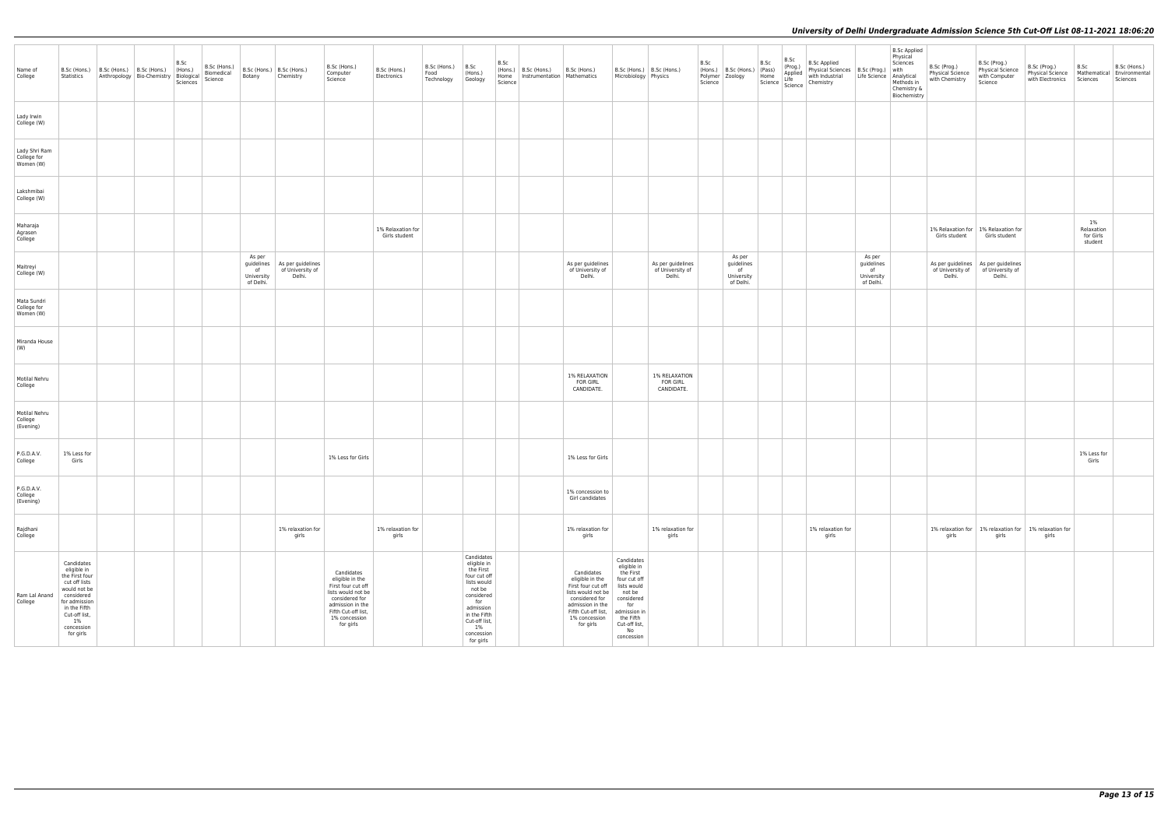| Name of<br>College                        | Statistics                                                                                                                                                         | $ $ B.Sc (Hons.) $ $ B.Sc (Hons.) $ $ B.Sc (Hons.)<br>Anthropology Bio-Chemistry Biological<br>Sciences | B.Sc<br>(Hons.) | B.Sc (Hons.)<br>Biomedical<br>Science | B.Sc (Hons.) B.Sc (Hons.)<br>Botany     | Chemistry                                                    | B.Sc (Hons.)<br>Computer<br>Science                                                                                                                                  | B.Sc (Hons.)<br>Electronics        | $B.Sc$ (Hons.) $B.Sc$<br>Food<br>Technology | (Hons.)<br>Geology                                                                                                                                                                     | B.Sc<br>Science | (Hons.) B.Sc (Hons.) B.Sc (Hons.)<br>Home   Instrumentation   Mathematics |                                                                                                                                                                      | Microbiology Physics                                                                                                                                                   | B.Sc (Hons.) B.Sc (Hons.)                       | B.Sc<br>Science | (Hons.) B.Sc (Hons.) (Pass)<br>Polymer Zoology Home   | B.Sc | $B.Sc$<br>(Prog.) | <b>B.Sc Applied</b><br>B.Sc Applied<br>Physical Sciences B.Sc (Prog.) with<br>with Industrial Life Science Analytical Protection<br>Charactery &<br>(Pass) Applied<br>Home Life with Industry<br>Science Science Chemistry |                                                       | B.Sc Applied<br>Physical<br>Chemistry &<br>Biochemistry | B.Sc (Prog.)<br>Physical Science<br>with Chemistry     | B.Sc (Prog.)<br><b>Physical Science</b><br>with Computer<br>Science                    | B.Sc (Prog.)<br>Physical Science   Mathematical   Environmental<br>with Electronics Sciences | B.Sc                                        | B.Sc (Hons.)<br>Sciences |
|-------------------------------------------|--------------------------------------------------------------------------------------------------------------------------------------------------------------------|---------------------------------------------------------------------------------------------------------|-----------------|---------------------------------------|-----------------------------------------|--------------------------------------------------------------|----------------------------------------------------------------------------------------------------------------------------------------------------------------------|------------------------------------|---------------------------------------------|----------------------------------------------------------------------------------------------------------------------------------------------------------------------------------------|-----------------|---------------------------------------------------------------------------|----------------------------------------------------------------------------------------------------------------------------------------------------------------------|------------------------------------------------------------------------------------------------------------------------------------------------------------------------|-------------------------------------------------|-----------------|-------------------------------------------------------|------|-------------------|----------------------------------------------------------------------------------------------------------------------------------------------------------------------------------------------------------------------------|-------------------------------------------------------|---------------------------------------------------------|--------------------------------------------------------|----------------------------------------------------------------------------------------|----------------------------------------------------------------------------------------------|---------------------------------------------|--------------------------|
| Lady Irwin<br>College (W)                 |                                                                                                                                                                    |                                                                                                         |                 |                                       |                                         |                                                              |                                                                                                                                                                      |                                    |                                             |                                                                                                                                                                                        |                 |                                                                           |                                                                                                                                                                      |                                                                                                                                                                        |                                                 |                 |                                                       |      |                   |                                                                                                                                                                                                                            |                                                       |                                                         |                                                        |                                                                                        |                                                                                              |                                             |                          |
| Lady Shri Ram<br>College for<br>Women (W) |                                                                                                                                                                    |                                                                                                         |                 |                                       |                                         |                                                              |                                                                                                                                                                      |                                    |                                             |                                                                                                                                                                                        |                 |                                                                           |                                                                                                                                                                      |                                                                                                                                                                        |                                                 |                 |                                                       |      |                   |                                                                                                                                                                                                                            |                                                       |                                                         |                                                        |                                                                                        |                                                                                              |                                             |                          |
| Lakshmibai<br>College (W)                 |                                                                                                                                                                    |                                                                                                         |                 |                                       |                                         |                                                              |                                                                                                                                                                      |                                    |                                             |                                                                                                                                                                                        |                 |                                                                           |                                                                                                                                                                      |                                                                                                                                                                        |                                                 |                 |                                                       |      |                   |                                                                                                                                                                                                                            |                                                       |                                                         |                                                        |                                                                                        |                                                                                              |                                             |                          |
| Maharaja<br>Agrasen<br>College            |                                                                                                                                                                    |                                                                                                         |                 |                                       |                                         |                                                              |                                                                                                                                                                      | 1% Relaxation for<br>Girls student |                                             |                                                                                                                                                                                        |                 |                                                                           |                                                                                                                                                                      |                                                                                                                                                                        |                                                 |                 |                                                       |      |                   |                                                                                                                                                                                                                            |                                                       |                                                         | 1% Relaxation for   1% Relaxation for<br>Girls student | Girls student                                                                          |                                                                                              | $1\%$<br>Relaxation<br>for Girls<br>student |                          |
| Maitreyi<br>College (W)                   |                                                                                                                                                                    |                                                                                                         |                 |                                       | As per<br>of<br>University<br>of Delhi. | guidelines   As per guidelines<br>of University of<br>Delhi. |                                                                                                                                                                      |                                    |                                             |                                                                                                                                                                                        |                 |                                                                           | As per guidelines<br>of University of<br>Delhi.                                                                                                                      |                                                                                                                                                                        | As per guidelines<br>of University of<br>Delhi. |                 | As per<br>guidelines<br>of<br>University<br>of Delhi. |      |                   |                                                                                                                                                                                                                            | As per<br>guidelines<br>of<br>University<br>of Delhi. |                                                         | Delhi.                                                 | As per guidelines   As per guidelines<br>of University of   of University of<br>Delhi. |                                                                                              |                                             |                          |
| Mata Sundri<br>College for<br>Women (W)   |                                                                                                                                                                    |                                                                                                         |                 |                                       |                                         |                                                              |                                                                                                                                                                      |                                    |                                             |                                                                                                                                                                                        |                 |                                                                           |                                                                                                                                                                      |                                                                                                                                                                        |                                                 |                 |                                                       |      |                   |                                                                                                                                                                                                                            |                                                       |                                                         |                                                        |                                                                                        |                                                                                              |                                             |                          |
| Miranda House<br>(W)                      |                                                                                                                                                                    |                                                                                                         |                 |                                       |                                         |                                                              |                                                                                                                                                                      |                                    |                                             |                                                                                                                                                                                        |                 |                                                                           |                                                                                                                                                                      |                                                                                                                                                                        |                                                 |                 |                                                       |      |                   |                                                                                                                                                                                                                            |                                                       |                                                         |                                                        |                                                                                        |                                                                                              |                                             |                          |
| Motilal Nehru<br>College                  |                                                                                                                                                                    |                                                                                                         |                 |                                       |                                         |                                                              |                                                                                                                                                                      |                                    |                                             |                                                                                                                                                                                        |                 |                                                                           | <b>1% RELAXATION</b><br><b>FOR GIRL</b><br>CANDIDATE.                                                                                                                |                                                                                                                                                                        | 1% RELAXATION<br><b>FOR GIRL</b><br>CANDIDATE.  |                 |                                                       |      |                   |                                                                                                                                                                                                                            |                                                       |                                                         |                                                        |                                                                                        |                                                                                              |                                             |                          |
| Motilal Nehru<br>College<br>(Evening)     |                                                                                                                                                                    |                                                                                                         |                 |                                       |                                         |                                                              |                                                                                                                                                                      |                                    |                                             |                                                                                                                                                                                        |                 |                                                                           |                                                                                                                                                                      |                                                                                                                                                                        |                                                 |                 |                                                       |      |                   |                                                                                                                                                                                                                            |                                                       |                                                         |                                                        |                                                                                        |                                                                                              |                                             |                          |
| P.G.D.A.V.<br>College                     | 1% Less for<br>Girls                                                                                                                                               |                                                                                                         |                 |                                       |                                         |                                                              | 1% Less for Girls                                                                                                                                                    |                                    |                                             |                                                                                                                                                                                        |                 |                                                                           | 1% Less for Girls                                                                                                                                                    |                                                                                                                                                                        |                                                 |                 |                                                       |      |                   |                                                                                                                                                                                                                            |                                                       |                                                         |                                                        |                                                                                        |                                                                                              | 1% Less for<br>Girls                        |                          |
| P.G.D.A.V.<br>College<br>(Evening)        |                                                                                                                                                                    |                                                                                                         |                 |                                       |                                         |                                                              |                                                                                                                                                                      |                                    |                                             |                                                                                                                                                                                        |                 |                                                                           | 1% concession to<br>Girl candidates                                                                                                                                  |                                                                                                                                                                        |                                                 |                 |                                                       |      |                   |                                                                                                                                                                                                                            |                                                       |                                                         |                                                        |                                                                                        |                                                                                              |                                             |                          |
| Rajdhani<br>College                       |                                                                                                                                                                    |                                                                                                         |                 |                                       |                                         | 1% relaxation for<br>girls                                   |                                                                                                                                                                      | 1% relaxation for<br>girls         |                                             |                                                                                                                                                                                        |                 |                                                                           | 1% relaxation for<br>girls                                                                                                                                           |                                                                                                                                                                        | 1% relaxation for<br>girls                      |                 |                                                       |      |                   | 1% relaxation for<br>girls                                                                                                                                                                                                 |                                                       |                                                         | girls                                                  | 1% relaxation for   1% relaxation for   1% relaxation for<br>girls                     | girls                                                                                        |                                             |                          |
| Ram Lal Anand   considered<br>College     | Candidates<br>eligible in<br>the First four<br>cut off lists<br>would not be<br>for admission<br>in the Fifth<br>Cut-off list,<br>$1\%$<br>concession<br>for girls |                                                                                                         |                 |                                       |                                         |                                                              | Candidates<br>eligible in the<br>First four cut off<br>lists would not be<br>considered for<br>admission in the<br>Fifth Cut-off list,<br>1% concession<br>for girls |                                    |                                             | Candidates<br>eligible in<br>the First<br>four cut off<br>lists would<br>not be<br>considered<br>for<br>admission<br>in the Fifth<br>Cut-off list,<br>$1\%$<br>concession<br>for girls |                 |                                                                           | Candidates<br>eligible in the<br>First four cut off<br>lists would not be<br>considered for<br>admission in the<br>Fifth Cut-off list,<br>1% concession<br>for girls | Candidates<br>eligible in<br>the First<br>four cut off<br>lists would<br>not be<br>considered<br>for<br>admission in<br>the Fifth<br>Cut-off list,<br>No<br>concession |                                                 |                 |                                                       |      |                   |                                                                                                                                                                                                                            |                                                       |                                                         |                                                        |                                                                                        |                                                                                              |                                             |                          |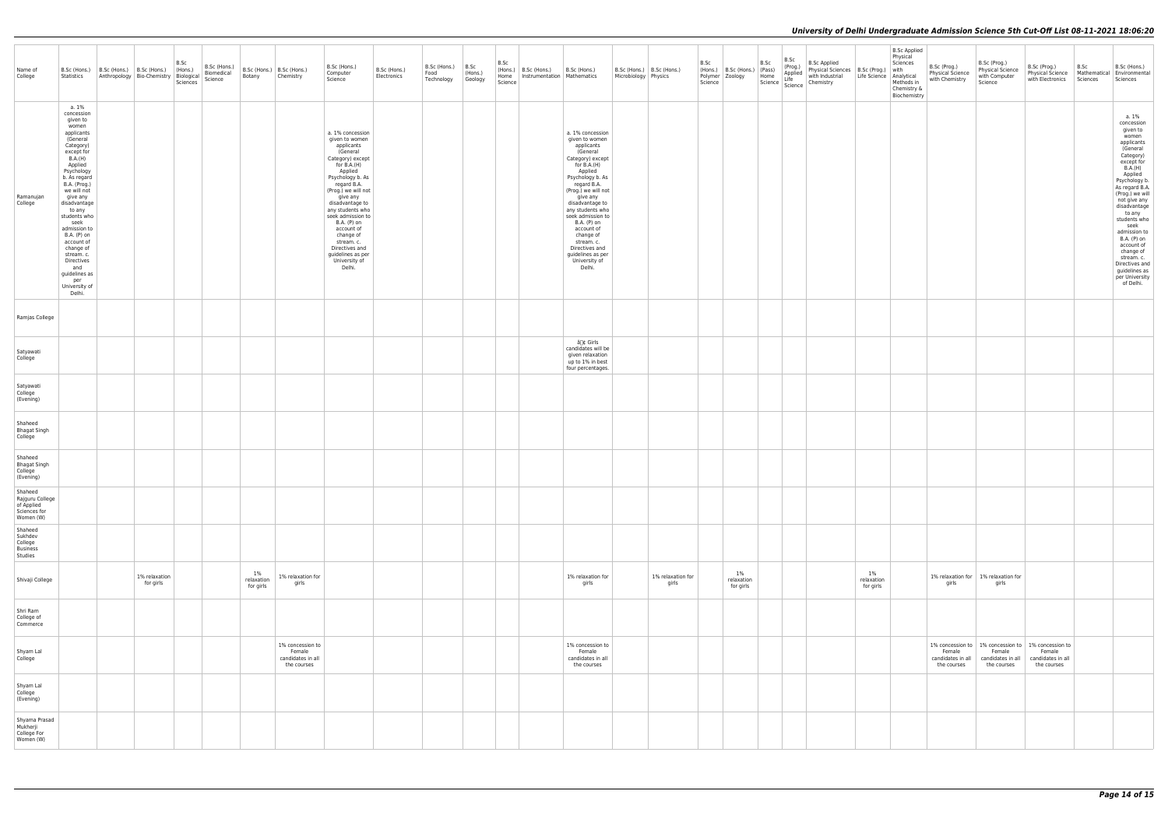| Name of<br>College                                                    | Statistics                                                                                                                                                                                                                                                                                                                                                                                     | B.Sc (Hons.)   B.Sc (Hons.)   B.Sc (Hons.)<br>Anthropology   Bio-Chemistry   Biological | B.Sc<br>(Hons.)<br>Sciences | B.Sc (Hons.)<br>Biomedical<br>Science | Botany                           | B.Sc (Hons.)   B.Sc (Hons.)<br>Chemistry                       | B.Sc (Hons.)<br>Computer<br>Science                                                                                                                                                                                                                                                                                                                                    | B.Sc (Hons.)<br>Electronics | $B.Sc$ (Hons.) $\Big $ B.Sc<br>Food<br>Technology | (Hons.)<br>Geology | B.Sc<br>(Hons.)<br>Science | B.Sc (Hons.)<br>Home   Instrumentation   Mathematics | B.Sc (Hons.)                                                                                                                                                                                                                                                                                                                                                           | B.Sc (Hons.)   B.Sc (Hons.)<br>Microbiology Physics |                            | B.Sc<br>Science | (Hons.) B.Sc (Hons.) (Pass)<br>Polymer Zoology | B.Sc<br>Home | B.Sc<br>(Prog.)<br>Applied<br>Life | <b>B.Sc Applied</b><br>Physical Sciences   B.Sc (Prog.)<br>with Industrial<br>Science   Science   Chemistry | B.Sc Applied<br>Physical<br>Sciences<br>with<br>Life Science   Analytical<br>Methods in<br>Chemistry &<br>Biochemistry | B.Sc (Prog.)<br>Physical Science<br>with Chemistry | B.Sc (Prog.)<br>Physical Science<br>with Computer<br>Science                      | B.Sc (Prog.)<br>Physical Science   Mathematical   Environmental<br>with Electronics   Sciences | B.Sc | B.Sc (Hons.)<br>Sciences                                                                                                                                                                                                                                                                                                                                                                    |
|-----------------------------------------------------------------------|------------------------------------------------------------------------------------------------------------------------------------------------------------------------------------------------------------------------------------------------------------------------------------------------------------------------------------------------------------------------------------------------|-----------------------------------------------------------------------------------------|-----------------------------|---------------------------------------|----------------------------------|----------------------------------------------------------------|------------------------------------------------------------------------------------------------------------------------------------------------------------------------------------------------------------------------------------------------------------------------------------------------------------------------------------------------------------------------|-----------------------------|---------------------------------------------------|--------------------|----------------------------|------------------------------------------------------|------------------------------------------------------------------------------------------------------------------------------------------------------------------------------------------------------------------------------------------------------------------------------------------------------------------------------------------------------------------------|-----------------------------------------------------|----------------------------|-----------------|------------------------------------------------|--------------|------------------------------------|-------------------------------------------------------------------------------------------------------------|------------------------------------------------------------------------------------------------------------------------|----------------------------------------------------|-----------------------------------------------------------------------------------|------------------------------------------------------------------------------------------------|------|---------------------------------------------------------------------------------------------------------------------------------------------------------------------------------------------------------------------------------------------------------------------------------------------------------------------------------------------------------------------------------------------|
| Ramanujan<br>College                                                  | a. 1%<br>concession<br>given to<br>women<br>applicants<br>(General<br>Category)<br>except for<br>B.A.(H)<br>Applied<br>Psychology<br>b. As regard<br>B.A. (Prog.)<br>we will not<br>give any<br>disadvantage<br>to any<br>students who<br>seek<br>admission to<br>B.A. (P) on<br>account of<br>change of<br>stream. c.<br>Directives<br>and<br>guidelines as<br>per<br>University of<br>Delhi. |                                                                                         |                             |                                       |                                  |                                                                | a. 1% concession<br>given to women<br>applicants<br>(General<br>Category) except<br>for B.A.(H)<br>Applied<br>Psychology b. As<br>regard B.A.<br>(Prog.) we will not<br>give any<br>disadvantage to<br>any students who<br>seek admission to<br>B.A. (P) on<br>account of<br>change of<br>stream. c.<br>Directives and<br>guidelines as per<br>University of<br>Delhi. |                             |                                                   |                    |                            |                                                      | a. 1% concession<br>given to women<br>applicants<br>(General<br>Category) except<br>for B.A.(H)<br>Applied<br>Psychology b. As<br>regard B.A.<br>(Prog.) we will not<br>give any<br>disadvantage to<br>any students who<br>seek admission to<br>B.A. (P) on<br>account of<br>change of<br>stream. c.<br>Directives and<br>guidelines as per<br>University of<br>Delhi. |                                                     |                            |                 |                                                |              |                                    |                                                                                                             |                                                                                                                        |                                                    |                                                                                   |                                                                                                |      | a. 1%<br>concession<br>given to<br>women<br>applicants<br>(General<br>Category)<br>except for<br><b>B.A.(H)</b><br>Applied<br>Psychology b.<br>As regard B.A<br>(Prog.) we will<br>not give any<br>disadvantage<br>to any<br>students who<br>seek<br>admission to<br>B.A. (P) on<br>account of<br>change of<br>stream. c.<br>Directives and<br>guidelines as<br>per University<br>of Delhi. |
| Ramjas College                                                        |                                                                                                                                                                                                                                                                                                                                                                                                |                                                                                         |                             |                                       |                                  |                                                                |                                                                                                                                                                                                                                                                                                                                                                        |                             |                                                   |                    |                            |                                                      |                                                                                                                                                                                                                                                                                                                                                                        |                                                     |                            |                 |                                                |              |                                    |                                                                                                             |                                                                                                                        |                                                    |                                                                                   |                                                                                                |      |                                                                                                                                                                                                                                                                                                                                                                                             |
| Satyawati<br>College                                                  |                                                                                                                                                                                                                                                                                                                                                                                                |                                                                                         |                             |                                       |                                  |                                                                |                                                                                                                                                                                                                                                                                                                                                                        |                             |                                                   |                    |                            |                                                      | â∏¢ Girls<br>candidates will be<br>given relaxation<br>up to 1% in best<br>four percentages.                                                                                                                                                                                                                                                                           |                                                     |                            |                 |                                                |              |                                    |                                                                                                             |                                                                                                                        |                                                    |                                                                                   |                                                                                                |      |                                                                                                                                                                                                                                                                                                                                                                                             |
| Satyawati<br>College<br>(Evening)                                     |                                                                                                                                                                                                                                                                                                                                                                                                |                                                                                         |                             |                                       |                                  |                                                                |                                                                                                                                                                                                                                                                                                                                                                        |                             |                                                   |                    |                            |                                                      |                                                                                                                                                                                                                                                                                                                                                                        |                                                     |                            |                 |                                                |              |                                    |                                                                                                             |                                                                                                                        |                                                    |                                                                                   |                                                                                                |      |                                                                                                                                                                                                                                                                                                                                                                                             |
| Shaheed<br><b>Bhagat Singh</b><br>College                             |                                                                                                                                                                                                                                                                                                                                                                                                |                                                                                         |                             |                                       |                                  |                                                                |                                                                                                                                                                                                                                                                                                                                                                        |                             |                                                   |                    |                            |                                                      |                                                                                                                                                                                                                                                                                                                                                                        |                                                     |                            |                 |                                                |              |                                    |                                                                                                             |                                                                                                                        |                                                    |                                                                                   |                                                                                                |      |                                                                                                                                                                                                                                                                                                                                                                                             |
| Shaheed<br><b>Bhagat Singh</b><br>College<br>(Evening)                |                                                                                                                                                                                                                                                                                                                                                                                                |                                                                                         |                             |                                       |                                  |                                                                |                                                                                                                                                                                                                                                                                                                                                                        |                             |                                                   |                    |                            |                                                      |                                                                                                                                                                                                                                                                                                                                                                        |                                                     |                            |                 |                                                |              |                                    |                                                                                                             |                                                                                                                        |                                                    |                                                                                   |                                                                                                |      |                                                                                                                                                                                                                                                                                                                                                                                             |
| Shaheed<br>Rajguru College<br>of Applied<br>Sciences for<br>Women (W) |                                                                                                                                                                                                                                                                                                                                                                                                |                                                                                         |                             |                                       |                                  |                                                                |                                                                                                                                                                                                                                                                                                                                                                        |                             |                                                   |                    |                            |                                                      |                                                                                                                                                                                                                                                                                                                                                                        |                                                     |                            |                 |                                                |              |                                    |                                                                                                             |                                                                                                                        |                                                    |                                                                                   |                                                                                                |      |                                                                                                                                                                                                                                                                                                                                                                                             |
| Shaheed<br>Sukhdev<br>College<br>Business<br>Studies                  |                                                                                                                                                                                                                                                                                                                                                                                                |                                                                                         |                             |                                       |                                  |                                                                |                                                                                                                                                                                                                                                                                                                                                                        |                             |                                                   |                    |                            |                                                      |                                                                                                                                                                                                                                                                                                                                                                        |                                                     |                            |                 |                                                |              |                                    |                                                                                                             |                                                                                                                        |                                                    |                                                                                   |                                                                                                |      |                                                                                                                                                                                                                                                                                                                                                                                             |
| Shivaji College                                                       |                                                                                                                                                                                                                                                                                                                                                                                                | 1% relaxation<br>for girls                                                              |                             |                                       | $1\%$<br>relaxation<br>for girls | 1% relaxation for<br>girls                                     |                                                                                                                                                                                                                                                                                                                                                                        |                             |                                                   |                    |                            |                                                      | 1% relaxation for<br>girls                                                                                                                                                                                                                                                                                                                                             |                                                     | 1% relaxation for<br>girls |                 | 1%<br>relaxation<br>for girls                  |              |                                    |                                                                                                             | 1%<br>relaxation<br>for girls                                                                                          | girls                                              | 1% relaxation for 1% relaxation for<br>girls                                      |                                                                                                |      |                                                                                                                                                                                                                                                                                                                                                                                             |
| Shri Ram<br>College of<br>Commerce                                    |                                                                                                                                                                                                                                                                                                                                                                                                |                                                                                         |                             |                                       |                                  |                                                                |                                                                                                                                                                                                                                                                                                                                                                        |                             |                                                   |                    |                            |                                                      |                                                                                                                                                                                                                                                                                                                                                                        |                                                     |                            |                 |                                                |              |                                    |                                                                                                             |                                                                                                                        |                                                    |                                                                                   |                                                                                                |      |                                                                                                                                                                                                                                                                                                                                                                                             |
| Shyam Lal<br>College                                                  |                                                                                                                                                                                                                                                                                                                                                                                                |                                                                                         |                             |                                       |                                  | 1% concession to<br>Female<br>candidates in all<br>the courses |                                                                                                                                                                                                                                                                                                                                                                        |                             |                                                   |                    |                            |                                                      | 1% concession to<br>Female<br>candidates in all<br>the courses                                                                                                                                                                                                                                                                                                         |                                                     |                            |                 |                                                |              |                                    |                                                                                                             |                                                                                                                        | Female<br>candidates in all<br>the courses         | 1% concession to   1% concession to<br>Female<br>candidates in all<br>the courses | 1% concession to<br>Female<br>candidates in all<br>the courses                                 |      |                                                                                                                                                                                                                                                                                                                                                                                             |
| Shyam Lal<br>College<br>(Evening)                                     |                                                                                                                                                                                                                                                                                                                                                                                                |                                                                                         |                             |                                       |                                  |                                                                |                                                                                                                                                                                                                                                                                                                                                                        |                             |                                                   |                    |                            |                                                      |                                                                                                                                                                                                                                                                                                                                                                        |                                                     |                            |                 |                                                |              |                                    |                                                                                                             |                                                                                                                        |                                                    |                                                                                   |                                                                                                |      |                                                                                                                                                                                                                                                                                                                                                                                             |
| Shyama Prasad<br>Mukherji<br>College For<br>Women (W)                 |                                                                                                                                                                                                                                                                                                                                                                                                |                                                                                         |                             |                                       |                                  |                                                                |                                                                                                                                                                                                                                                                                                                                                                        |                             |                                                   |                    |                            |                                                      |                                                                                                                                                                                                                                                                                                                                                                        |                                                     |                            |                 |                                                |              |                                    |                                                                                                             |                                                                                                                        |                                                    |                                                                                   |                                                                                                |      |                                                                                                                                                                                                                                                                                                                                                                                             |